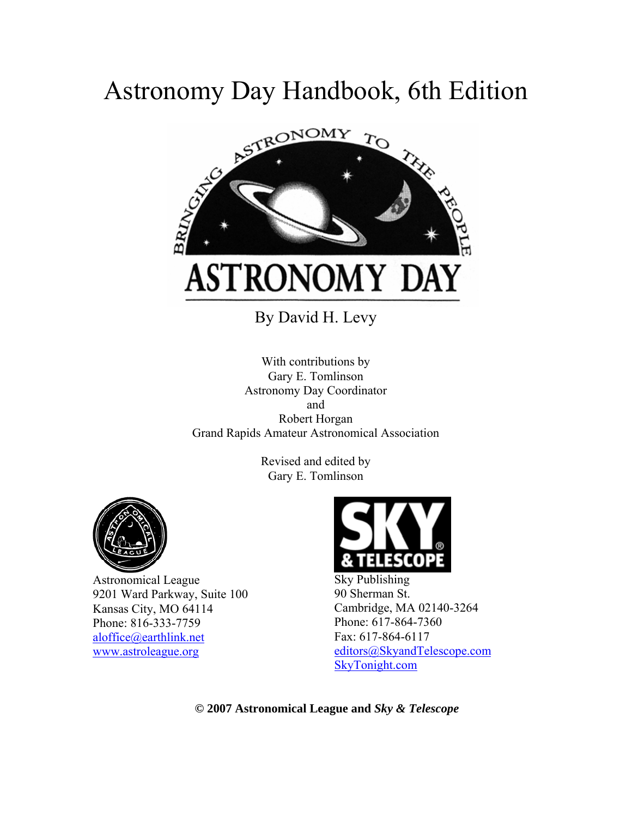# Astronomy Day Handbook, 6th Edition



By David H. Levy

With contributions by Gary E. Tomlinson Astronomy Day Coordinator and Robert Horgan Grand Rapids Amateur Astronomical Association

> Revised and edited by Gary E. Tomlinson



Astronomical League 9201 Ward Parkway, Suite 100 Kansas City, MO 64114 Phone: 816-333-7759 [aloffice@earthlink.net](mailto:aloffice@earthlink.net) [www.astroleague.org](http://www.astroleague.org/)



Sky Publishing 90 Sherman St. Cambridge, MA 02140-3264 Phone: 617-864-7360 Fax: 617-864-6117 [editors@SkyandTelescope.com](mailto:editors@SkyandTelescope.com) [SkyTonight.com](http://skytonight.com/)

**© 2007 Astronomical League and** *Sky & Telescope*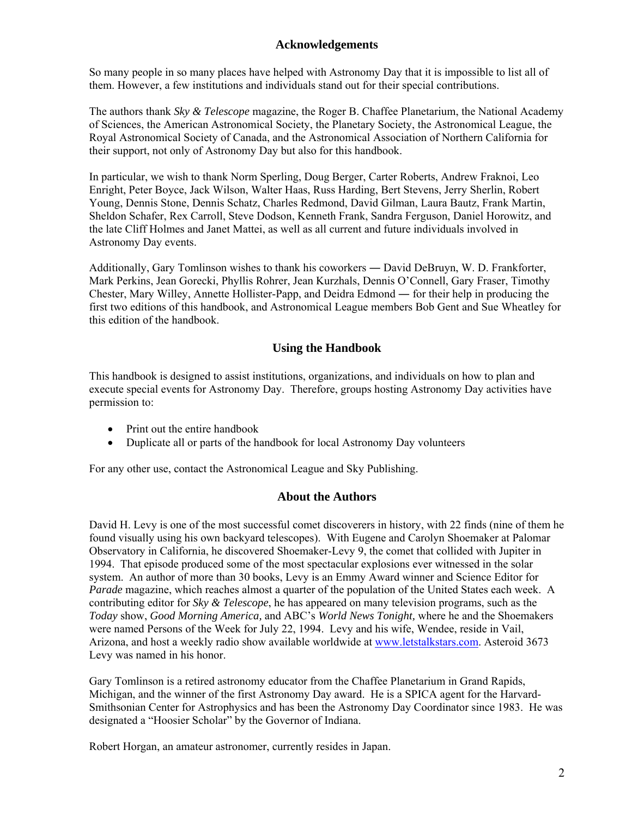#### **Acknowledgements**

So many people in so many places have helped with Astronomy Day that it is impossible to list all of them. However, a few institutions and individuals stand out for their special contributions.

The authors thank *Sky & Telescope* magazine, the Roger B. Chaffee Planetarium, the National Academy of Sciences, the American Astronomical Society, the Planetary Society, the Astronomical League, the Royal Astronomical Society of Canada, and the Astronomical Association of Northern California for their support, not only of Astronomy Day but also for this handbook.

In particular, we wish to thank Norm Sperling, Doug Berger, Carter Roberts, Andrew Fraknoi, Leo Enright, Peter Boyce, Jack Wilson, Walter Haas, Russ Harding, Bert Stevens, Jerry Sherlin, Robert Young, Dennis Stone, Dennis Schatz, Charles Redmond, David Gilman, Laura Bautz, Frank Martin, Sheldon Schafer, Rex Carroll, Steve Dodson, Kenneth Frank, Sandra Ferguson, Daniel Horowitz, and the late Cliff Holmes and Janet Mattei, as well as all current and future individuals involved in Astronomy Day events.

Additionally, Gary Tomlinson wishes to thank his coworkers ― David DeBruyn, W. D. Frankforter, Mark Perkins, Jean Gorecki, Phyllis Rohrer, Jean Kurzhals, Dennis O'Connell, Gary Fraser, Timothy Chester, Mary Willey, Annette Hollister-Papp, and Deidra Edmond ― for their help in producing the first two editions of this handbook, and Astronomical League members Bob Gent and Sue Wheatley for this edition of the handbook.

#### **Using the Handbook**

This handbook is designed to assist institutions, organizations, and individuals on how to plan and execute special events for Astronomy Day. Therefore, groups hosting Astronomy Day activities have permission to:

- Print out the entire handbook
- Duplicate all or parts of the handbook for local Astronomy Day volunteers

For any other use, contact the Astronomical League and Sky Publishing.

#### **About the Authors**

David H. Levy is one of the most successful comet discoverers in history, with 22 finds (nine of them he found visually using his own backyard telescopes). With Eugene and Carolyn Shoemaker at Palomar Observatory in California, he discovered Shoemaker-Levy 9, the comet that collided with Jupiter in 1994. That episode produced some of the most spectacular explosions ever witnessed in the solar system. An author of more than 30 books, Levy is an Emmy Award winner and Science Editor for *Parade* magazine, which reaches almost a quarter of the population of the United States each week. A contributing editor for *Sky & Telescope*, he has appeared on many television programs, such as the *Today* show, *Good Morning America,* and ABC's *World News Tonight,* where he and the Shoemakers were named Persons of the Week for July 22, 1994. Levy and his wife, Wendee, reside in Vail, Arizona, and host a weekly radio show available worldwide at [www.letstalkstars.com.](http://www.letstalkstars.com/) Asteroid 3673 Levy was named in his honor.

Gary Tomlinson is a retired astronomy educator from the Chaffee Planetarium in Grand Rapids, Michigan, and the winner of the first Astronomy Day award. He is a SPICA agent for the Harvard-Smithsonian Center for Astrophysics and has been the Astronomy Day Coordinator since 1983. He was designated a "Hoosier Scholar" by the Governor of Indiana.

Robert Horgan, an amateur astronomer, currently resides in Japan.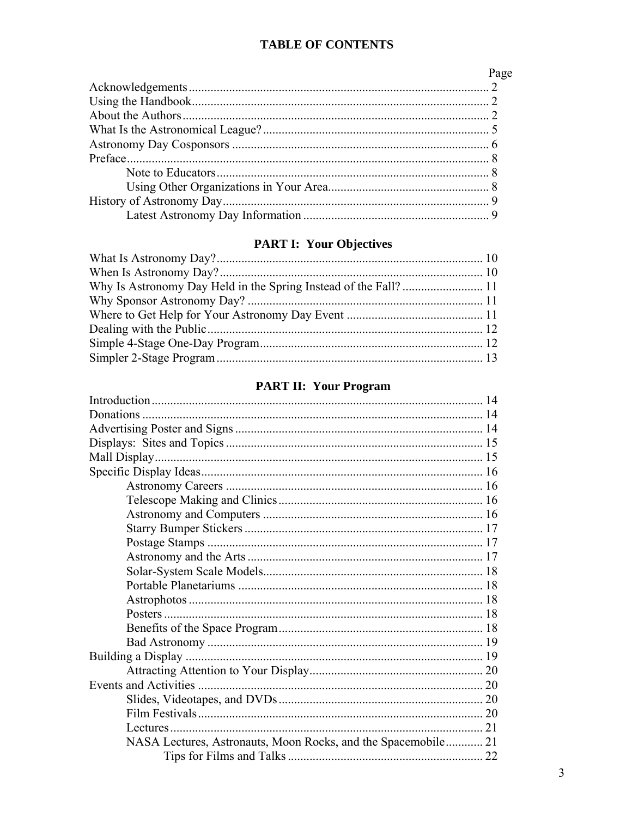### **TABLE OF CONTENTS**

#### Page

### **PART I: Your Objectives**

### **PART II: Your Program**

| et in, tour frogram |  |
|---------------------|--|
|                     |  |
|                     |  |
|                     |  |
|                     |  |
|                     |  |
|                     |  |
|                     |  |
|                     |  |
|                     |  |
|                     |  |
|                     |  |
|                     |  |
|                     |  |
|                     |  |
|                     |  |
|                     |  |
|                     |  |
|                     |  |
|                     |  |
|                     |  |
|                     |  |
|                     |  |
|                     |  |
|                     |  |
|                     |  |
|                     |  |
|                     |  |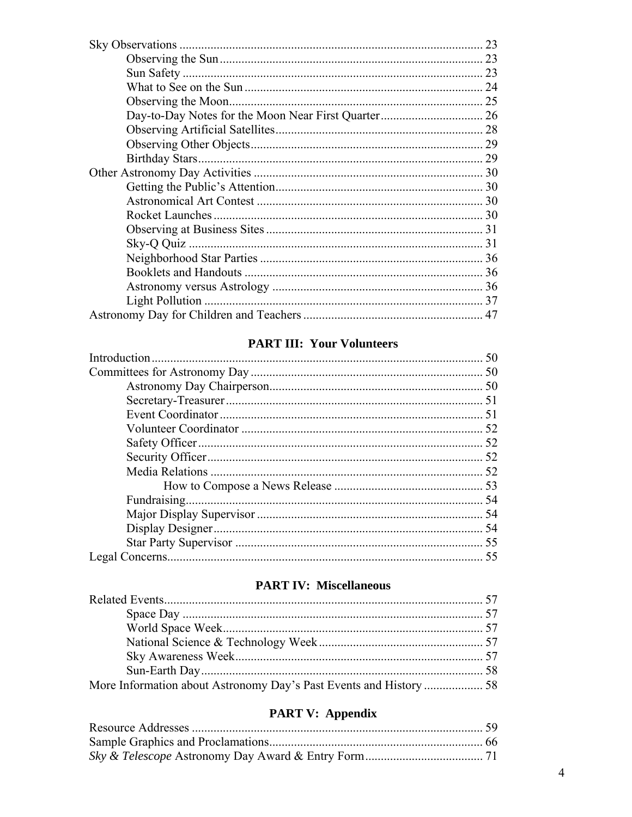|                    | 23 |
|--------------------|----|
|                    | 23 |
|                    | 23 |
|                    | 24 |
| Observing the Moon | 25 |
|                    |    |
|                    |    |
|                    | 29 |
|                    | 29 |
|                    |    |
|                    |    |
|                    |    |
|                    |    |
|                    |    |
| Sky-Q Quiz         | 31 |
|                    |    |
|                    |    |
|                    |    |
|                    | 37 |
|                    |    |

### **PART III: Your Volunteers**

| -50 |
|-----|
|     |
|     |
|     |
|     |
|     |
|     |
|     |
|     |
|     |
|     |
|     |
|     |
|     |
|     |
|     |

#### **PART IV: Miscellaneous**

### PART V: Appendix

| PART V: Appendix |  |
|------------------|--|
|                  |  |
|                  |  |
|                  |  |
|                  |  |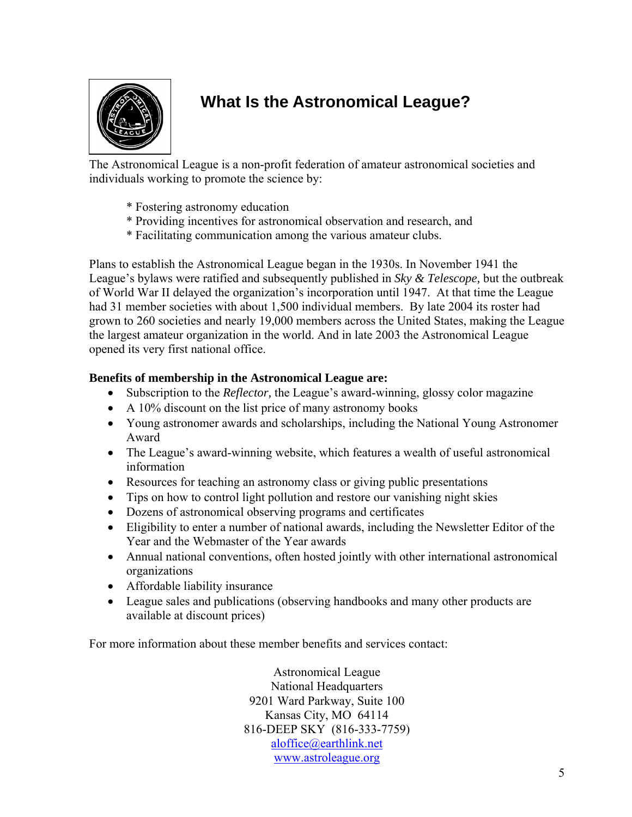

### **What Is the Astronomical League?**

The Astronomical League is a non-profit federation of amateur astronomical societies and individuals working to promote the science by:

- \* Fostering astronomy education
- \* Providing incentives for astronomical observation and research, and
- \* Facilitating communication among the various amateur clubs.

Plans to establish the Astronomical League began in the 1930s. In November 1941 the League's bylaws were ratified and subsequently published in *Sky & Telescope,* but the outbreak of World War II delayed the organization's incorporation until 1947. At that time the League had 31 member societies with about 1,500 individual members. By late 2004 its roster had grown to 260 societies and nearly 19,000 members across the United States, making the League the largest amateur organization in the world. And in late 2003 the Astronomical League opened its very first national office.

#### **Benefits of membership in the Astronomical League are:**

- Subscription to the *Reflector,* the League's award-winning, glossy color magazine
- A 10% discount on the list price of many astronomy books
- Young astronomer awards and scholarships, including the National Young Astronomer Award
- The League's award-winning website, which features a wealth of useful astronomical information
- Resources for teaching an astronomy class or giving public presentations
- Tips on how to control light pollution and restore our vanishing night skies
- Dozens of astronomical observing programs and certificates
- Eligibility to enter a number of national awards, including the Newsletter Editor of the Year and the Webmaster of the Year awards
- Annual national conventions, often hosted jointly with other international astronomical organizations
- Affordable liability insurance
- League sales and publications (observing handbooks and many other products are available at discount prices)

For more information about these member benefits and services contact:

Astronomical League National Headquarters 9201 Ward Parkway, Suite 100 Kansas City, MO 64114 816-DEEP SKY (816-333-7759) [aloffice@earthlink.net](mailto:aloffice@earthlink.net) [www.astroleague.org](http://www.astroleague.org/)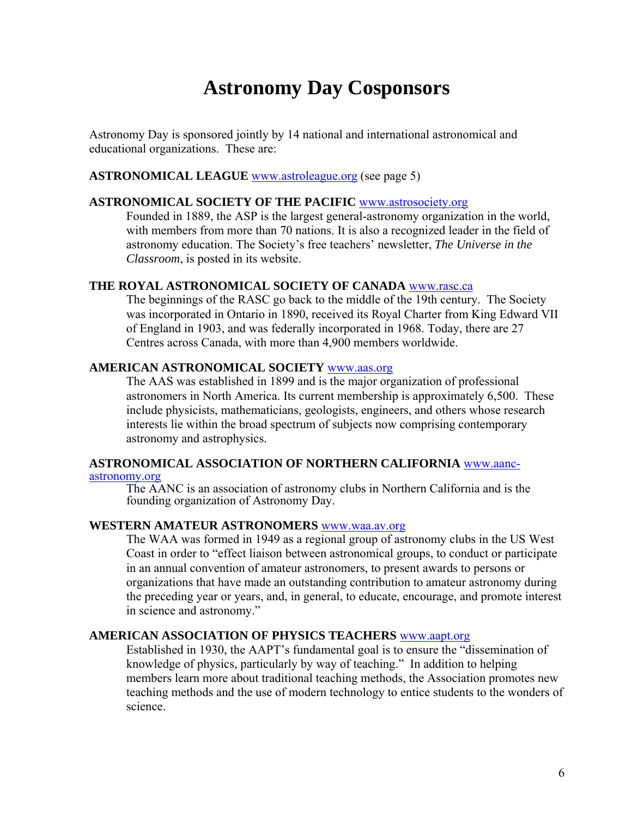## **Astronomy Day Cosponsors**

Astronomy Day is sponsored jointly by 14 national and international astronomical and educational organizations. These are:

#### **ASTRONOMICAL LEAGUE** [www.astroleague.org](http://www.astroleague.org/) (see page 5)

#### **ASTRONOMICAL SOCIETY OF THE PACIFIC** [www.astrosociety.org](http://www.astrosociety.org/)

Founded in 1889, the ASP is the largest general-astronomy organization in the world, with members from more than 70 nations. It is also a recognized leader in the field of astronomy education. The Society's free teachers' newsletter, *The Universe in the Classroom*, is posted in its website.

#### **THE ROYAL ASTRONOMICAL SOCIETY OF CANADA** [www.rasc.ca](http://www.rasc.ca/)

The beginnings of the RASC go back to the middle of the 19th century. The Society was incorporated in Ontario in 1890, received its Royal Charter from King Edward VII of England in 1903, and was federally incorporated in 1968. Today, there are 27 Centres across Canada, with more than 4,900 members worldwide.

#### **AMERICAN ASTRONOMICAL SOCIETY** [www.aas.org](http://www.aas.org/)

The AAS was established in 1899 and is the major organization of professional astronomers in North America. Its current membership is approximately 6,500. These include physicists, mathematicians, geologists, engineers, and others whose research interests lie within the broad spectrum of subjects now comprising contemporary astronomy and astrophysics.

### **ASTRONOMICAL ASSOCIATION OF NORTHERN CALIFORNIA** [www.aanc-](http://www.aanc-astronomy.org/)

#### [astronomy.org](http://www.aanc-astronomy.org/)

The AANC is an association of astronomy clubs in Northern California and is the founding organization of Astronomy Day.

#### **WESTERN AMATEUR ASTRONOMERS** [www.waa.av.org](http://www.waa.av.org/)

The WAA was formed in 1949 as a regional group of astronomy clubs in the US West Coast in order to "effect liaison between astronomical groups, to conduct or participate in an annual convention of amateur astronomers, to present awards to persons or organizations that have made an outstanding contribution to amateur astronomy during the preceding year or years, and, in general, to educate, encourage, and promote interest in science and astronomy."

#### **AMERICAN ASSOCIATION OF PHYSICS TEACHERS** [www.aapt.org](http://www.aapt.org/)

Established in 1930, the AAPT's fundamental goal is to ensure the "dissemination of knowledge of physics, particularly by way of teaching." In addition to helping members learn more about traditional teaching methods, the Association promotes new teaching methods and the use of modern technology to entice students to the wonders of science.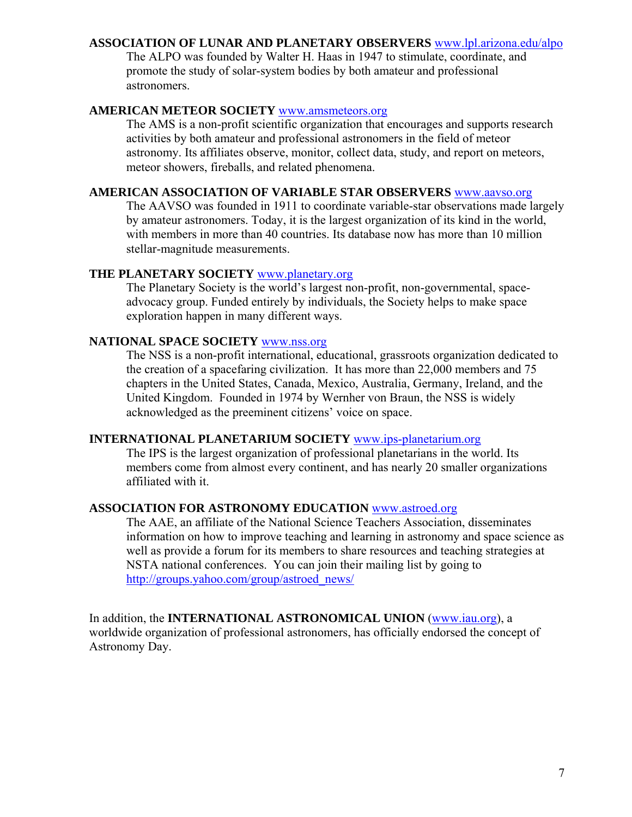#### **ASSOCIATION OF LUNAR AND PLANETARY OBSERVERS** [www.lpl.arizona.edu/alpo](http://www.lpl.arizona.edu/alpo/)

The ALPO was founded by Walter H. Haas in 1947 to stimulate, coordinate, and promote the study of solar-system bodies by both amateur and professional astronomers.

#### **AMERICAN METEOR SOCIETY** [www.amsmeteors.org](http://www.amsmeteors.org/)

The AMS is a non-profit scientific organization that encourages and supports research activities by both amateur and professional astronomers in the field of meteor astronomy. Its affiliates observe, monitor, collect data, study, and report on meteors, meteor showers, fireballs, and related phenomena.

#### **AMERICAN ASSOCIATION OF VARIABLE STAR OBSERVERS** [www.aavso.org](http://www.aavso.org/)

The AAVSO was founded in 1911 to coordinate variable-star observations made largely by amateur astronomers. Today, it is the largest organization of its kind in the world, with members in more than 40 countries. Its database now has more than 10 million stellar-magnitude measurements.

#### **THE PLANETARY SOCIETY** [www.planetary.org](http://www.planetary.org/)

The Planetary Society is the world's largest non-profit, non-governmental, spaceadvocacy group. Funded entirely by individuals, the Society helps to make space exploration happen in many different ways.

#### **NATIONAL SPACE SOCIETY** [www.nss.org](http://www.nss.org/)

The NSS is a non-profit international, educational, grassroots organization dedicated to the creation of a spacefaring civilization. It has more than 22,000 members and 75 chapters in the United States, Canada, Mexico, Australia, Germany, Ireland, and the United Kingdom. Founded in 1974 by Wernher von Braun, the NSS is widely acknowledged as the preeminent citizens' voice on space.

#### **INTERNATIONAL PLANETARIUM SOCIETY** [www.ips-planetarium.org](http://www.ips-planetarium.org/)

The IPS is the largest organization of professional planetarians in the world. Its members come from almost every continent, and has nearly 20 smaller organizations affiliated with it.

#### **ASSOCIATION FOR ASTRONOMY EDUCATION** [www.astroed.org](http://www.astroed.org/)

The AAE, an affiliate of the National Science Teachers Association, disseminates information on how to improve teaching and learning in astronomy and space science as well as provide a forum for its members to share resources and teaching strategies at NSTA national conferences. You can join their mailing list by going to [http://groups.yahoo.com/group/astroed\\_news/](http://groups.yahoo.com/group/astroed_news/)

In addition, the **INTERNATIONAL ASTRONOMICAL UNION** ([www.iau.org](http://www.iau.org/)), a worldwide organization of professional astronomers, has officially endorsed the concept of Astronomy Day.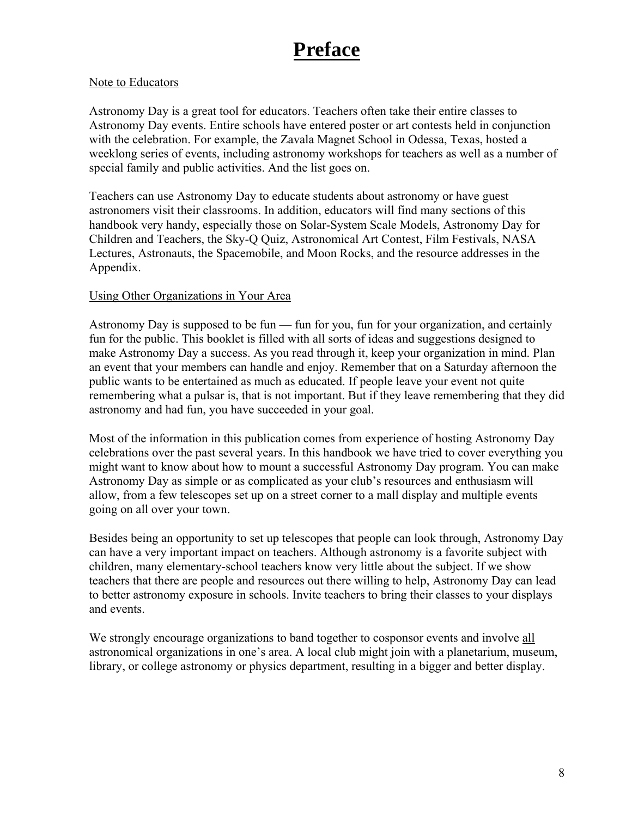## **Preface**

#### Note to Educators

Astronomy Day is a great tool for educators. Teachers often take their entire classes to Astronomy Day events. Entire schools have entered poster or art contests held in conjunction with the celebration. For example, the Zavala Magnet School in Odessa, Texas, hosted a weeklong series of events, including astronomy workshops for teachers as well as a number of special family and public activities. And the list goes on.

Teachers can use Astronomy Day to educate students about astronomy or have guest astronomers visit their classrooms. In addition, educators will find many sections of this handbook very handy, especially those on Solar-System Scale Models, Astronomy Day for Children and Teachers, the Sky-Q Quiz, Astronomical Art Contest, Film Festivals, NASA Lectures, Astronauts, the Spacemobile, and Moon Rocks, and the resource addresses in the Appendix.

#### Using Other Organizations in Your Area

Astronomy Day is supposed to be fun — fun for you, fun for your organization, and certainly fun for the public. This booklet is filled with all sorts of ideas and suggestions designed to make Astronomy Day a success. As you read through it, keep your organization in mind. Plan an event that your members can handle and enjoy. Remember that on a Saturday afternoon the public wants to be entertained as much as educated. If people leave your event not quite remembering what a pulsar is, that is not important. But if they leave remembering that they did astronomy and had fun, you have succeeded in your goal.

Most of the information in this publication comes from experience of hosting Astronomy Day celebrations over the past several years. In this handbook we have tried to cover everything you might want to know about how to mount a successful Astronomy Day program. You can make Astronomy Day as simple or as complicated as your club's resources and enthusiasm will allow, from a few telescopes set up on a street corner to a mall display and multiple events going on all over your town.

Besides being an opportunity to set up telescopes that people can look through, Astronomy Day can have a very important impact on teachers. Although astronomy is a favorite subject with children, many elementary-school teachers know very little about the subject. If we show teachers that there are people and resources out there willing to help, Astronomy Day can lead to better astronomy exposure in schools. Invite teachers to bring their classes to your displays and events.

We strongly encourage organizations to band together to cosponsor events and involve all astronomical organizations in one's area. A local club might join with a planetarium, museum, library, or college astronomy or physics department, resulting in a bigger and better display.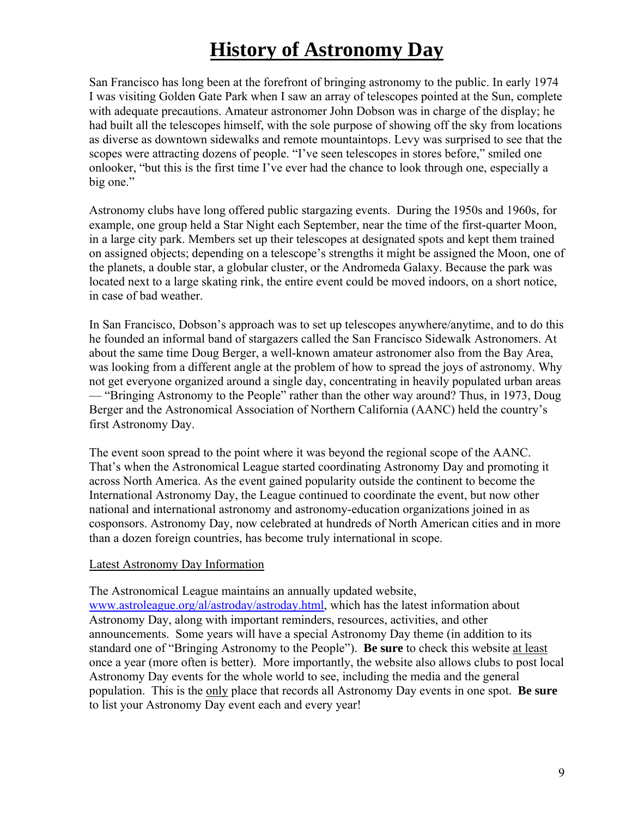## **History of Astronomy Day**

San Francisco has long been at the forefront of bringing astronomy to the public. In early 1974 I was visiting Golden Gate Park when I saw an array of telescopes pointed at the Sun, complete with adequate precautions. Amateur astronomer John Dobson was in charge of the display; he had built all the telescopes himself, with the sole purpose of showing off the sky from locations as diverse as downtown sidewalks and remote mountaintops. Levy was surprised to see that the scopes were attracting dozens of people. "I've seen telescopes in stores before," smiled one onlooker, "but this is the first time I've ever had the chance to look through one, especially a big one."

Astronomy clubs have long offered public stargazing events. During the 1950s and 1960s, for example, one group held a Star Night each September, near the time of the first-quarter Moon, in a large city park. Members set up their telescopes at designated spots and kept them trained on assigned objects; depending on a telescope's strengths it might be assigned the Moon, one of the planets, a double star, a globular cluster, or the Andromeda Galaxy. Because the park was located next to a large skating rink, the entire event could be moved indoors, on a short notice, in case of bad weather.

In San Francisco, Dobson's approach was to set up telescopes anywhere/anytime, and to do this he founded an informal band of stargazers called the San Francisco Sidewalk Astronomers. At about the same time Doug Berger, a well-known amateur astronomer also from the Bay Area, was looking from a different angle at the problem of how to spread the joys of astronomy. Why not get everyone organized around a single day, concentrating in heavily populated urban areas — "Bringing Astronomy to the People" rather than the other way around? Thus, in 1973, Doug Berger and the Astronomical Association of Northern California (AANC) held the country's first Astronomy Day.

The event soon spread to the point where it was beyond the regional scope of the AANC. That's when the Astronomical League started coordinating Astronomy Day and promoting it across North America. As the event gained popularity outside the continent to become the International Astronomy Day, the League continued to coordinate the event, but now other national and international astronomy and astronomy-education organizations joined in as cosponsors. Astronomy Day, now celebrated at hundreds of North American cities and in more than a dozen foreign countries, has become truly international in scope.

#### Latest Astronomy Day Information

The Astronomical League maintains an annually updated website,

[www.astroleague.org/al/astroday/astroday.html,](http://www.astroleague.org/al/astroday/astroday.html) which has the latest information about Astronomy Day, along with important reminders, resources, activities, and other announcements. Some years will have a special Astronomy Day theme (in addition to its standard one of "Bringing Astronomy to the People"). **Be sure** to check this website at least once a year (more often is better). More importantly, the website also allows clubs to post local Astronomy Day events for the whole world to see, including the media and the general population. This is the only place that records all Astronomy Day events in one spot. **Be sure** to list your Astronomy Day event each and every year!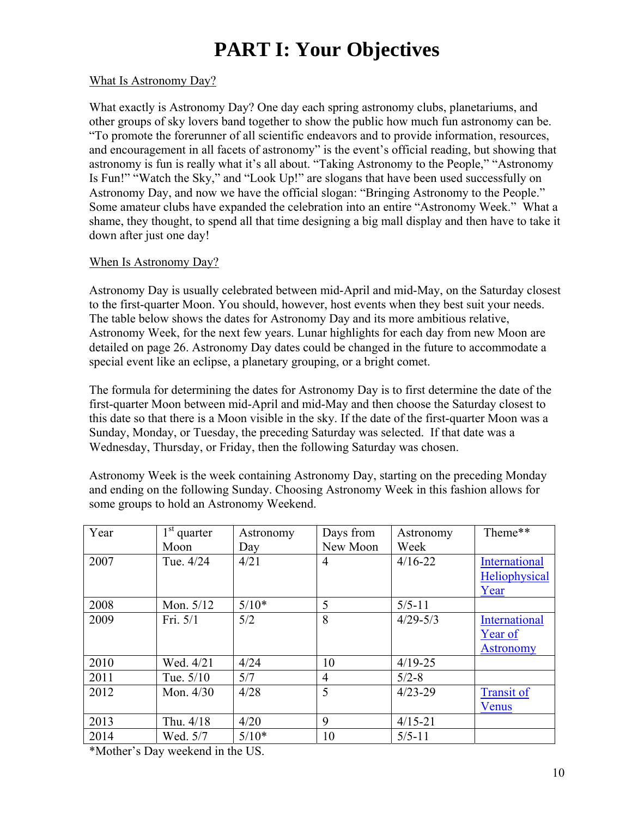## **PART I: Your Objectives**

#### What Is Astronomy Day?

What exactly is Astronomy Day? One day each spring astronomy clubs, planetariums, and other groups of sky lovers band together to show the public how much fun astronomy can be. "To promote the forerunner of all scientific endeavors and to provide information, resources, and encouragement in all facets of astronomy" is the event's official reading, but showing that astronomy is fun is really what it's all about. "Taking Astronomy to the People," "Astronomy Is Fun!" "Watch the Sky," and "Look Up!" are slogans that have been used successfully on Astronomy Day, and now we have the official slogan: "Bringing Astronomy to the People." Some amateur clubs have expanded the celebration into an entire "Astronomy Week." What a shame, they thought, to spend all that time designing a big mall display and then have to take it down after just one day!

#### When Is Astronomy Day?

Astronomy Day is usually celebrated between mid-April and mid-May, on the Saturday closest to the first-quarter Moon. You should, however, host events when they best suit your needs. The table below shows the dates for Astronomy Day and its more ambitious relative, Astronomy Week, for the next few years. Lunar highlights for each day from new Moon are detailed on page 26. Astronomy Day dates could be changed in the future to accommodate a special event like an eclipse, a planetary grouping, or a bright comet.

The formula for determining the dates for Astronomy Day is to first determine the date of the first-quarter Moon between mid-April and mid-May and then choose the Saturday closest to this date so that there is a Moon visible in the sky. If the date of the first-quarter Moon was a Sunday, Monday, or Tuesday, the preceding Saturday was selected. If that date was a Wednesday, Thursday, or Friday, then the following Saturday was chosen.

Astronomy Week is the week containing Astronomy Day, starting on the preceding Monday and ending on the following Sunday. Choosing Astronomy Week in this fashion allows for some groups to hold an Astronomy Weekend.

| Year | $1st$ quarter | Astronomy | Days from | Astronomy    | Theme**              |
|------|---------------|-----------|-----------|--------------|----------------------|
|      | Moon          | Day       | New Moon  | Week         |                      |
| 2007 | Tue. 4/24     | 4/21      | 4         | $4/16 - 22$  | <b>International</b> |
|      |               |           |           |              | <b>Heliophysical</b> |
|      |               |           |           |              | Year                 |
| 2008 | Mon. $5/12$   | $5/10*$   | 5         | $5/5 - 11$   |                      |
| 2009 | Fri. 5/1      | 5/2       | 8         | $4/29 - 5/3$ | <b>International</b> |
|      |               |           |           |              | Year of              |
|      |               |           |           |              | <b>Astronomy</b>     |
| 2010 | Wed. 4/21     | 4/24      | 10        | $4/19 - 25$  |                      |
| 2011 | Tue. 5/10     | 5/7       | 4         | $5/2 - 8$    |                      |
| 2012 | Mon. $4/30$   | 4/28      | 5         | $4/23 - 29$  | <b>Transit of</b>    |
|      |               |           |           |              | <b>Venus</b>         |
| 2013 | Thu. 4/18     | 4/20      | 9         | $4/15 - 21$  |                      |
| 2014 | Wed. 5/7      | $5/10*$   | 10        | $5/5 - 11$   |                      |

\*Mother's Day weekend in the US.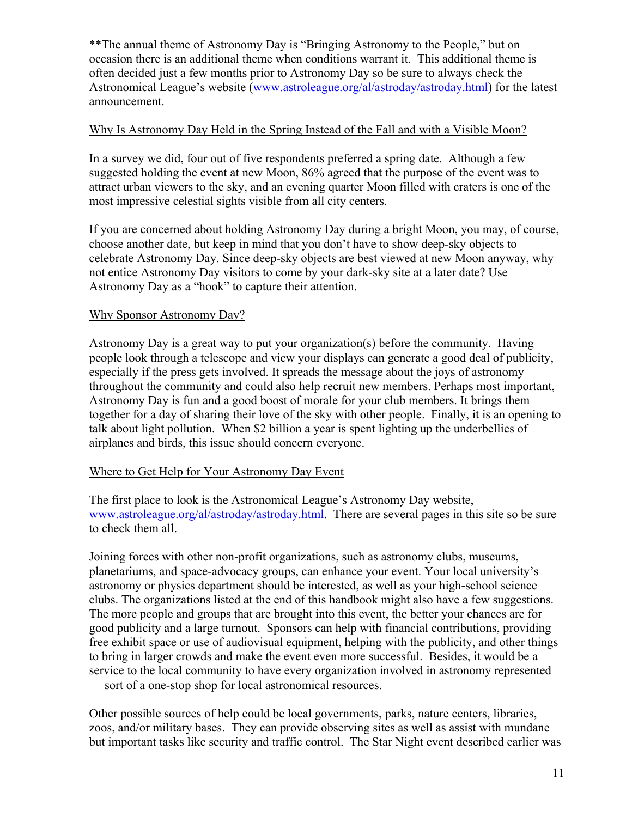\*\*The annual theme of Astronomy Day is "Bringing Astronomy to the People," but on occasion there is an additional theme when conditions warrant it. This additional theme is often decided just a few months prior to Astronomy Day so be sure to always check the Astronomical League's website [\(www.astroleague.org/al/astroday/astroday.html\)](http://www.astroleague.org/al/astroday/astroday.html) for the latest announcement.

#### Why Is Astronomy Day Held in the Spring Instead of the Fall and with a Visible Moon?

In a survey we did, four out of five respondents preferred a spring date. Although a few suggested holding the event at new Moon, 86% agreed that the purpose of the event was to attract urban viewers to the sky, and an evening quarter Moon filled with craters is one of the most impressive celestial sights visible from all city centers.

If you are concerned about holding Astronomy Day during a bright Moon, you may, of course, choose another date, but keep in mind that you don't have to show deep-sky objects to celebrate Astronomy Day. Since deep-sky objects are best viewed at new Moon anyway, why not entice Astronomy Day visitors to come by your dark-sky site at a later date? Use Astronomy Day as a "hook" to capture their attention.

#### Why Sponsor Astronomy Day?

Astronomy Day is a great way to put your organization(s) before the community. Having people look through a telescope and view your displays can generate a good deal of publicity, especially if the press gets involved. It spreads the message about the joys of astronomy throughout the community and could also help recruit new members. Perhaps most important, Astronomy Day is fun and a good boost of morale for your club members. It brings them together for a day of sharing their love of the sky with other people. Finally, it is an opening to talk about light pollution. When \$2 billion a year is spent lighting up the underbellies of airplanes and birds, this issue should concern everyone.

#### Where to Get Help for Your Astronomy Day Event

The first place to look is the Astronomical League's Astronomy Day website, [www.astroleague.org/al/astroday/astroday.html.](http://www.astroleague.org/al/astroday/astroday.html) There are several pages in this site so be sure to check them all.

Joining forces with other non-profit organizations, such as astronomy clubs, museums, planetariums, and space-advocacy groups, can enhance your event. Your local university's astronomy or physics department should be interested, as well as your high-school science clubs. The organizations listed at the end of this handbook might also have a few suggestions. The more people and groups that are brought into this event, the better your chances are for good publicity and a large turnout. Sponsors can help with financial contributions, providing free exhibit space or use of audiovisual equipment, helping with the publicity, and other things to bring in larger crowds and make the event even more successful. Besides, it would be a service to the local community to have every organization involved in astronomy represented — sort of a one-stop shop for local astronomical resources.

Other possible sources of help could be local governments, parks, nature centers, libraries, zoos, and/or military bases. They can provide observing sites as well as assist with mundane but important tasks like security and traffic control. The Star Night event described earlier was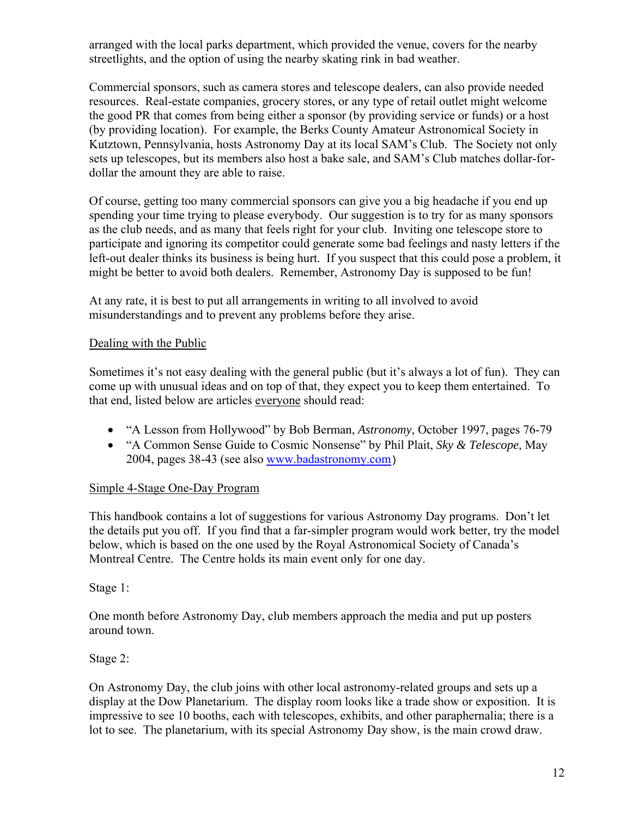arranged with the local parks department, which provided the venue, covers for the nearby streetlights, and the option of using the nearby skating rink in bad weather.

Commercial sponsors, such as camera stores and telescope dealers, can also provide needed resources. Real-estate companies, grocery stores, or any type of retail outlet might welcome the good PR that comes from being either a sponsor (by providing service or funds) or a host (by providing location). For example, the Berks County Amateur Astronomical Society in Kutztown, Pennsylvania, hosts Astronomy Day at its local SAM's Club. The Society not only sets up telescopes, but its members also host a bake sale, and SAM's Club matches dollar-fordollar the amount they are able to raise.

Of course, getting too many commercial sponsors can give you a big headache if you end up spending your time trying to please everybody. Our suggestion is to try for as many sponsors as the club needs, and as many that feels right for your club. Inviting one telescope store to participate and ignoring its competitor could generate some bad feelings and nasty letters if the left-out dealer thinks its business is being hurt. If you suspect that this could pose a problem, it might be better to avoid both dealers. Remember, Astronomy Day is supposed to be fun!

At any rate, it is best to put all arrangements in writing to all involved to avoid misunderstandings and to prevent any problems before they arise.

#### Dealing with the Public

Sometimes it's not easy dealing with the general public (but it's always a lot of fun). They can come up with unusual ideas and on top of that, they expect you to keep them entertained. To that end, listed below are articles everyone should read:

- "A Lesson from Hollywood" by Bob Berman, *Astronomy*, October 1997, pages 76-79
- "A Common Sense Guide to Cosmic Nonsense" by Phil Plait, *Sky & Telescope*, May 2004, pages 38-43 (see also [www.badastronomy.com](http://www.badastronomy.com/))

#### Simple 4-Stage One-Day Program

This handbook contains a lot of suggestions for various Astronomy Day programs. Don't let the details put you off. If you find that a far-simpler program would work better, try the model below, which is based on the one used by the Royal Astronomical Society of Canada's Montreal Centre. The Centre holds its main event only for one day.

Stage 1:

One month before Astronomy Day, club members approach the media and put up posters around town.

Stage 2:

On Astronomy Day, the club joins with other local astronomy-related groups and sets up a display at the Dow Planetarium. The display room looks like a trade show or exposition. It is impressive to see 10 booths, each with telescopes, exhibits, and other paraphernalia; there is a lot to see. The planetarium, with its special Astronomy Day show, is the main crowd draw.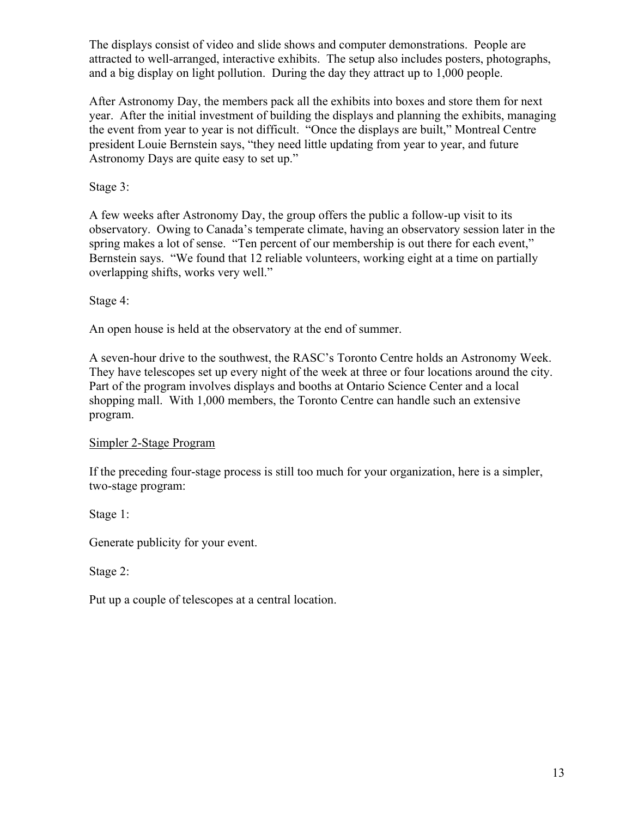The displays consist of video and slide shows and computer demonstrations. People are attracted to well-arranged, interactive exhibits. The setup also includes posters, photographs, and a big display on light pollution. During the day they attract up to 1,000 people.

After Astronomy Day, the members pack all the exhibits into boxes and store them for next year. After the initial investment of building the displays and planning the exhibits, managing the event from year to year is not difficult. "Once the displays are built," Montreal Centre president Louie Bernstein says, "they need little updating from year to year, and future Astronomy Days are quite easy to set up."

Stage 3:

A few weeks after Astronomy Day, the group offers the public a follow-up visit to its observatory. Owing to Canada's temperate climate, having an observatory session later in the spring makes a lot of sense. "Ten percent of our membership is out there for each event," Bernstein says. "We found that 12 reliable volunteers, working eight at a time on partially overlapping shifts, works very well."

Stage 4:

An open house is held at the observatory at the end of summer.

A seven-hour drive to the southwest, the RASC's Toronto Centre holds an Astronomy Week. They have telescopes set up every night of the week at three or four locations around the city. Part of the program involves displays and booths at Ontario Science Center and a local shopping mall. With 1,000 members, the Toronto Centre can handle such an extensive program.

Simpler 2-Stage Program

If the preceding four-stage process is still too much for your organization, here is a simpler, two-stage program:

Stage 1:

Generate publicity for your event.

Stage 2:

Put up a couple of telescopes at a central location.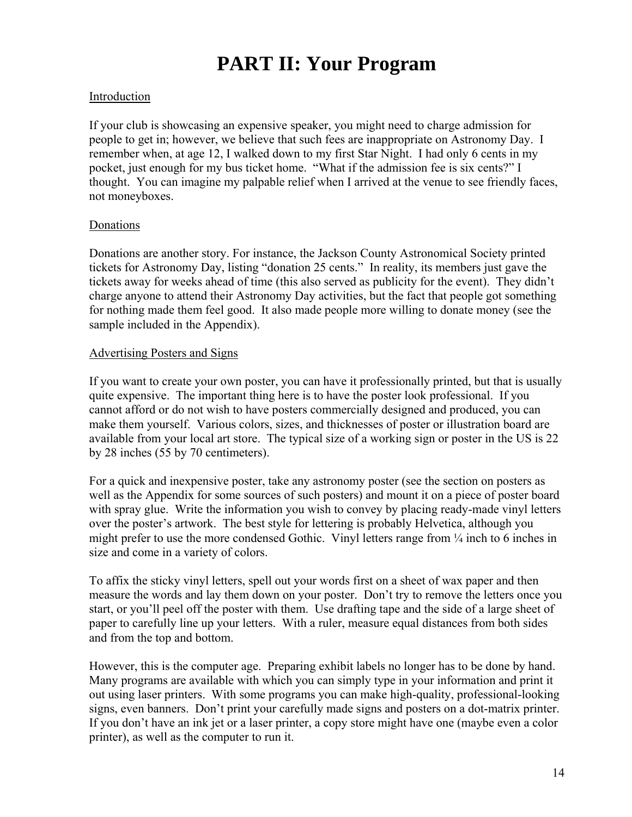## **PART II: Your Program**

#### Introduction

If your club is showcasing an expensive speaker, you might need to charge admission for people to get in; however, we believe that such fees are inappropriate on Astronomy Day. I remember when, at age 12, I walked down to my first Star Night. I had only 6 cents in my pocket, just enough for my bus ticket home. "What if the admission fee is six cents?" I thought. You can imagine my palpable relief when I arrived at the venue to see friendly faces, not moneyboxes.

#### Donations

Donations are another story. For instance, the Jackson County Astronomical Society printed tickets for Astronomy Day, listing "donation 25 cents." In reality, its members just gave the tickets away for weeks ahead of time (this also served as publicity for the event). They didn't charge anyone to attend their Astronomy Day activities, but the fact that people got something for nothing made them feel good. It also made people more willing to donate money (see the sample included in the Appendix).

#### Advertising Posters and Signs

If you want to create your own poster, you can have it professionally printed, but that is usually quite expensive. The important thing here is to have the poster look professional. If you cannot afford or do not wish to have posters commercially designed and produced, you can make them yourself. Various colors, sizes, and thicknesses of poster or illustration board are available from your local art store. The typical size of a working sign or poster in the US is 22 by 28 inches (55 by 70 centimeters).

For a quick and inexpensive poster, take any astronomy poster (see the section on posters as well as the Appendix for some sources of such posters) and mount it on a piece of poster board with spray glue. Write the information you wish to convey by placing ready-made vinyl letters over the poster's artwork. The best style for lettering is probably Helvetica, although you might prefer to use the more condensed Gothic. Vinyl letters range from ¼ inch to 6 inches in size and come in a variety of colors.

To affix the sticky vinyl letters, spell out your words first on a sheet of wax paper and then measure the words and lay them down on your poster. Don't try to remove the letters once you start, or you'll peel off the poster with them. Use drafting tape and the side of a large sheet of paper to carefully line up your letters. With a ruler, measure equal distances from both sides and from the top and bottom.

However, this is the computer age. Preparing exhibit labels no longer has to be done by hand. Many programs are available with which you can simply type in your information and print it out using laser printers. With some programs you can make high-quality, professional-looking signs, even banners. Don't print your carefully made signs and posters on a dot-matrix printer. If you don't have an ink jet or a laser printer, a copy store might have one (maybe even a color printer), as well as the computer to run it.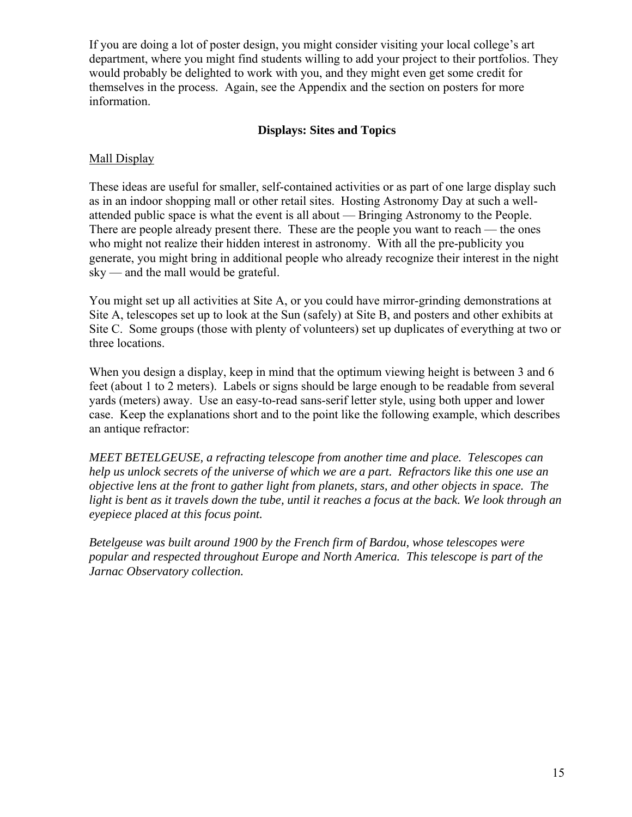If you are doing a lot of poster design, you might consider visiting your local college's art department, where you might find students willing to add your project to their portfolios. They would probably be delighted to work with you, and they might even get some credit for themselves in the process. Again, see the Appendix and the section on posters for more information.

#### **Displays: Sites and Topics**

#### Mall Display

These ideas are useful for smaller, self-contained activities or as part of one large display such as in an indoor shopping mall or other retail sites. Hosting Astronomy Day at such a wellattended public space is what the event is all about — Bringing Astronomy to the People. There are people already present there. These are the people you want to reach — the ones who might not realize their hidden interest in astronomy. With all the pre-publicity you generate, you might bring in additional people who already recognize their interest in the night sky — and the mall would be grateful.

You might set up all activities at Site A, or you could have mirror-grinding demonstrations at Site A, telescopes set up to look at the Sun (safely) at Site B, and posters and other exhibits at Site C. Some groups (those with plenty of volunteers) set up duplicates of everything at two or three locations.

When you design a display, keep in mind that the optimum viewing height is between 3 and 6 feet (about 1 to 2 meters). Labels or signs should be large enough to be readable from several yards (meters) away. Use an easy-to-read sans-serif letter style, using both upper and lower case. Keep the explanations short and to the point like the following example, which describes an antique refractor:

*MEET BETELGEUSE, a refracting telescope from another time and place. Telescopes can help us unlock secrets of the universe of which we are a part. Refractors like this one use an objective lens at the front to gather light from planets, stars, and other objects in space. The light is bent as it travels down the tube, until it reaches a focus at the back. We look through an eyepiece placed at this focus point.* 

*Betelgeuse was built around 1900 by the French firm of Bardou, whose telescopes were popular and respected throughout Europe and North America. This telescope is part of the Jarnac Observatory collection.*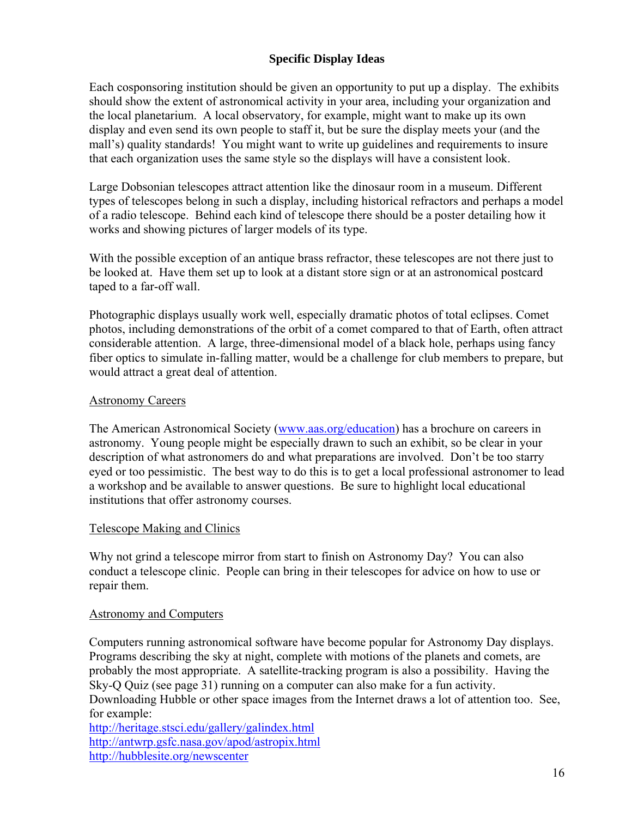#### **Specific Display Ideas**

Each cosponsoring institution should be given an opportunity to put up a display. The exhibits should show the extent of astronomical activity in your area, including your organization and the local planetarium. A local observatory, for example, might want to make up its own display and even send its own people to staff it, but be sure the display meets your (and the mall's) quality standards! You might want to write up guidelines and requirements to insure that each organization uses the same style so the displays will have a consistent look.

Large Dobsonian telescopes attract attention like the dinosaur room in a museum. Different types of telescopes belong in such a display, including historical refractors and perhaps a model of a radio telescope. Behind each kind of telescope there should be a poster detailing how it works and showing pictures of larger models of its type.

With the possible exception of an antique brass refractor, these telescopes are not there just to be looked at. Have them set up to look at a distant store sign or at an astronomical postcard taped to a far-off wall.

Photographic displays usually work well, especially dramatic photos of total eclipses. Comet photos, including demonstrations of the orbit of a comet compared to that of Earth, often attract considerable attention. A large, three-dimensional model of a black hole, perhaps using fancy fiber optics to simulate in-falling matter, would be a challenge for club members to prepare, but would attract a great deal of attention.

#### Astronomy Careers

The American Astronomical Society ([www.aas.org/education\)](http://www.aas.org/education) has a brochure on careers in astronomy. Young people might be especially drawn to such an exhibit, so be clear in your description of what astronomers do and what preparations are involved. Don't be too starry eyed or too pessimistic. The best way to do this is to get a local professional astronomer to lead a workshop and be available to answer questions. Be sure to highlight local educational institutions that offer astronomy courses.

#### Telescope Making and Clinics

Why not grind a telescope mirror from start to finish on Astronomy Day? You can also conduct a telescope clinic. People can bring in their telescopes for advice on how to use or repair them.

#### Astronomy and Computers

Computers running astronomical software have become popular for Astronomy Day displays. Programs describing the sky at night, complete with motions of the planets and comets, are probably the most appropriate. A satellite-tracking program is also a possibility. Having the Sky-Q Quiz (see page 31) running on a computer can also make for a fun activity. Downloading Hubble or other space images from the Internet draws a lot of attention too. See, for example:

<http://heritage.stsci.edu/gallery/galindex.html> <http://antwrp.gsfc.nasa.gov/apod/astropix.html> [http://hubblesite.org/newscenter](http://hubblesite.org/newscenter/)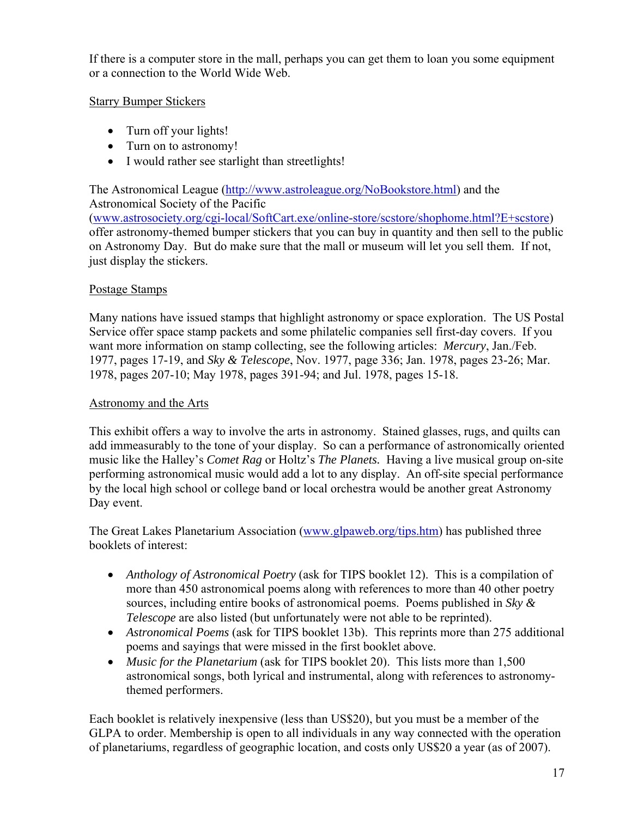If there is a computer store in the mall, perhaps you can get them to loan you some equipment or a connection to the World Wide Web.

#### Starry Bumper Stickers

- Turn off your lights!
- Turn on to astronomy!
- I would rather see starlight than streetlights!

The Astronomical League (<http://www.astroleague.org/NoBookstore.html>) and the Astronomical Society of the Pacific [\(www.astrosociety.org/cgi-local/SoftCart.exe/online-store/scstore/shophome.html?E+scstore](http://www.astrosociety.org/cgi-local/SoftCart.exe/online-store/scstore/shophome.html?E+scstore)) offer astronomy-themed bumper stickers that you can buy in quantity and then sell to the public on Astronomy Day. But do make sure that the mall or museum will let you sell them. If not, just display the stickers.

#### Postage Stamps

Many nations have issued stamps that highlight astronomy or space exploration. The US Postal Service offer space stamp packets and some philatelic companies sell first-day covers. If you want more information on stamp collecting, see the following articles: *Mercury*, Jan./Feb. 1977, pages 17-19, and *Sky & Telescope*, Nov. 1977, page 336; Jan. 1978, pages 23-26; Mar. 1978, pages 207-10; May 1978, pages 391-94; and Jul. 1978, pages 15-18.

#### Astronomy and the Arts

This exhibit offers a way to involve the arts in astronomy. Stained glasses, rugs, and quilts can add immeasurably to the tone of your display. So can a performance of astronomically oriented music like the Halley's *Comet Rag* or Holtz's *The Planets.* Having a live musical group on-site performing astronomical music would add a lot to any display. An off-site special performance by the local high school or college band or local orchestra would be another great Astronomy Day event.

The Great Lakes Planetarium Association [\(www.glpaweb.org/tips.htm\)](http://www.glpaweb.org/tips.htm) has published three booklets of interest:

- *Anthology of Astronomical Poetry* (ask for TIPS booklet 12). This is a compilation of more than 450 astronomical poems along with references to more than 40 other poetry sources, including entire books of astronomical poems. Poems published in *Sky & Telescope* are also listed (but unfortunately were not able to be reprinted).
- *Astronomical Poems* (ask for TIPS booklet 13b). This reprints more than 275 additional poems and sayings that were missed in the first booklet above.
- *Music for the Planetarium* (ask for TIPS booklet 20). This lists more than 1,500 astronomical songs, both lyrical and instrumental, along with references to astronomythemed performers.

Each booklet is relatively inexpensive (less than US\$20), but you must be a member of the GLPA to order. Membership is open to all individuals in any way connected with the operation of planetariums, regardless of geographic location, and costs only US\$20 a year (as of 2007).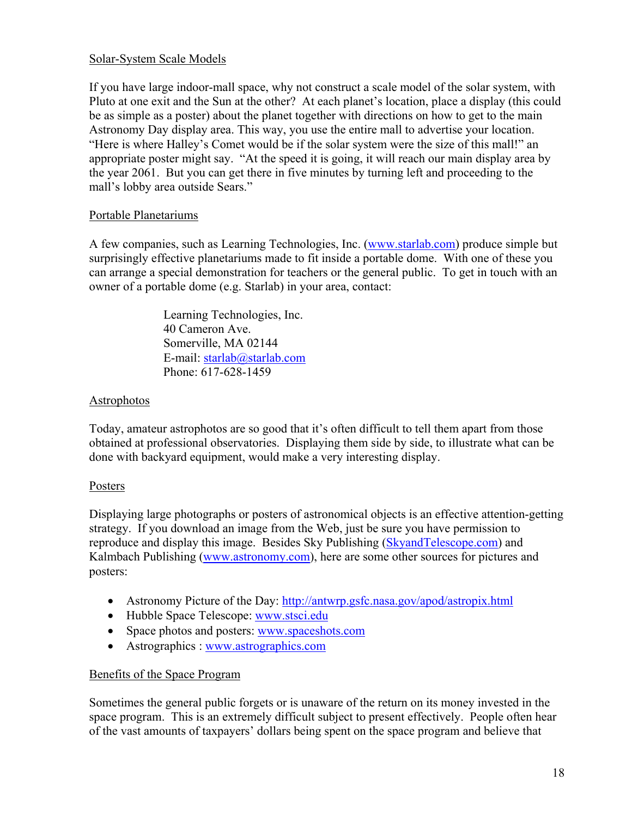#### Solar-System Scale Models

If you have large indoor-mall space, why not construct a scale model of the solar system, with Pluto at one exit and the Sun at the other? At each planet's location, place a display (this could be as simple as a poster) about the planet together with directions on how to get to the main Astronomy Day display area. This way, you use the entire mall to advertise your location. "Here is where Halley's Comet would be if the solar system were the size of this mall!" an appropriate poster might say. "At the speed it is going, it will reach our main display area by the year 2061. But you can get there in five minutes by turning left and proceeding to the mall's lobby area outside Sears."

#### Portable Planetariums

A few companies, such as Learning Technologies, Inc. ([www.starlab.com](http://www.starlab.com/)) produce simple but surprisingly effective planetariums made to fit inside a portable dome. With one of these you can arrange a special demonstration for teachers or the general public. To get in touch with an owner of a portable dome (e.g. Starlab) in your area, contact:

> Learning Technologies, Inc. 40 Cameron Ave. Somerville, MA 02144 E-mail: [starlab@starlab.com](mailto:starlab@starlab.com) Phone: 617-628-1459

#### Astrophotos

Today, amateur astrophotos are so good that it's often difficult to tell them apart from those obtained at professional observatories. Displaying them side by side, to illustrate what can be done with backyard equipment, would make a very interesting display.

#### Posters

Displaying large photographs or posters of astronomical objects is an effective attention-getting strategy. If you download an image from the Web, just be sure you have permission to reproduce and display this image. Besides Sky Publishing [\(SkyandTelescope.com\)](http://skyandtelescope.com/) and Kalmbach Publishing [\(www.astronomy.com\)](http://www.astronomy.com/), here are some other sources for pictures and posters:

- Astronomy Picture of the Day:<http://antwrp.gsfc.nasa.gov/apod/astropix.html>
- Hubble Space Telescope: [www.stsci.edu](http://www.stsci.edu/)
- Space photos and posters: [www.spaceshots.com](http://www.spaceshots.com/)
- Astrographics : [www.astrographics.com](http://www.astrographics.com/)

#### Benefits of the Space Program

Sometimes the general public forgets or is unaware of the return on its money invested in the space program. This is an extremely difficult subject to present effectively. People often hear of the vast amounts of taxpayers' dollars being spent on the space program and believe that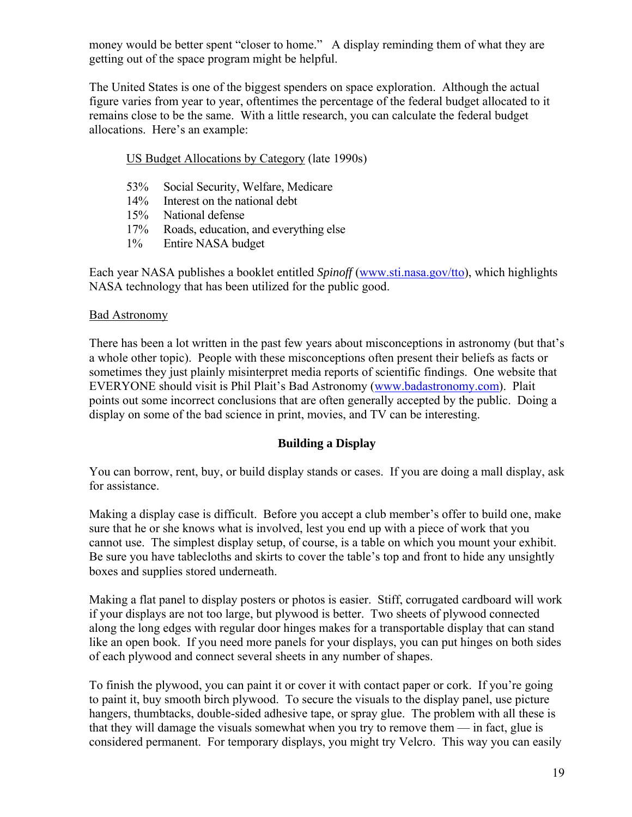money would be better spent "closer to home." A display reminding them of what they are getting out of the space program might be helpful.

The United States is one of the biggest spenders on space exploration. Although the actual figure varies from year to year, oftentimes the percentage of the federal budget allocated to it remains close to be the same. With a little research, you can calculate the federal budget allocations. Here's an example:

#### US Budget Allocations by Category (late 1990s)

- 53% Social Security, Welfare, Medicare
- 14% Interest on the national debt
- 15% National defense
- 17% Roads, education, and everything else
- 1% Entire NASA budget

Each year NASA publishes a booklet entitled *Spinoff* [\(www.sti.nasa.gov/tto](http://www.sti.nasa.gov/tto)), which highlights NASA technology that has been utilized for the public good.

#### Bad Astronomy

There has been a lot written in the past few years about misconceptions in astronomy (but that's a whole other topic). People with these misconceptions often present their beliefs as facts or sometimes they just plainly misinterpret media reports of scientific findings. One website that EVERYONE should visit is Phil Plait's Bad Astronomy [\(www.badastronomy.com\)](http://www.badastronomy.com/). Plait points out some incorrect conclusions that are often generally accepted by the public. Doing a display on some of the bad science in print, movies, and TV can be interesting.

#### **Building a Display**

You can borrow, rent, buy, or build display stands or cases. If you are doing a mall display, ask for assistance.

Making a display case is difficult. Before you accept a club member's offer to build one, make sure that he or she knows what is involved, lest you end up with a piece of work that you cannot use. The simplest display setup, of course, is a table on which you mount your exhibit. Be sure you have tablecloths and skirts to cover the table's top and front to hide any unsightly boxes and supplies stored underneath.

Making a flat panel to display posters or photos is easier. Stiff, corrugated cardboard will work if your displays are not too large, but plywood is better. Two sheets of plywood connected along the long edges with regular door hinges makes for a transportable display that can stand like an open book. If you need more panels for your displays, you can put hinges on both sides of each plywood and connect several sheets in any number of shapes.

To finish the plywood, you can paint it or cover it with contact paper or cork. If you're going to paint it, buy smooth birch plywood. To secure the visuals to the display panel, use picture hangers, thumbtacks, double-sided adhesive tape, or spray glue. The problem with all these is that they will damage the visuals somewhat when you try to remove them — in fact, glue is considered permanent. For temporary displays, you might try Velcro. This way you can easily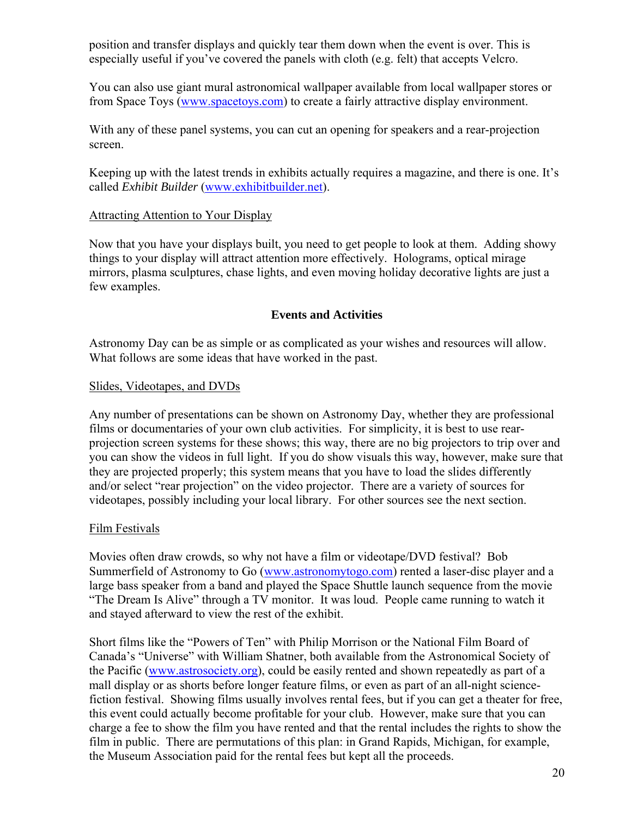position and transfer displays and quickly tear them down when the event is over. This is especially useful if you've covered the panels with cloth (e.g. felt) that accepts Velcro.

You can also use giant mural astronomical wallpaper available from local wallpaper stores or from Space Toys [\(www.spacetoys.com\)](http://www.spacetoys.com/) to create a fairly attractive display environment.

With any of these panel systems, you can cut an opening for speakers and a rear-projection screen.

Keeping up with the latest trends in exhibits actually requires a magazine, and there is one. It's called *Exhibit Builder* ([www.exhibitbuilder.net\)](http://www.exhibitbuilder.net/).

#### Attracting Attention to Your Display

Now that you have your displays built, you need to get people to look at them. Adding showy things to your display will attract attention more effectively. Holograms, optical mirage mirrors, plasma sculptures, chase lights, and even moving holiday decorative lights are just a few examples.

#### **Events and Activities**

Astronomy Day can be as simple or as complicated as your wishes and resources will allow. What follows are some ideas that have worked in the past.

#### Slides, Videotapes, and DVDs

Any number of presentations can be shown on Astronomy Day, whether they are professional films or documentaries of your own club activities. For simplicity, it is best to use rearprojection screen systems for these shows; this way, there are no big projectors to trip over and you can show the videos in full light. If you do show visuals this way, however, make sure that they are projected properly; this system means that you have to load the slides differently and/or select "rear projection" on the video projector. There are a variety of sources for videotapes, possibly including your local library. For other sources see the next section.

#### Film Festivals

Movies often draw crowds, so why not have a film or videotape/DVD festival? Bob Summerfield of Astronomy to Go ([www.astronomytogo.com\)](http://www.astronomytogo.com/) rented a laser-disc player and a large bass speaker from a band and played the Space Shuttle launch sequence from the movie "The Dream Is Alive" through a TV monitor. It was loud. People came running to watch it and stayed afterward to view the rest of the exhibit.

Short films like the "Powers of Ten" with Philip Morrison or the National Film Board of Canada's "Universe" with William Shatner, both available from the Astronomical Society of the Pacific [\(www.astrosociety.org\)](http://www.astrosociety.org/), could be easily rented and shown repeatedly as part of a mall display or as shorts before longer feature films, or even as part of an all-night sciencefiction festival. Showing films usually involves rental fees, but if you can get a theater for free, this event could actually become profitable for your club. However, make sure that you can charge a fee to show the film you have rented and that the rental includes the rights to show the film in public. There are permutations of this plan: in Grand Rapids, Michigan, for example, the Museum Association paid for the rental fees but kept all the proceeds.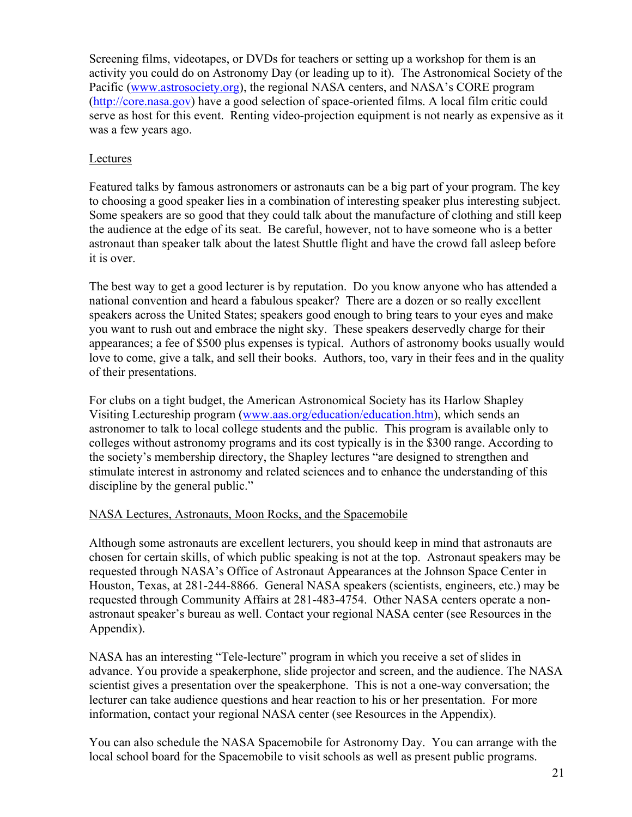Screening films, videotapes, or DVDs for teachers or setting up a workshop for them is an activity you could do on Astronomy Day (or leading up to it). The Astronomical Society of the Pacific ([www.astrosociety.org](http://www.astrosociety.org/)), the regional NASA centers, and NASA's CORE program [\(http://core.nasa.gov](http://core.nasa.gov/)) have a good selection of space-oriented films. A local film critic could serve as host for this event. Renting video-projection equipment is not nearly as expensive as it was a few years ago.

#### **Lectures**

Featured talks by famous astronomers or astronauts can be a big part of your program. The key to choosing a good speaker lies in a combination of interesting speaker plus interesting subject. Some speakers are so good that they could talk about the manufacture of clothing and still keep the audience at the edge of its seat. Be careful, however, not to have someone who is a better astronaut than speaker talk about the latest Shuttle flight and have the crowd fall asleep before it is over.

The best way to get a good lecturer is by reputation. Do you know anyone who has attended a national convention and heard a fabulous speaker? There are a dozen or so really excellent speakers across the United States; speakers good enough to bring tears to your eyes and make you want to rush out and embrace the night sky. These speakers deservedly charge for their appearances; a fee of \$500 plus expenses is typical. Authors of astronomy books usually would love to come, give a talk, and sell their books. Authors, too, vary in their fees and in the quality of their presentations.

For clubs on a tight budget, the American Astronomical Society has its Harlow Shapley Visiting Lectureship program [\(www.aas.org/education/education.htm](http://www.aas.org/education/education.htm)), which sends an astronomer to talk to local college students and the public. This program is available only to colleges without astronomy programs and its cost typically is in the \$300 range. According to the society's membership directory, the Shapley lectures "are designed to strengthen and stimulate interest in astronomy and related sciences and to enhance the understanding of this discipline by the general public."

#### NASA Lectures, Astronauts, Moon Rocks, and the Spacemobile

Although some astronauts are excellent lecturers, you should keep in mind that astronauts are chosen for certain skills, of which public speaking is not at the top. Astronaut speakers may be requested through NASA's Office of Astronaut Appearances at the Johnson Space Center in Houston, Texas, at 281-244-8866. General NASA speakers (scientists, engineers, etc.) may be requested through Community Affairs at 281-483-4754. Other NASA centers operate a nonastronaut speaker's bureau as well. Contact your regional NASA center (see Resources in the Appendix).

NASA has an interesting "Tele-lecture" program in which you receive a set of slides in advance. You provide a speakerphone, slide projector and screen, and the audience. The NASA scientist gives a presentation over the speakerphone. This is not a one-way conversation; the lecturer can take audience questions and hear reaction to his or her presentation. For more information, contact your regional NASA center (see Resources in the Appendix).

You can also schedule the NASA Spacemobile for Astronomy Day. You can arrange with the local school board for the Spacemobile to visit schools as well as present public programs.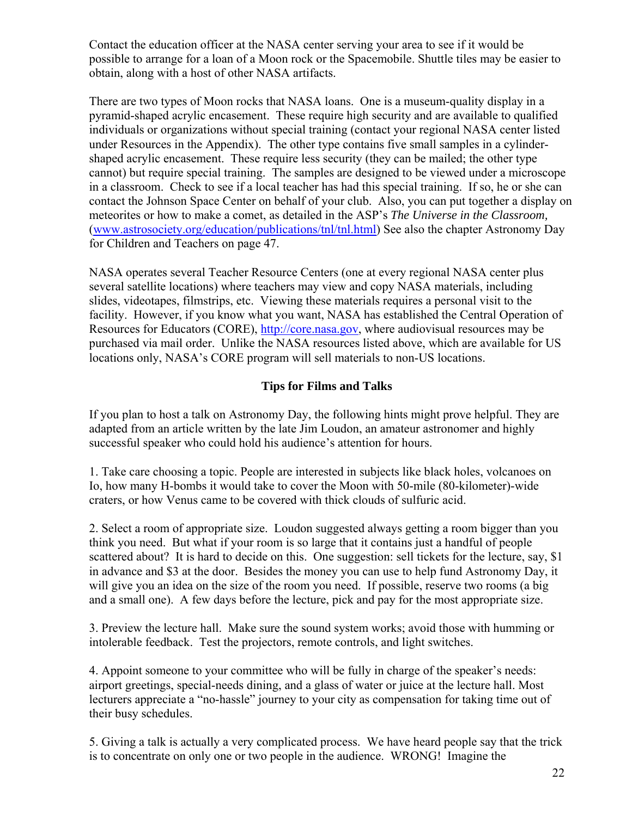Contact the education officer at the NASA center serving your area to see if it would be possible to arrange for a loan of a Moon rock or the Spacemobile. Shuttle tiles may be easier to obtain, along with a host of other NASA artifacts.

There are two types of Moon rocks that NASA loans. One is a museum-quality display in a pyramid-shaped acrylic encasement. These require high security and are available to qualified individuals or organizations without special training (contact your regional NASA center listed under Resources in the Appendix). The other type contains five small samples in a cylindershaped acrylic encasement. These require less security (they can be mailed; the other type cannot) but require special training. The samples are designed to be viewed under a microscope in a classroom. Check to see if a local teacher has had this special training. If so, he or she can contact the Johnson Space Center on behalf of your club. Also, you can put together a display on meteorites or how to make a comet, as detailed in the ASP's *The Universe in the Classroom,* [\(www.astrosociety.org/education/publications/tnl/tnl.html\)](http://www.astrosociety.org/education/publications/tnl/tnl.html) See also the chapter Astronomy Day for Children and Teachers on page 47.

NASA operates several Teacher Resource Centers (one at every regional NASA center plus several satellite locations) where teachers may view and copy NASA materials, including slides, videotapes, filmstrips, etc. Viewing these materials requires a personal visit to the facility. However, if you know what you want, NASA has established the Central Operation of Resources for Educators (CORE), [http://core.nasa.gov](http://core.nasa.gov/), where audiovisual resources may be purchased via mail order. Unlike the NASA resources listed above, which are available for US locations only, NASA's CORE program will sell materials to non-US locations.

#### **Tips for Films and Talks**

If you plan to host a talk on Astronomy Day, the following hints might prove helpful. They are adapted from an article written by the late Jim Loudon, an amateur astronomer and highly successful speaker who could hold his audience's attention for hours.

1. Take care choosing a topic. People are interested in subjects like black holes, volcanoes on Io, how many H-bombs it would take to cover the Moon with 50-mile (80-kilometer)-wide craters, or how Venus came to be covered with thick clouds of sulfuric acid.

2. Select a room of appropriate size. Loudon suggested always getting a room bigger than you think you need. But what if your room is so large that it contains just a handful of people scattered about? It is hard to decide on this. One suggestion: sell tickets for the lecture, say, \$1 in advance and \$3 at the door. Besides the money you can use to help fund Astronomy Day, it will give you an idea on the size of the room you need. If possible, reserve two rooms (a big and a small one). A few days before the lecture, pick and pay for the most appropriate size.

3. Preview the lecture hall. Make sure the sound system works; avoid those with humming or intolerable feedback. Test the projectors, remote controls, and light switches.

4. Appoint someone to your committee who will be fully in charge of the speaker's needs: airport greetings, special-needs dining, and a glass of water or juice at the lecture hall. Most lecturers appreciate a "no-hassle" journey to your city as compensation for taking time out of their busy schedules.

5. Giving a talk is actually a very complicated process. We have heard people say that the trick is to concentrate on only one or two people in the audience. WRONG! Imagine the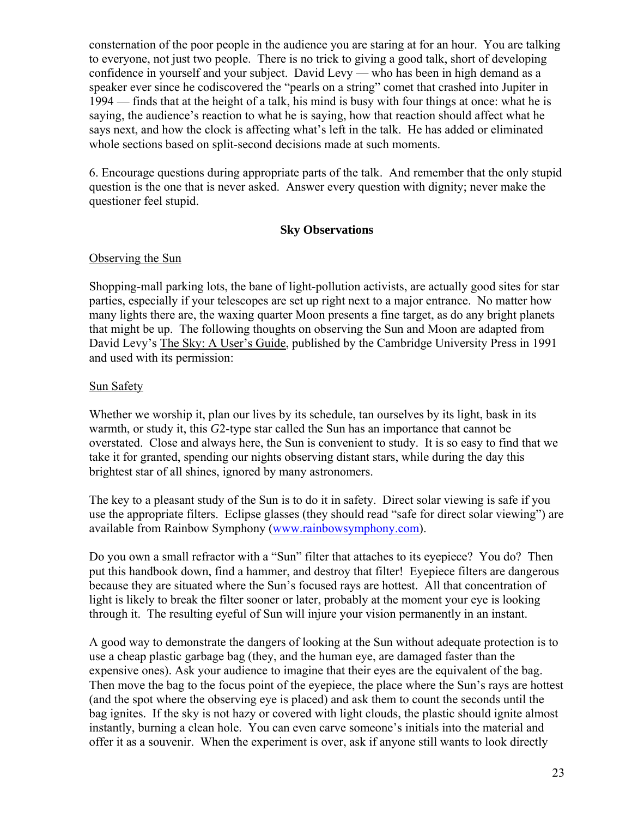consternation of the poor people in the audience you are staring at for an hour. You are talking to everyone, not just two people. There is no trick to giving a good talk, short of developing confidence in yourself and your subject. David Levy — who has been in high demand as a speaker ever since he codiscovered the "pearls on a string" comet that crashed into Jupiter in 1994 — finds that at the height of a talk, his mind is busy with four things at once: what he is saying, the audience's reaction to what he is saying, how that reaction should affect what he says next, and how the clock is affecting what's left in the talk. He has added or eliminated whole sections based on split-second decisions made at such moments.

6. Encourage questions during appropriate parts of the talk. And remember that the only stupid question is the one that is never asked. Answer every question with dignity; never make the questioner feel stupid.

#### **Sky Observations**

#### Observing the Sun

Shopping-mall parking lots, the bane of light-pollution activists, are actually good sites for star parties, especially if your telescopes are set up right next to a major entrance. No matter how many lights there are, the waxing quarter Moon presents a fine target, as do any bright planets that might be up. The following thoughts on observing the Sun and Moon are adapted from David Levy's The Sky: A User's Guide, published by the Cambridge University Press in 1991 and used with its permission:

#### Sun Safety

Whether we worship it, plan our lives by its schedule, tan ourselves by its light, bask in its warmth, or study it, this *G*2-type star called the Sun has an importance that cannot be overstated. Close and always here, the Sun is convenient to study. It is so easy to find that we take it for granted, spending our nights observing distant stars, while during the day this brightest star of all shines, ignored by many astronomers.

The key to a pleasant study of the Sun is to do it in safety. Direct solar viewing is safe if you use the appropriate filters. Eclipse glasses (they should read "safe for direct solar viewing") are available from Rainbow Symphony [\(www.rainbowsymphony.com](http://www.rainbowsymphony.com/)).

Do you own a small refractor with a "Sun" filter that attaches to its eyepiece? You do? Then put this handbook down, find a hammer, and destroy that filter! Eyepiece filters are dangerous because they are situated where the Sun's focused rays are hottest. All that concentration of light is likely to break the filter sooner or later, probably at the moment your eye is looking through it. The resulting eyeful of Sun will injure your vision permanently in an instant.

A good way to demonstrate the dangers of looking at the Sun without adequate protection is to use a cheap plastic garbage bag (they, and the human eye, are damaged faster than the expensive ones). Ask your audience to imagine that their eyes are the equivalent of the bag. Then move the bag to the focus point of the eyepiece, the place where the Sun's rays are hottest (and the spot where the observing eye is placed) and ask them to count the seconds until the bag ignites. If the sky is not hazy or covered with light clouds, the plastic should ignite almost instantly, burning a clean hole. You can even carve someone's initials into the material and offer it as a souvenir. When the experiment is over, ask if anyone still wants to look directly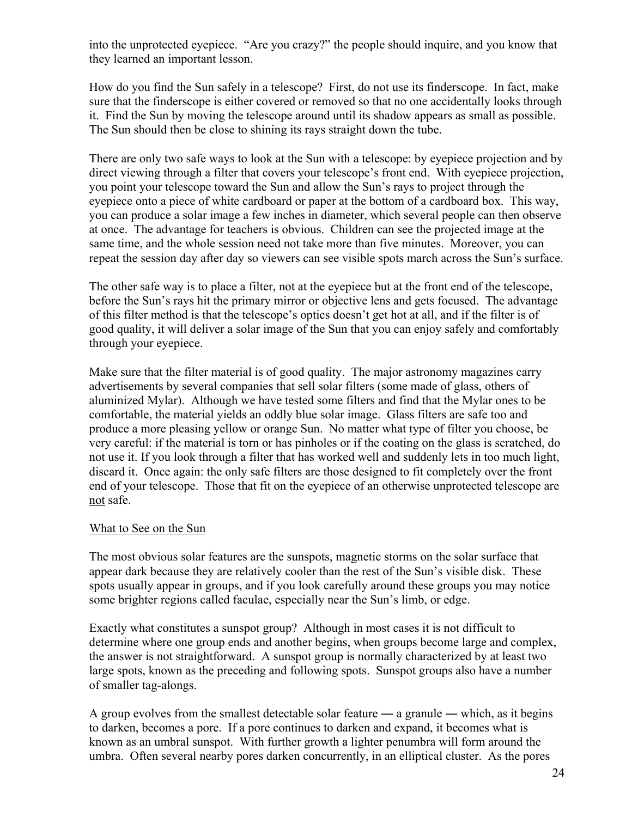into the unprotected eyepiece. "Are you crazy?" the people should inquire, and you know that they learned an important lesson.

How do you find the Sun safely in a telescope? First, do not use its finderscope. In fact, make sure that the finderscope is either covered or removed so that no one accidentally looks through it. Find the Sun by moving the telescope around until its shadow appears as small as possible. The Sun should then be close to shining its rays straight down the tube.

There are only two safe ways to look at the Sun with a telescope: by eyepiece projection and by direct viewing through a filter that covers your telescope's front end. With eyepiece projection, you point your telescope toward the Sun and allow the Sun's rays to project through the eyepiece onto a piece of white cardboard or paper at the bottom of a cardboard box. This way, you can produce a solar image a few inches in diameter, which several people can then observe at once. The advantage for teachers is obvious. Children can see the projected image at the same time, and the whole session need not take more than five minutes. Moreover, you can repeat the session day after day so viewers can see visible spots march across the Sun's surface.

The other safe way is to place a filter, not at the eyepiece but at the front end of the telescope, before the Sun's rays hit the primary mirror or objective lens and gets focused. The advantage of this filter method is that the telescope's optics doesn't get hot at all, and if the filter is of good quality, it will deliver a solar image of the Sun that you can enjoy safely and comfortably through your eyepiece.

Make sure that the filter material is of good quality. The major astronomy magazines carry advertisements by several companies that sell solar filters (some made of glass, others of aluminized Mylar). Although we have tested some filters and find that the Mylar ones to be comfortable, the material yields an oddly blue solar image. Glass filters are safe too and produce a more pleasing yellow or orange Sun. No matter what type of filter you choose, be very careful: if the material is torn or has pinholes or if the coating on the glass is scratched, do not use it. If you look through a filter that has worked well and suddenly lets in too much light, discard it. Once again: the only safe filters are those designed to fit completely over the front end of your telescope. Those that fit on the eyepiece of an otherwise unprotected telescope are not safe.

#### What to See on the Sun

The most obvious solar features are the sunspots, magnetic storms on the solar surface that appear dark because they are relatively cooler than the rest of the Sun's visible disk. These spots usually appear in groups, and if you look carefully around these groups you may notice some brighter regions called faculae, especially near the Sun's limb, or edge.

Exactly what constitutes a sunspot group? Although in most cases it is not difficult to determine where one group ends and another begins, when groups become large and complex, the answer is not straightforward. A sunspot group is normally characterized by at least two large spots, known as the preceding and following spots. Sunspot groups also have a number of smaller tag-alongs.

A group evolves from the smallest detectable solar feature — a granule — which, as it begins to darken, becomes a pore. If a pore continues to darken and expand, it becomes what is known as an umbral sunspot. With further growth a lighter penumbra will form around the umbra. Often several nearby pores darken concurrently, in an elliptical cluster. As the pores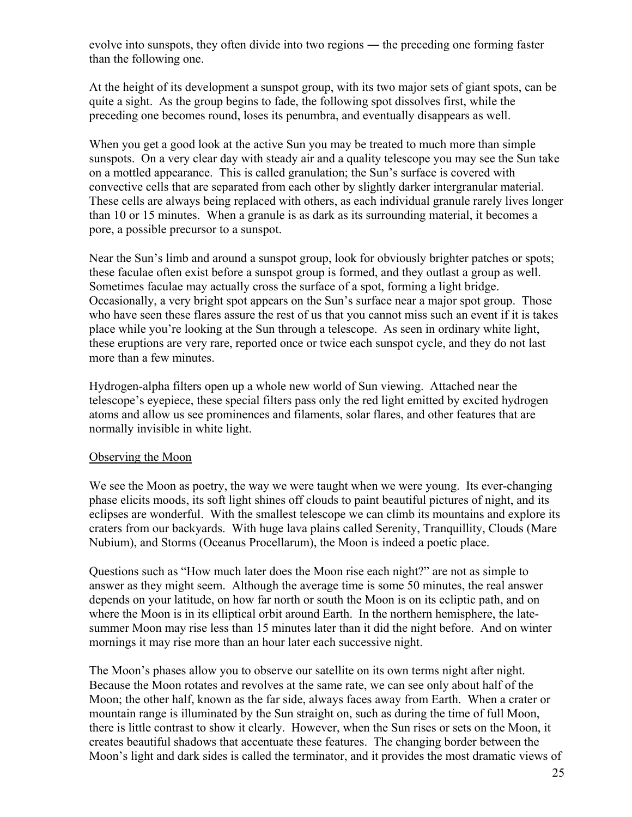evolve into sunspots, they often divide into two regions ― the preceding one forming faster than the following one.

At the height of its development a sunspot group, with its two major sets of giant spots, can be quite a sight. As the group begins to fade, the following spot dissolves first, while the preceding one becomes round, loses its penumbra, and eventually disappears as well.

When you get a good look at the active Sun you may be treated to much more than simple sunspots. On a very clear day with steady air and a quality telescope you may see the Sun take on a mottled appearance. This is called granulation; the Sun's surface is covered with convective cells that are separated from each other by slightly darker intergranular material. These cells are always being replaced with others, as each individual granule rarely lives longer than 10 or 15 minutes. When a granule is as dark as its surrounding material, it becomes a pore, a possible precursor to a sunspot.

Near the Sun's limb and around a sunspot group, look for obviously brighter patches or spots; these faculae often exist before a sunspot group is formed, and they outlast a group as well. Sometimes faculae may actually cross the surface of a spot, forming a light bridge. Occasionally, a very bright spot appears on the Sun's surface near a major spot group. Those who have seen these flares assure the rest of us that you cannot miss such an event if it is takes place while you're looking at the Sun through a telescope. As seen in ordinary white light, these eruptions are very rare, reported once or twice each sunspot cycle, and they do not last more than a few minutes.

Hydrogen-alpha filters open up a whole new world of Sun viewing. Attached near the telescope's eyepiece, these special filters pass only the red light emitted by excited hydrogen atoms and allow us see prominences and filaments, solar flares, and other features that are normally invisible in white light.

#### Observing the Moon

We see the Moon as poetry, the way we were taught when we were young. Its ever-changing phase elicits moods, its soft light shines off clouds to paint beautiful pictures of night, and its eclipses are wonderful. With the smallest telescope we can climb its mountains and explore its craters from our backyards. With huge lava plains called Serenity, Tranquillity, Clouds (Mare Nubium), and Storms (Oceanus Procellarum), the Moon is indeed a poetic place.

Questions such as "How much later does the Moon rise each night?" are not as simple to answer as they might seem. Although the average time is some 50 minutes, the real answer depends on your latitude, on how far north or south the Moon is on its ecliptic path, and on where the Moon is in its elliptical orbit around Earth. In the northern hemisphere, the latesummer Moon may rise less than 15 minutes later than it did the night before. And on winter mornings it may rise more than an hour later each successive night.

The Moon's phases allow you to observe our satellite on its own terms night after night. Because the Moon rotates and revolves at the same rate, we can see only about half of the Moon; the other half, known as the far side, always faces away from Earth. When a crater or mountain range is illuminated by the Sun straight on, such as during the time of full Moon, there is little contrast to show it clearly. However, when the Sun rises or sets on the Moon, it creates beautiful shadows that accentuate these features. The changing border between the Moon's light and dark sides is called the terminator, and it provides the most dramatic views of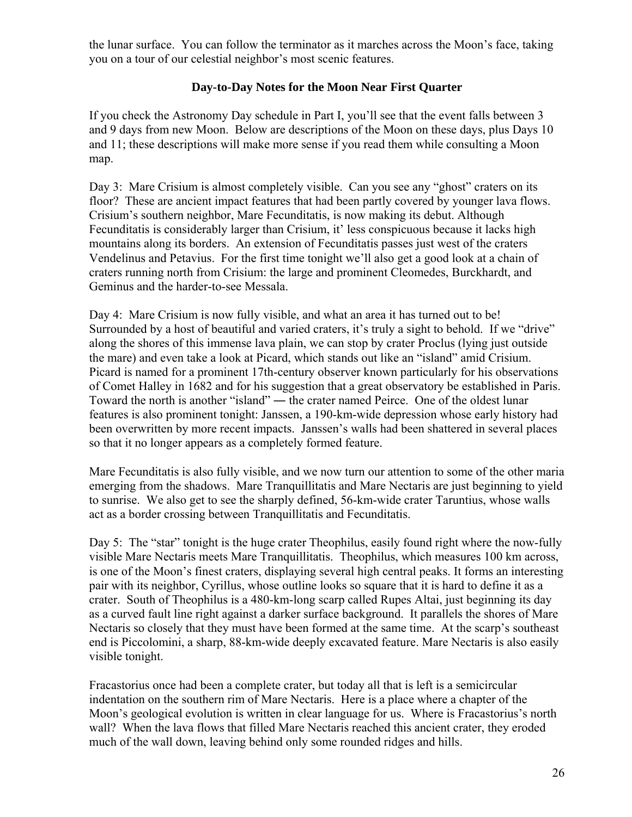the lunar surface. You can follow the terminator as it marches across the Moon's face, taking you on a tour of our celestial neighbor's most scenic features.

#### **Day-to-Day Notes for the Moon Near First Quarter**

If you check the Astronomy Day schedule in Part I, you'll see that the event falls between 3 and 9 days from new Moon. Below are descriptions of the Moon on these days, plus Days 10 and 11; these descriptions will make more sense if you read them while consulting a Moon map.

Day 3: Mare Crisium is almost completely visible. Can you see any "ghost" craters on its floor? These are ancient impact features that had been partly covered by younger lava flows. Crisium's southern neighbor, Mare Fecunditatis, is now making its debut. Although Fecunditatis is considerably larger than Crisium, it' less conspicuous because it lacks high mountains along its borders. An extension of Fecunditatis passes just west of the craters Vendelinus and Petavius. For the first time tonight we'll also get a good look at a chain of craters running north from Crisium: the large and prominent Cleomedes, Burckhardt, and Geminus and the harder-to-see Messala.

Day 4: Mare Crisium is now fully visible, and what an area it has turned out to be! Surrounded by a host of beautiful and varied craters, it's truly a sight to behold. If we "drive" along the shores of this immense lava plain, we can stop by crater Proclus (lying just outside the mare) and even take a look at Picard, which stands out like an "island" amid Crisium. Picard is named for a prominent 17th-century observer known particularly for his observations of Comet Halley in 1682 and for his suggestion that a great observatory be established in Paris. Toward the north is another "island" ― the crater named Peirce. One of the oldest lunar features is also prominent tonight: Janssen, a 190-km-wide depression whose early history had been overwritten by more recent impacts. Janssen's walls had been shattered in several places so that it no longer appears as a completely formed feature.

Mare Fecunditatis is also fully visible, and we now turn our attention to some of the other maria emerging from the shadows. Mare Tranquillitatis and Mare Nectaris are just beginning to yield to sunrise. We also get to see the sharply defined, 56-km-wide crater Taruntius, whose walls act as a border crossing between Tranquillitatis and Fecunditatis.

Day 5: The "star" tonight is the huge crater Theophilus, easily found right where the now-fully visible Mare Nectaris meets Mare Tranquillitatis. Theophilus, which measures 100 km across, is one of the Moon's finest craters, displaying several high central peaks. It forms an interesting pair with its neighbor, Cyrillus, whose outline looks so square that it is hard to define it as a crater. South of Theophilus is a 480-km-long scarp called Rupes Altai, just beginning its day as a curved fault line right against a darker surface background. It parallels the shores of Mare Nectaris so closely that they must have been formed at the same time. At the scarp's southeast end is Piccolomini, a sharp, 88-km-wide deeply excavated feature. Mare Nectaris is also easily visible tonight.

Fracastorius once had been a complete crater, but today all that is left is a semicircular indentation on the southern rim of Mare Nectaris. Here is a place where a chapter of the Moon's geological evolution is written in clear language for us. Where is Fracastorius's north wall? When the lava flows that filled Mare Nectaris reached this ancient crater, they eroded much of the wall down, leaving behind only some rounded ridges and hills.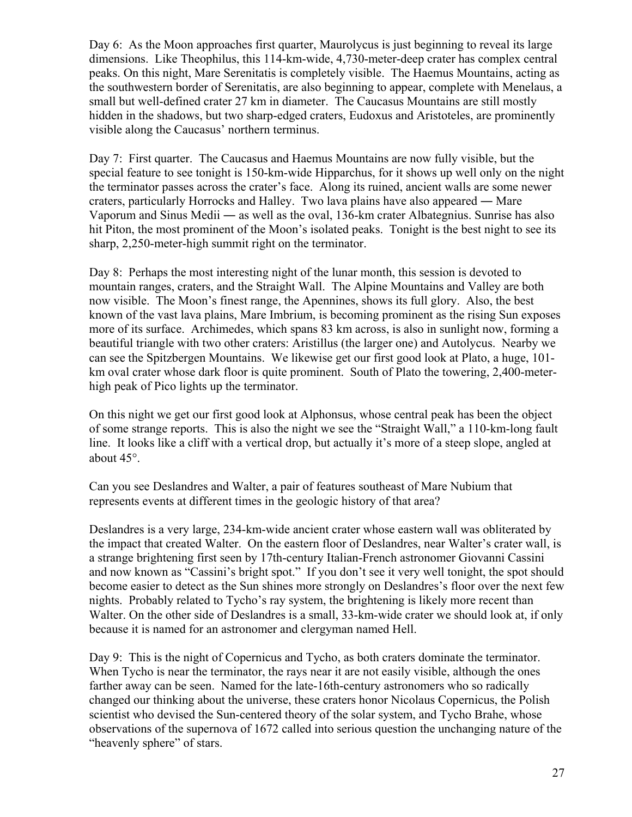Day 6: As the Moon approaches first quarter, Maurolycus is just beginning to reveal its large dimensions. Like Theophilus, this 114-km-wide, 4,730-meter-deep crater has complex central peaks. On this night, Mare Serenitatis is completely visible. The Haemus Mountains, acting as the southwestern border of Serenitatis, are also beginning to appear, complete with Menelaus, a small but well-defined crater 27 km in diameter. The Caucasus Mountains are still mostly hidden in the shadows, but two sharp-edged craters, Eudoxus and Aristoteles, are prominently visible along the Caucasus' northern terminus.

Day 7: First quarter. The Caucasus and Haemus Mountains are now fully visible, but the special feature to see tonight is 150-km-wide Hipparchus, for it shows up well only on the night the terminator passes across the crater's face. Along its ruined, ancient walls are some newer craters, particularly Horrocks and Halley. Two lava plains have also appeared ― Mare Vaporum and Sinus Medii ― as well as the oval, 136-km crater Albategnius. Sunrise has also hit Piton, the most prominent of the Moon's isolated peaks. Tonight is the best night to see its sharp, 2,250-meter-high summit right on the terminator.

Day 8: Perhaps the most interesting night of the lunar month, this session is devoted to mountain ranges, craters, and the Straight Wall. The Alpine Mountains and Valley are both now visible. The Moon's finest range, the Apennines, shows its full glory. Also, the best known of the vast lava plains, Mare Imbrium, is becoming prominent as the rising Sun exposes more of its surface. Archimedes, which spans 83 km across, is also in sunlight now, forming a beautiful triangle with two other craters: Aristillus (the larger one) and Autolycus. Nearby we can see the Spitzbergen Mountains. We likewise get our first good look at Plato, a huge, 101 km oval crater whose dark floor is quite prominent. South of Plato the towering, 2,400-meterhigh peak of Pico lights up the terminator.

On this night we get our first good look at Alphonsus, whose central peak has been the object of some strange reports. This is also the night we see the "Straight Wall," a 110-km-long fault line. It looks like a cliff with a vertical drop, but actually it's more of a steep slope, angled at about 45°.

Can you see Deslandres and Walter, a pair of features southeast of Mare Nubium that represents events at different times in the geologic history of that area?

Deslandres is a very large, 234-km-wide ancient crater whose eastern wall was obliterated by the impact that created Walter. On the eastern floor of Deslandres, near Walter's crater wall, is a strange brightening first seen by 17th-century Italian-French astronomer Giovanni Cassini and now known as "Cassini's bright spot." If you don't see it very well tonight, the spot should become easier to detect as the Sun shines more strongly on Deslandres's floor over the next few nights. Probably related to Tycho's ray system, the brightening is likely more recent than Walter. On the other side of Deslandres is a small, 33-km-wide crater we should look at, if only because it is named for an astronomer and clergyman named Hell.

Day 9: This is the night of Copernicus and Tycho, as both craters dominate the terminator. When Tycho is near the terminator, the rays near it are not easily visible, although the ones farther away can be seen. Named for the late-16th-century astronomers who so radically changed our thinking about the universe, these craters honor Nicolaus Copernicus, the Polish scientist who devised the Sun-centered theory of the solar system, and Tycho Brahe, whose observations of the supernova of 1672 called into serious question the unchanging nature of the "heavenly sphere" of stars.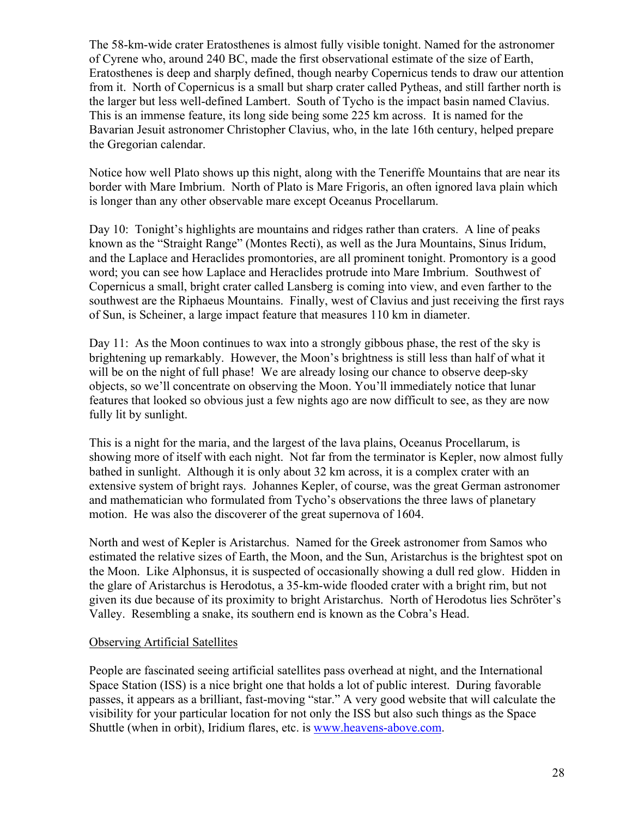The 58-km-wide crater Eratosthenes is almost fully visible tonight. Named for the astronomer of Cyrene who, around 240 BC, made the first observational estimate of the size of Earth, Eratosthenes is deep and sharply defined, though nearby Copernicus tends to draw our attention from it. North of Copernicus is a small but sharp crater called Pytheas, and still farther north is the larger but less well-defined Lambert. South of Tycho is the impact basin named Clavius. This is an immense feature, its long side being some 225 km across. It is named for the Bavarian Jesuit astronomer Christopher Clavius, who, in the late 16th century, helped prepare the Gregorian calendar.

Notice how well Plato shows up this night, along with the Teneriffe Mountains that are near its border with Mare Imbrium. North of Plato is Mare Frigoris, an often ignored lava plain which is longer than any other observable mare except Oceanus Procellarum.

Day 10: Tonight's highlights are mountains and ridges rather than craters. A line of peaks known as the "Straight Range" (Montes Recti), as well as the Jura Mountains, Sinus Iridum, and the Laplace and Heraclides promontories, are all prominent tonight. Promontory is a good word; you can see how Laplace and Heraclides protrude into Mare Imbrium. Southwest of Copernicus a small, bright crater called Lansberg is coming into view, and even farther to the southwest are the Riphaeus Mountains. Finally, west of Clavius and just receiving the first rays of Sun, is Scheiner, a large impact feature that measures 110 km in diameter.

Day 11: As the Moon continues to wax into a strongly gibbous phase, the rest of the sky is brightening up remarkably. However, the Moon's brightness is still less than half of what it will be on the night of full phase! We are already losing our chance to observe deep-sky objects, so we'll concentrate on observing the Moon. You'll immediately notice that lunar features that looked so obvious just a few nights ago are now difficult to see, as they are now fully lit by sunlight.

This is a night for the maria, and the largest of the lava plains, Oceanus Procellarum, is showing more of itself with each night. Not far from the terminator is Kepler, now almost fully bathed in sunlight. Although it is only about 32 km across, it is a complex crater with an extensive system of bright rays. Johannes Kepler, of course, was the great German astronomer and mathematician who formulated from Tycho's observations the three laws of planetary motion. He was also the discoverer of the great supernova of 1604.

North and west of Kepler is Aristarchus. Named for the Greek astronomer from Samos who estimated the relative sizes of Earth, the Moon, and the Sun, Aristarchus is the brightest spot on the Moon. Like Alphonsus, it is suspected of occasionally showing a dull red glow. Hidden in the glare of Aristarchus is Herodotus, a 35-km-wide flooded crater with a bright rim, but not given its due because of its proximity to bright Aristarchus. North of Herodotus lies Schröter's Valley. Resembling a snake, its southern end is known as the Cobra's Head.

#### Observing Artificial Satellites

People are fascinated seeing artificial satellites pass overhead at night, and the International Space Station (ISS) is a nice bright one that holds a lot of public interest. During favorable passes, it appears as a brilliant, fast-moving "star." A very good website that will calculate the visibility for your particular location for not only the ISS but also such things as the Space Shuttle (when in orbit), Iridium flares, etc. is [www.heavens-above.com.](http://www.heavens-above.com/)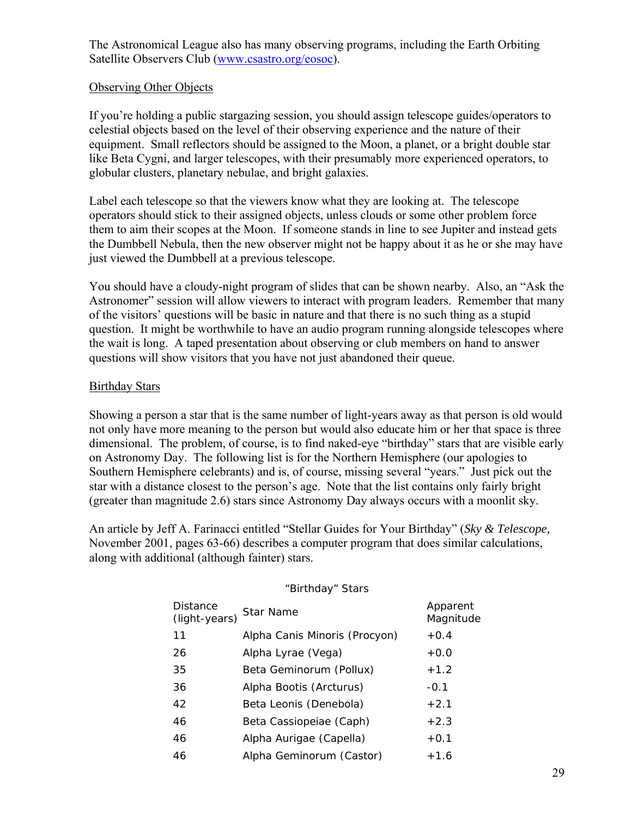The Astronomical League also has many observing programs, including the Earth Orbiting Satellite Observers Club ([www.csastro.org/eosoc\)](http://www.csastro.org/eosoc/).

#### Observing Other Objects

If you're holding a public stargazing session, you should assign telescope guides/operators to celestial objects based on the level of their observing experience and the nature of their equipment. Small reflectors should be assigned to the Moon, a planet, or a bright double star like Beta Cygni, and larger telescopes, with their presumably more experienced operators, to globular clusters, planetary nebulae, and bright galaxies.

Label each telescope so that the viewers know what they are looking at. The telescope operators should stick to their assigned objects, unless clouds or some other problem force them to aim their scopes at the Moon. If someone stands in line to see Jupiter and instead gets the Dumbbell Nebula, then the new observer might not be happy about it as he or she may have just viewed the Dumbbell at a previous telescope.

You should have a cloudy-night program of slides that can be shown nearby. Also, an "Ask the Astronomer" session will allow viewers to interact with program leaders. Remember that many of the visitors' questions will be basic in nature and that there is no such thing as a stupid question. It might be worthwhile to have an audio program running alongside telescopes where the wait is long. A taped presentation about observing or club members on hand to answer questions will show visitors that you have not just abandoned their queue.

#### Birthday Stars

Showing a person a star that is the same number of light-years away as that person is old would not only have more meaning to the person but would also educate him or her that space is three dimensional. The problem, of course, is to find naked-eye "birthday" stars that are visible early on Astronomy Day. The following list is for the Northern Hemisphere (our apologies to Southern Hemisphere celebrants) and is, of course, missing several "years." Just pick out the star with a distance closest to the person's age. Note that the list contains only fairly bright (greater than magnitude 2.6) stars since Astronomy Day always occurs with a moonlit sky.

An article by Jeff A. Farinacci entitled "Stellar Guides for Your Birthday" (*Sky & Telescope,*  November 2001, pages 63-66) describes a computer program that does similar calculations, along with additional (although fainter) stars.

| <b>Distance</b><br>(light-years) | Star Name                     | Apparent<br>Magnitude |
|----------------------------------|-------------------------------|-----------------------|
| 11                               | Alpha Canis Minoris (Procyon) | $+0.4$                |
| 26                               | Alpha Lyrae (Vega)            | $+0.0$                |
| 35                               | Beta Geminorum (Pollux)       | $+1.2$                |
| 36                               | Alpha Bootis (Arcturus)       | $-0.1$                |
| 42                               | Beta Leonis (Denebola)        | $+2.1$                |
| 46                               | Beta Cassiopeiae (Caph)       | $+2.3$                |
| 46                               | Alpha Aurigae (Capella)       | $+0.1$                |
| 46                               | Alpha Geminorum (Castor)      | $+1.6$                |

#### "Birthday" Stars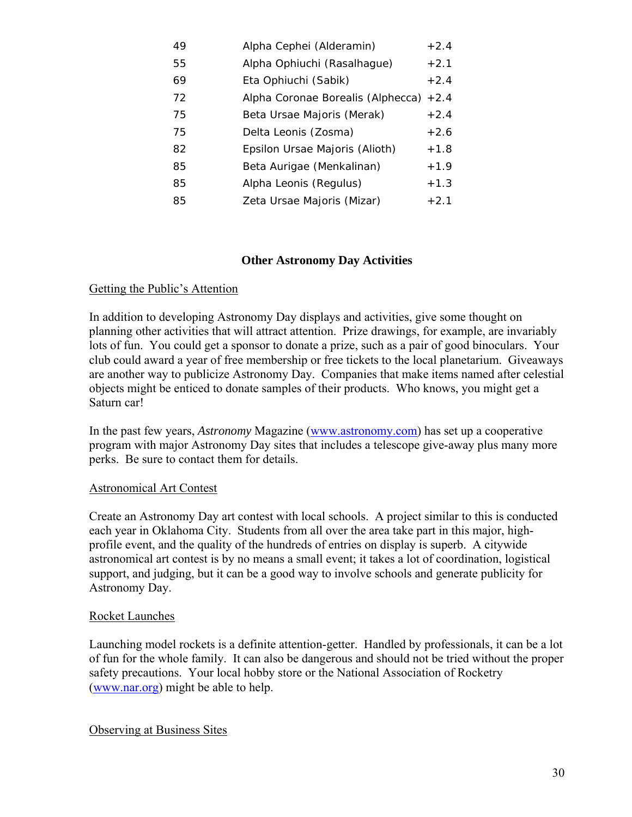| 49 | Alpha Cephei (Alderamin)               | $+2.4$ |
|----|----------------------------------------|--------|
| 55 | Alpha Ophiuchi (Rasalhague)            | $+2.1$ |
| 69 | Eta Ophiuchi (Sabik)                   | $+2.4$ |
| 72 | Alpha Coronae Borealis (Alphecca) +2.4 |        |
| 75 | Beta Ursae Majoris (Merak)             | $+2.4$ |
| 75 | Delta Leonis (Zosma)                   | $+2.6$ |
| 82 | Epsilon Ursae Majoris (Alioth)         | $+1.8$ |
| 85 | Beta Aurigae (Menkalinan)              | $+1.9$ |
| 85 | Alpha Leonis (Regulus)                 | $+1.3$ |
| 85 | Zeta Ursae Majoris (Mizar)             | $+2.1$ |

#### **Other Astronomy Day Activities**

#### Getting the Public's Attention

In addition to developing Astronomy Day displays and activities, give some thought on planning other activities that will attract attention. Prize drawings, for example, are invariably lots of fun. You could get a sponsor to donate a prize, such as a pair of good binoculars. Your club could award a year of free membership or free tickets to the local planetarium. Giveaways are another way to publicize Astronomy Day. Companies that make items named after celestial objects might be enticed to donate samples of their products. Who knows, you might get a Saturn car!

In the past few years, *Astronomy* Magazine ([www.astronomy.com](http://www.astronomy.com/)) has set up a cooperative program with major Astronomy Day sites that includes a telescope give-away plus many more perks. Be sure to contact them for details.

#### Astronomical Art Contest

Create an Astronomy Day art contest with local schools. A project similar to this is conducted each year in Oklahoma City. Students from all over the area take part in this major, highprofile event, and the quality of the hundreds of entries on display is superb. A citywide astronomical art contest is by no means a small event; it takes a lot of coordination, logistical support, and judging, but it can be a good way to involve schools and generate publicity for Astronomy Day.

#### Rocket Launches

Launching model rockets is a definite attention-getter. Handled by professionals, it can be a lot of fun for the whole family. It can also be dangerous and should not be tried without the proper safety precautions. Your local hobby store or the National Association of Rocketry [\(www.nar.org\)](http://www.nar.org/) might be able to help.

Observing at Business Sites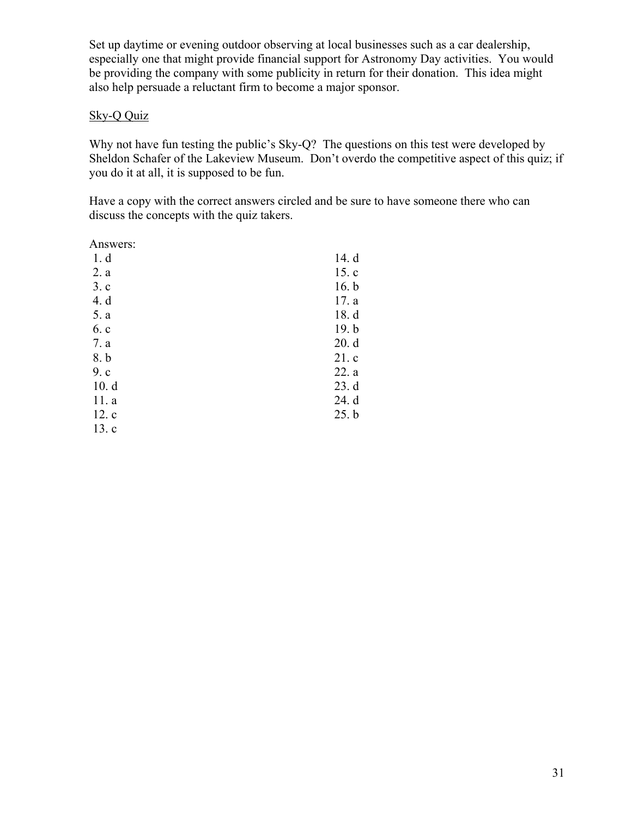Set up daytime or evening outdoor observing at local businesses such as a car dealership, especially one that might provide financial support for Astronomy Day activities. You would be providing the company with some publicity in return for their donation. This idea might also help persuade a reluctant firm to become a major sponsor.

#### Sky-Q Quiz

Why not have fun testing the public's Sky-Q? The questions on this test were developed by Sheldon Schafer of the Lakeview Museum. Don't overdo the competitive aspect of this quiz; if you do it at all, it is supposed to be fun.

Have a copy with the correct answers circled and be sure to have someone there who can discuss the concepts with the quiz takers.

Answers:

| 1. d  | 14. d |
|-------|-------|
| 2. a  | 15.c  |
| 3.c   | 16. b |
| 4. d  | 17. a |
| 5. a  | 18. d |
| 6. c  | 19.b  |
| 7. a  | 20. d |
| 8. b  | 21.c  |
| 9c    | 22. a |
| 10.d  | 23. d |
| 11. a | 24. d |
| 12.c  | 25.b  |
| 13.c  |       |
|       |       |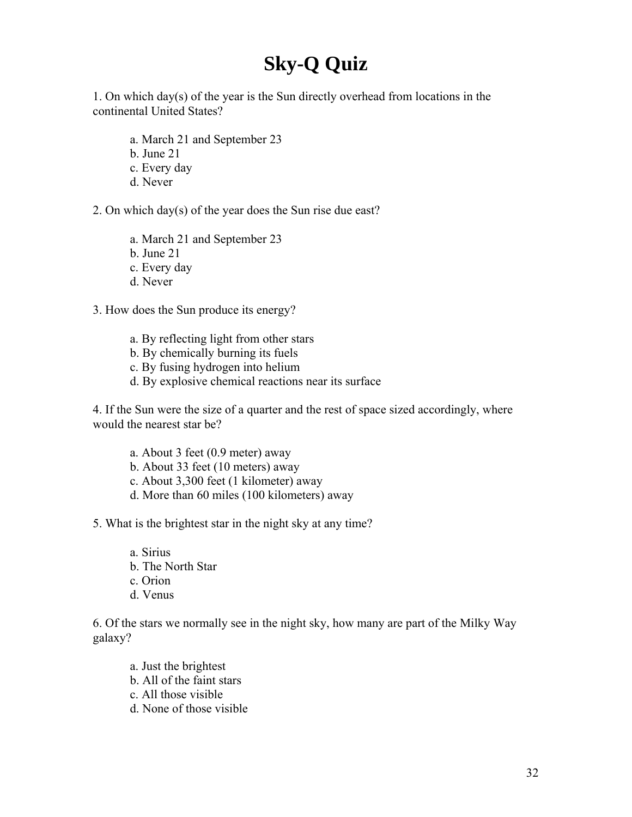## **Sky-Q Quiz**

1. On which day(s) of the year is the Sun directly overhead from locations in the continental United States?

- a. March 21 and September 23 b. June 21
- c. Every day
- d. Never

2. On which day(s) of the year does the Sun rise due east?

- a. March 21 and September 23 b. June 21 c. Every day
- d. Never
- 3. How does the Sun produce its energy?
	- a. By reflecting light from other stars
	- b. By chemically burning its fuels
	- c. By fusing hydrogen into helium
	- d. By explosive chemical reactions near its surface

4. If the Sun were the size of a quarter and the rest of space sized accordingly, where would the nearest star be?

- a. About 3 feet (0.9 meter) away
- b. About 33 feet (10 meters) away
- c. About 3,300 feet (1 kilometer) away
- d. More than 60 miles (100 kilometers) away
- 5. What is the brightest star in the night sky at any time?
	- a. Sirius
	- b. The North Star
	- c. Orion
	- d. Venus

6. Of the stars we normally see in the night sky, how many are part of the Milky Way galaxy?

- a. Just the brightest
- b. All of the faint stars
- c. All those visible
- d. None of those visible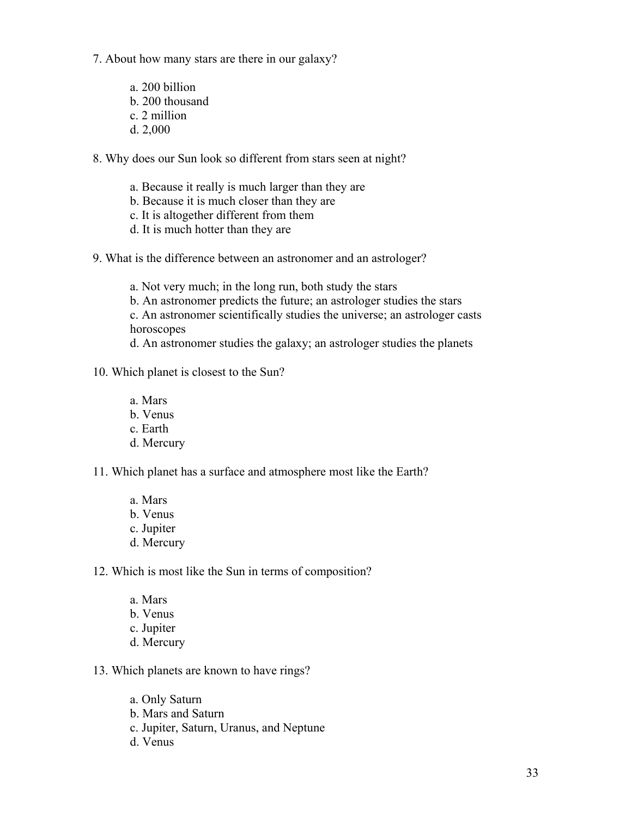- 7. About how many stars are there in our galaxy?
	- a. 200 billion b. 200 thousand c. 2 million d. 2,000
- 8. Why does our Sun look so different from stars seen at night?
	- a. Because it really is much larger than they are
	- b. Because it is much closer than they are
	- c. It is altogether different from them
	- d. It is much hotter than they are
- 9. What is the difference between an astronomer and an astrologer?
	- a. Not very much; in the long run, both study the stars b. An astronomer predicts the future; an astrologer studies the stars c. An astronomer scientifically studies the universe; an astrologer casts horoscopes
	- d. An astronomer studies the galaxy; an astrologer studies the planets
- 10. Which planet is closest to the Sun?
	- a. Mars
	- b. Venus
	- c. Earth
	- d. Mercury
- 11. Which planet has a surface and atmosphere most like the Earth?
	- a. Mars
	- b. Venus
	- c. Jupiter
	- d. Mercury
- 12. Which is most like the Sun in terms of composition?
	- a. Mars
	- b. Venus
	- c. Jupiter
	- d. Mercury
- 13. Which planets are known to have rings?
	- a. Only Saturn
	- b. Mars and Saturn
	- c. Jupiter, Saturn, Uranus, and Neptune
	- d. Venus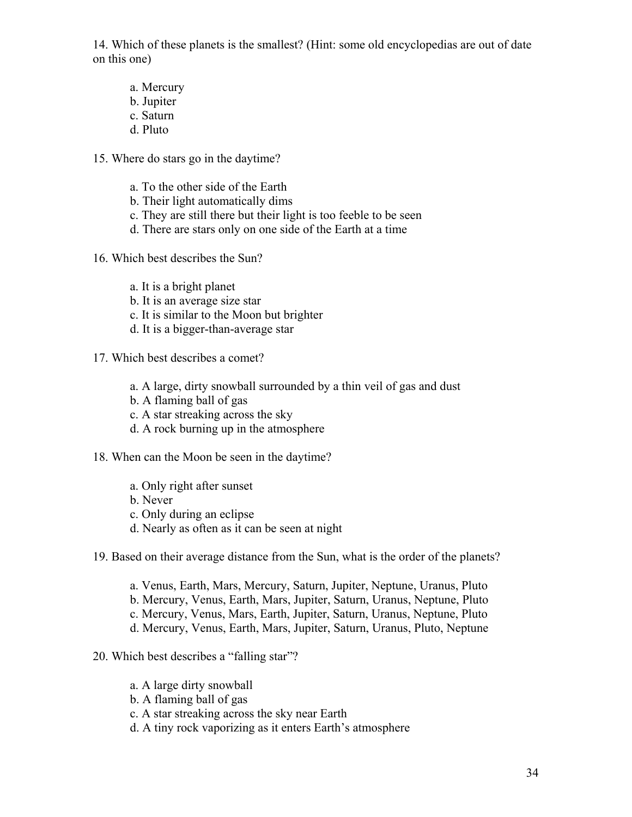14. Which of these planets is the smallest? (Hint: some old encyclopedias are out of date on this one)

- a. Mercury
- b. Jupiter
- c. Saturn
- d. Pluto
- 15. Where do stars go in the daytime?
	- a. To the other side of the Earth
	- b. Their light automatically dims
	- c. They are still there but their light is too feeble to be seen
	- d. There are stars only on one side of the Earth at a time
- 16. Which best describes the Sun?
	- a. It is a bright planet
	- b. It is an average size star
	- c. It is similar to the Moon but brighter
	- d. It is a bigger-than-average star
- 17. Which best describes a comet?
	- a. A large, dirty snowball surrounded by a thin veil of gas and dust
	- b. A flaming ball of gas
	- c. A star streaking across the sky
	- d. A rock burning up in the atmosphere
- 18. When can the Moon be seen in the daytime?
	- a. Only right after sunset
	- b. Never
	- c. Only during an eclipse
	- d. Nearly as often as it can be seen at night
- 19. Based on their average distance from the Sun, what is the order of the planets?
	- a. Venus, Earth, Mars, Mercury, Saturn, Jupiter, Neptune, Uranus, Pluto
	- b. Mercury, Venus, Earth, Mars, Jupiter, Saturn, Uranus, Neptune, Pluto
	- c. Mercury, Venus, Mars, Earth, Jupiter, Saturn, Uranus, Neptune, Pluto
	- d. Mercury, Venus, Earth, Mars, Jupiter, Saturn, Uranus, Pluto, Neptune
- 20. Which best describes a "falling star"?
	- a. A large dirty snowball
	- b. A flaming ball of gas
	- c. A star streaking across the sky near Earth
	- d. A tiny rock vaporizing as it enters Earth's atmosphere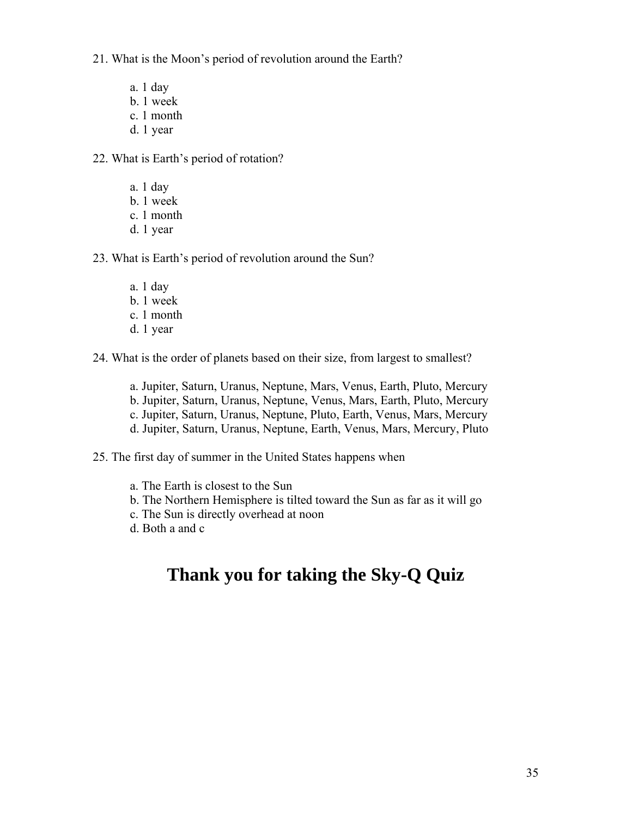- 21. What is the Moon's period of revolution around the Earth?
	- a. 1 day
	- b. 1 week
	- c. 1 month
	- d. 1 year
- 22. What is Earth's period of rotation?
	- a. 1 day
	- b. 1 week
	- c. 1 month
	- d. 1 year
- 23. What is Earth's period of revolution around the Sun?
	- a. 1 day
	- b. 1 week
	- c. 1 month
	- d. 1 year

24. What is the order of planets based on their size, from largest to smallest?

- a. Jupiter, Saturn, Uranus, Neptune, Mars, Venus, Earth, Pluto, Mercury b. Jupiter, Saturn, Uranus, Neptune, Venus, Mars, Earth, Pluto, Mercury
- c. Jupiter, Saturn, Uranus, Neptune, Pluto, Earth, Venus, Mars, Mercury
- d. Jupiter, Saturn, Uranus, Neptune, Earth, Venus, Mars, Mercury, Pluto
- 25. The first day of summer in the United States happens when
	- a. The Earth is closest to the Sun
	- b. The Northern Hemisphere is tilted toward the Sun as far as it will go
	- c. The Sun is directly overhead at noon
	- d. Both a and c

### **Thank you for taking the Sky-Q Quiz**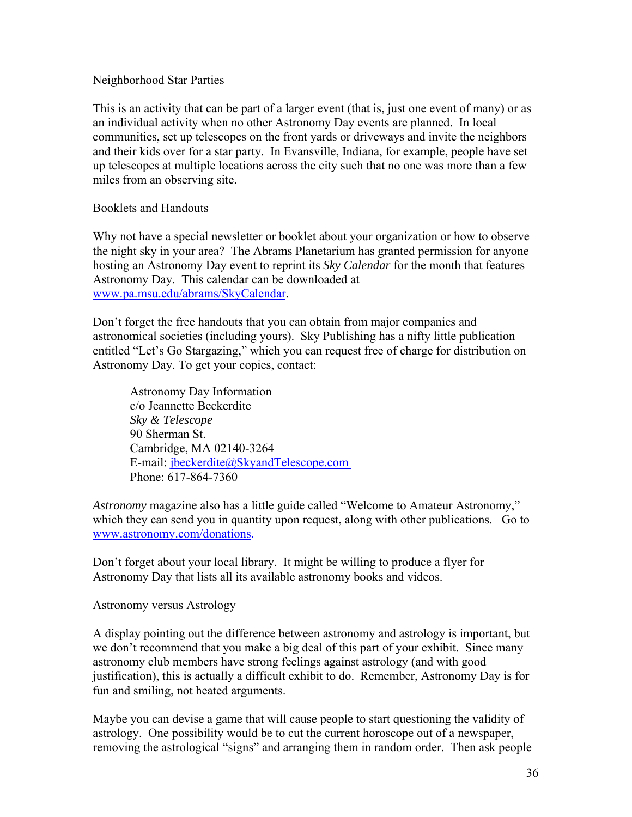#### Neighborhood Star Parties

This is an activity that can be part of a larger event (that is, just one event of many) or as an individual activity when no other Astronomy Day events are planned. In local communities, set up telescopes on the front yards or driveways and invite the neighbors and their kids over for a star party. In Evansville, Indiana, for example, people have set up telescopes at multiple locations across the city such that no one was more than a few miles from an observing site.

#### Booklets and Handouts

Why not have a special newsletter or booklet about your organization or how to observe the night sky in your area? The Abrams Planetarium has granted permission for anyone hosting an Astronomy Day event to reprint its *Sky Calendar* for the month that features Astronomy Day. This calendar can be downloaded at [www.pa.msu.edu/abrams/SkyCalendar.](http://www.pa.msu.edu/abrams/SkyCalendar)

Don't forget the free handouts that you can obtain from major companies and astronomical societies (including yours). Sky Publishing has a nifty little publication entitled "Let's Go Stargazing," which you can request free of charge for distribution on Astronomy Day. To get your copies, contact:

Astronomy Day Information c/o Jeannette Beckerdite *Sky & Telescope*  90 Sherman St. Cambridge, MA 02140-3264 E-mail: [jbeckerdite@SkyandTelescope.com](mailto:jbeckerdite@SkyandTelescope.com)  Phone: 617-864-7360

*Astronomy* magazine also has a little guide called "Welcome to Amateur Astronomy," which they can send you in quantity upon request, along with other publications. Go to [www.astronomy.com/donations](http://www.astronomy.com/donations).

Don't forget about your local library. It might be willing to produce a flyer for Astronomy Day that lists all its available astronomy books and videos.

#### Astronomy versus Astrology

A display pointing out the difference between astronomy and astrology is important, but we don't recommend that you make a big deal of this part of your exhibit. Since many astronomy club members have strong feelings against astrology (and with good justification), this is actually a difficult exhibit to do. Remember, Astronomy Day is for fun and smiling, not heated arguments.

Maybe you can devise a game that will cause people to start questioning the validity of astrology. One possibility would be to cut the current horoscope out of a newspaper, removing the astrological "signs" and arranging them in random order. Then ask people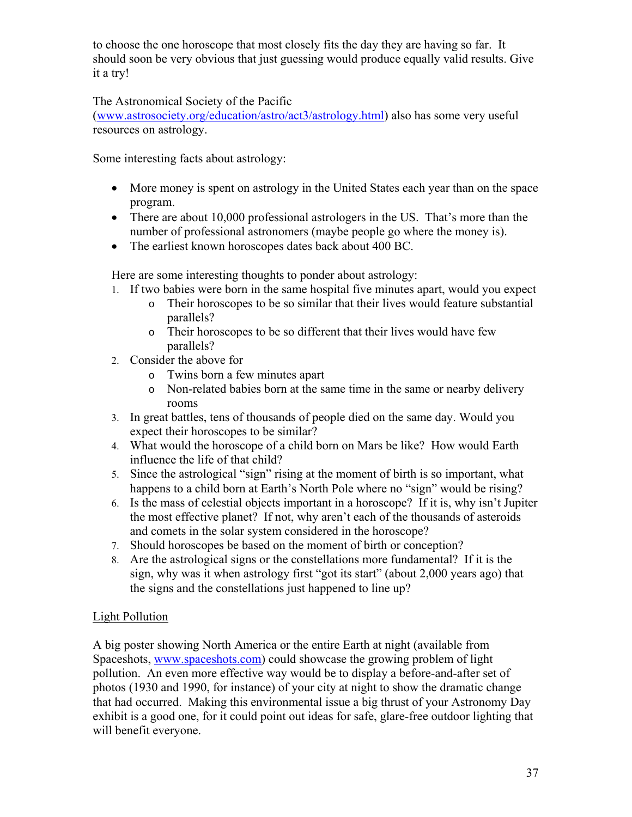to choose the one horoscope that most closely fits the day they are having so far. It should soon be very obvious that just guessing would produce equally valid results. Give it a try!

### The Astronomical Society of the Pacific

([www.astrosociety.org/education/astro/act3/astrology.html](http://www.astrosociety.org/education/astro/act3/astrology.html)) also has some very useful resources on astrology.

Some interesting facts about astrology:

- More money is spent on astrology in the United States each year than on the space program.
- There are about 10,000 professional astrologers in the US. That's more than the number of professional astronomers (maybe people go where the money is).
- The earliest known horoscopes dates back about 400 BC.

Here are some interesting thoughts to ponder about astrology:

- 1. If two babies were born in the same hospital five minutes apart, would you expect
	- o Their horoscopes to be so similar that their lives would feature substantial parallels?
	- o Their horoscopes to be so different that their lives would have few parallels?
- 2. Consider the above for
	- o Twins born a few minutes apart
	- o Non-related babies born at the same time in the same or nearby delivery rooms
- 3. In great battles, tens of thousands of people died on the same day. Would you expect their horoscopes to be similar?
- 4. What would the horoscope of a child born on Mars be like? How would Earth influence the life of that child?
- 5. Since the astrological "sign" rising at the moment of birth is so important, what happens to a child born at Earth's North Pole where no "sign" would be rising?
- 6. Is the mass of celestial objects important in a horoscope? If it is, why isn't Jupiter the most effective planet? If not, why aren't each of the thousands of asteroids and comets in the solar system considered in the horoscope?
- 7. Should horoscopes be based on the moment of birth or conception?
- 8. Are the astrological signs or the constellations more fundamental? If it is the sign, why was it when astrology first "got its start" (about 2,000 years ago) that the signs and the constellations just happened to line up?

### Light Pollution

A big poster showing North America or the entire Earth at night (available from Spaceshots, [www.spaceshots.com](http://www.spaceshots.com/)) could showcase the growing problem of light pollution. An even more effective way would be to display a before-and-after set of photos (1930 and 1990, for instance) of your city at night to show the dramatic change that had occurred. Making this environmental issue a big thrust of your Astronomy Day exhibit is a good one, for it could point out ideas for safe, glare-free outdoor lighting that will benefit everyone.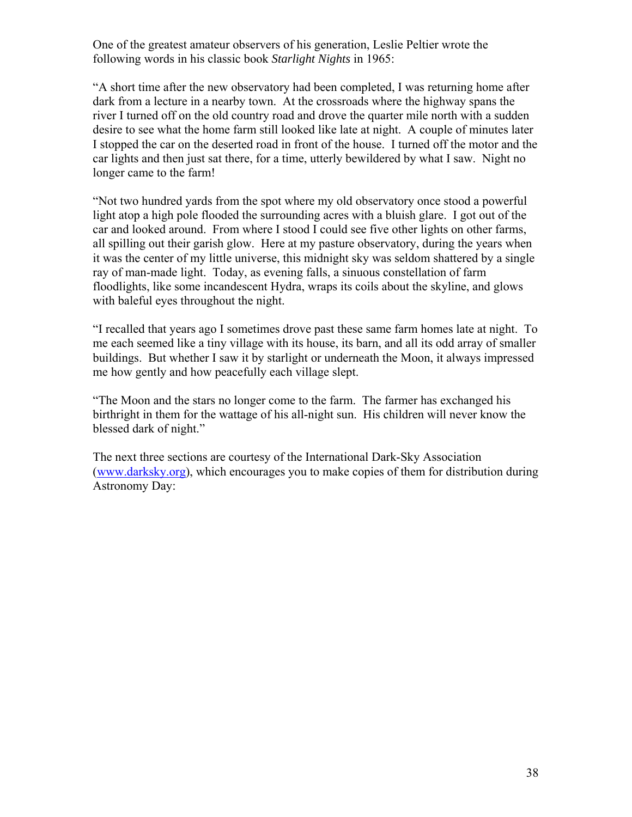One of the greatest amateur observers of his generation, Leslie Peltier wrote the following words in his classic book *Starlight Nights* in 1965:

"A short time after the new observatory had been completed, I was returning home after dark from a lecture in a nearby town. At the crossroads where the highway spans the river I turned off on the old country road and drove the quarter mile north with a sudden desire to see what the home farm still looked like late at night. A couple of minutes later I stopped the car on the deserted road in front of the house. I turned off the motor and the car lights and then just sat there, for a time, utterly bewildered by what I saw. Night no longer came to the farm!

"Not two hundred yards from the spot where my old observatory once stood a powerful light atop a high pole flooded the surrounding acres with a bluish glare. I got out of the car and looked around. From where I stood I could see five other lights on other farms, all spilling out their garish glow. Here at my pasture observatory, during the years when it was the center of my little universe, this midnight sky was seldom shattered by a single ray of man-made light. Today, as evening falls, a sinuous constellation of farm floodlights, like some incandescent Hydra, wraps its coils about the skyline, and glows with baleful eyes throughout the night.

"I recalled that years ago I sometimes drove past these same farm homes late at night. To me each seemed like a tiny village with its house, its barn, and all its odd array of smaller buildings. But whether I saw it by starlight or underneath the Moon, it always impressed me how gently and how peacefully each village slept.

"The Moon and the stars no longer come to the farm. The farmer has exchanged his birthright in them for the wattage of his all-night sun. His children will never know the blessed dark of night."

The next three sections are courtesy of the International Dark-Sky Association ([www.darksky.org](http://www.darksky.org/)), which encourages you to make copies of them for distribution during Astronomy Day: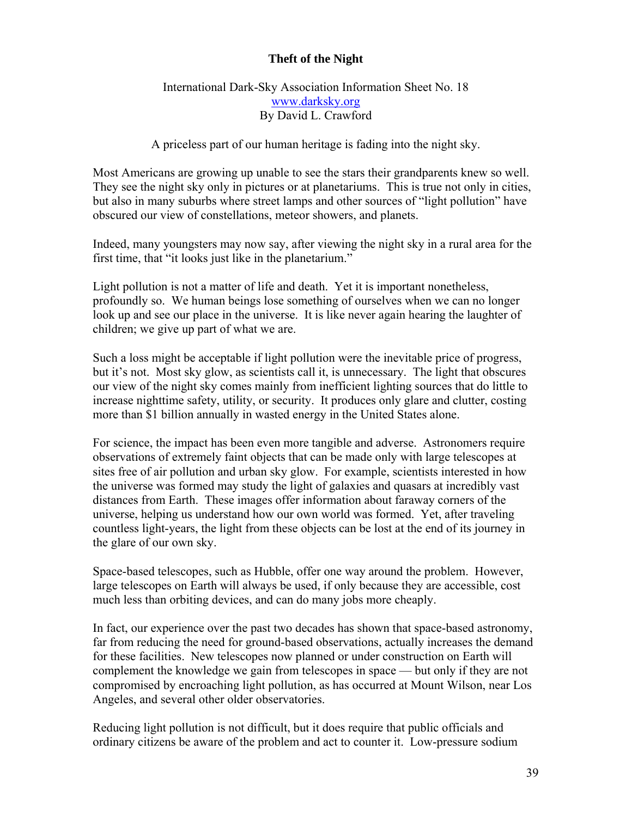### **Theft of the Night**

### International Dark-Sky Association Information Sheet No. 18 [www.darksky.org](http://www.darksky.org/) By David L. Crawford

A priceless part of our human heritage is fading into the night sky.

Most Americans are growing up unable to see the stars their grandparents knew so well. They see the night sky only in pictures or at planetariums. This is true not only in cities, but also in many suburbs where street lamps and other sources of "light pollution" have obscured our view of constellations, meteor showers, and planets.

Indeed, many youngsters may now say, after viewing the night sky in a rural area for the first time, that "it looks just like in the planetarium."

Light pollution is not a matter of life and death. Yet it is important nonetheless, profoundly so. We human beings lose something of ourselves when we can no longer look up and see our place in the universe. It is like never again hearing the laughter of children; we give up part of what we are.

Such a loss might be acceptable if light pollution were the inevitable price of progress, but it's not. Most sky glow, as scientists call it, is unnecessary. The light that obscures our view of the night sky comes mainly from inefficient lighting sources that do little to increase nighttime safety, utility, or security. It produces only glare and clutter, costing more than \$1 billion annually in wasted energy in the United States alone.

For science, the impact has been even more tangible and adverse. Astronomers require observations of extremely faint objects that can be made only with large telescopes at sites free of air pollution and urban sky glow. For example, scientists interested in how the universe was formed may study the light of galaxies and quasars at incredibly vast distances from Earth. These images offer information about faraway corners of the universe, helping us understand how our own world was formed. Yet, after traveling countless light-years, the light from these objects can be lost at the end of its journey in the glare of our own sky.

Space-based telescopes, such as Hubble, offer one way around the problem. However, large telescopes on Earth will always be used, if only because they are accessible, cost much less than orbiting devices, and can do many jobs more cheaply.

In fact, our experience over the past two decades has shown that space-based astronomy, far from reducing the need for ground-based observations, actually increases the demand for these facilities. New telescopes now planned or under construction on Earth will complement the knowledge we gain from telescopes in space — but only if they are not compromised by encroaching light pollution, as has occurred at Mount Wilson, near Los Angeles, and several other older observatories.

Reducing light pollution is not difficult, but it does require that public officials and ordinary citizens be aware of the problem and act to counter it. Low-pressure sodium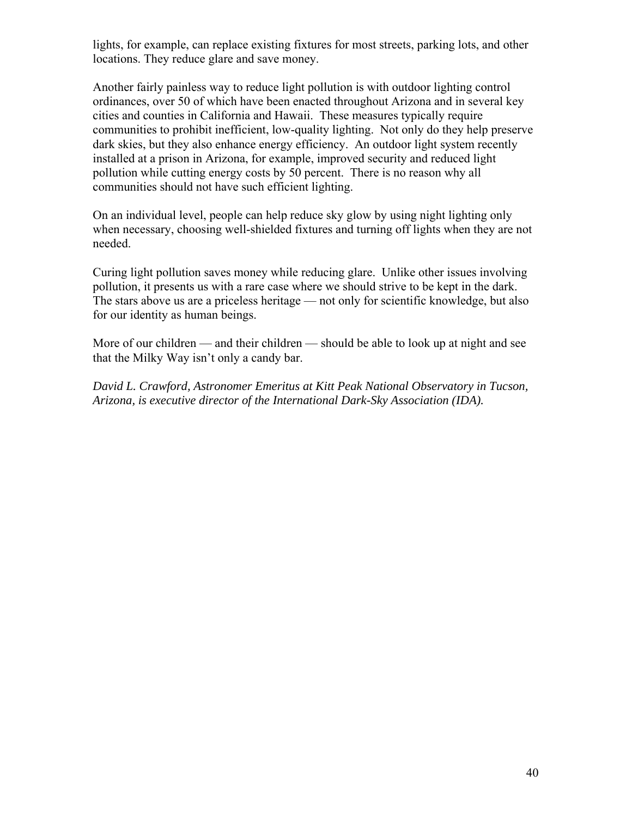lights, for example, can replace existing fixtures for most streets, parking lots, and other locations. They reduce glare and save money.

Another fairly painless way to reduce light pollution is with outdoor lighting control ordinances, over 50 of which have been enacted throughout Arizona and in several key cities and counties in California and Hawaii. These measures typically require communities to prohibit inefficient, low-quality lighting. Not only do they help preserve dark skies, but they also enhance energy efficiency. An outdoor light system recently installed at a prison in Arizona, for example, improved security and reduced light pollution while cutting energy costs by 50 percent. There is no reason why all communities should not have such efficient lighting.

On an individual level, people can help reduce sky glow by using night lighting only when necessary, choosing well-shielded fixtures and turning off lights when they are not needed.

Curing light pollution saves money while reducing glare. Unlike other issues involving pollution, it presents us with a rare case where we should strive to be kept in the dark. The stars above us are a priceless heritage — not only for scientific knowledge, but also for our identity as human beings.

More of our children — and their children — should be able to look up at night and see that the Milky Way isn't only a candy bar.

*David L. Crawford, Astronomer Emeritus at Kitt Peak National Observatory in Tucson, Arizona, is executive director of the International Dark-Sky Association (IDA).*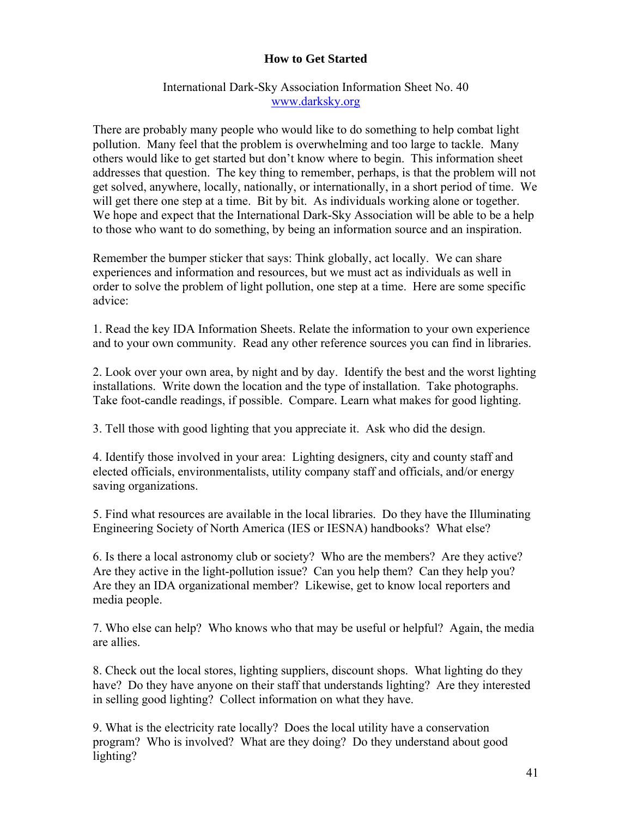### **How to Get Started**

### International Dark-Sky Association Information Sheet No. 40 [www.darksky.org](http://www.darksky.org/)

There are probably many people who would like to do something to help combat light pollution. Many feel that the problem is overwhelming and too large to tackle. Many others would like to get started but don't know where to begin. This information sheet addresses that question. The key thing to remember, perhaps, is that the problem will not get solved, anywhere, locally, nationally, or internationally, in a short period of time. We will get there one step at a time. Bit by bit. As individuals working alone or together. We hope and expect that the International Dark-Sky Association will be able to be a help to those who want to do something, by being an information source and an inspiration.

Remember the bumper sticker that says: Think globally, act locally. We can share experiences and information and resources, but we must act as individuals as well in order to solve the problem of light pollution, one step at a time. Here are some specific advice:

1. Read the key IDA Information Sheets. Relate the information to your own experience and to your own community. Read any other reference sources you can find in libraries.

2. Look over your own area, by night and by day. Identify the best and the worst lighting installations. Write down the location and the type of installation. Take photographs. Take foot-candle readings, if possible. Compare. Learn what makes for good lighting.

3. Tell those with good lighting that you appreciate it. Ask who did the design.

4. Identify those involved in your area: Lighting designers, city and county staff and elected officials, environmentalists, utility company staff and officials, and/or energy saving organizations.

5. Find what resources are available in the local libraries. Do they have the Illuminating Engineering Society of North America (IES or IESNA) handbooks? What else?

6. Is there a local astronomy club or society? Who are the members? Are they active? Are they active in the light-pollution issue? Can you help them? Can they help you? Are they an IDA organizational member? Likewise, get to know local reporters and media people.

7. Who else can help? Who knows who that may be useful or helpful? Again, the media are allies.

8. Check out the local stores, lighting suppliers, discount shops. What lighting do they have? Do they have anyone on their staff that understands lighting? Are they interested in selling good lighting? Collect information on what they have.

9. What is the electricity rate locally? Does the local utility have a conservation program? Who is involved? What are they doing? Do they understand about good lighting?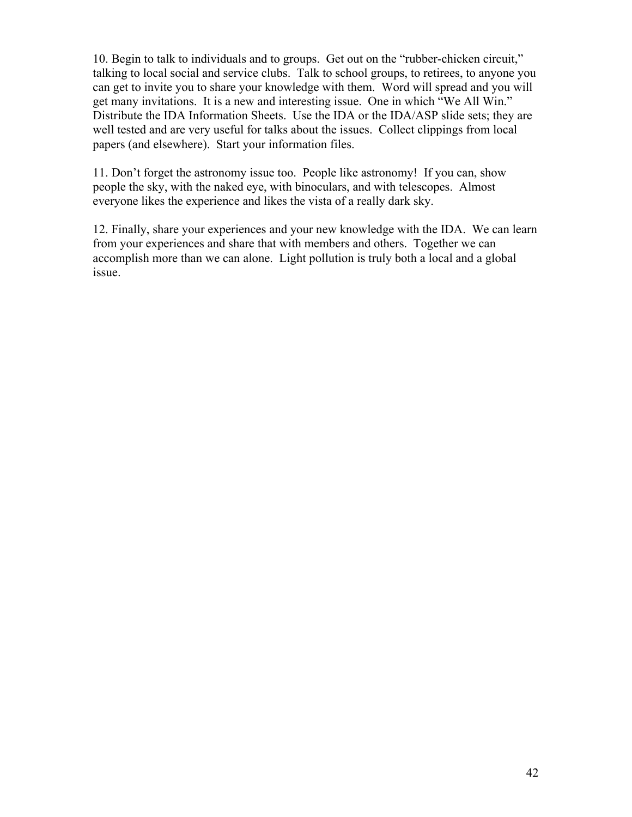10. Begin to talk to individuals and to groups. Get out on the "rubber-chicken circuit," talking to local social and service clubs. Talk to school groups, to retirees, to anyone you can get to invite you to share your knowledge with them. Word will spread and you will get many invitations. It is a new and interesting issue. One in which "We All Win." Distribute the IDA Information Sheets. Use the IDA or the IDA/ASP slide sets; they are well tested and are very useful for talks about the issues. Collect clippings from local papers (and elsewhere). Start your information files.

11. Don't forget the astronomy issue too. People like astronomy! If you can, show people the sky, with the naked eye, with binoculars, and with telescopes. Almost everyone likes the experience and likes the vista of a really dark sky.

12. Finally, share your experiences and your new knowledge with the IDA. We can learn from your experiences and share that with members and others. Together we can accomplish more than we can alone. Light pollution is truly both a local and a global issue.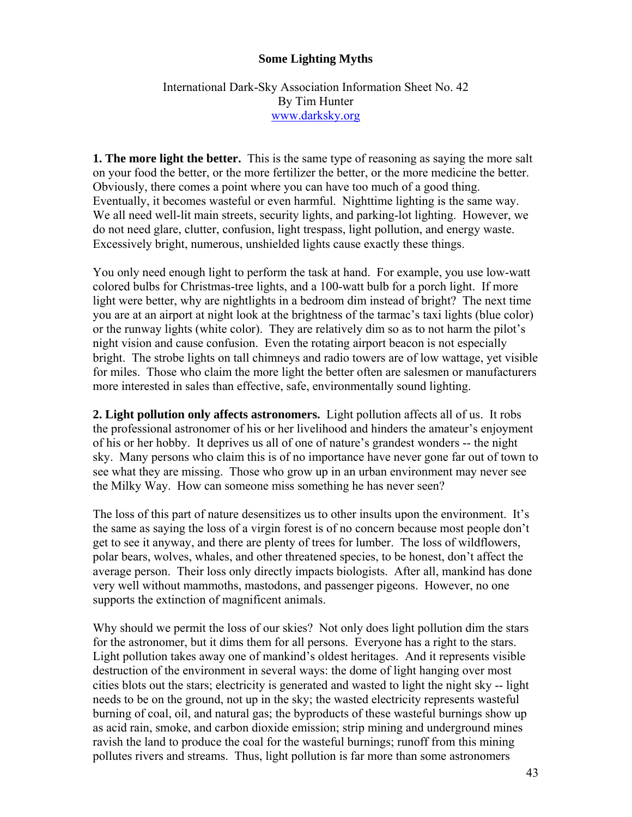### **Some Lighting Myths**

### International Dark-Sky Association Information Sheet No. 42 By Tim Hunter [www.darksky.org](http://www.darksky.org/)

**1. The more light the better.** This is the same type of reasoning as saying the more salt on your food the better, or the more fertilizer the better, or the more medicine the better. Obviously, there comes a point where you can have too much of a good thing. Eventually, it becomes wasteful or even harmful. Nighttime lighting is the same way. We all need well-lit main streets, security lights, and parking-lot lighting. However, we do not need glare, clutter, confusion, light trespass, light pollution, and energy waste. Excessively bright, numerous, unshielded lights cause exactly these things.

You only need enough light to perform the task at hand. For example, you use low-watt colored bulbs for Christmas-tree lights, and a 100-watt bulb for a porch light. If more light were better, why are nightlights in a bedroom dim instead of bright? The next time you are at an airport at night look at the brightness of the tarmac's taxi lights (blue color) or the runway lights (white color). They are relatively dim so as to not harm the pilot's night vision and cause confusion. Even the rotating airport beacon is not especially bright. The strobe lights on tall chimneys and radio towers are of low wattage, yet visible for miles. Those who claim the more light the better often are salesmen or manufacturers more interested in sales than effective, safe, environmentally sound lighting.

**2. Light pollution only affects astronomers.** Light pollution affects all of us. It robs the professional astronomer of his or her livelihood and hinders the amateur's enjoyment of his or her hobby. It deprives us all of one of nature's grandest wonders -- the night sky. Many persons who claim this is of no importance have never gone far out of town to see what they are missing. Those who grow up in an urban environment may never see the Milky Way. How can someone miss something he has never seen?

The loss of this part of nature desensitizes us to other insults upon the environment. It's the same as saying the loss of a virgin forest is of no concern because most people don't get to see it anyway, and there are plenty of trees for lumber. The loss of wildflowers, polar bears, wolves, whales, and other threatened species, to be honest, don't affect the average person. Their loss only directly impacts biologists. After all, mankind has done very well without mammoths, mastodons, and passenger pigeons. However, no one supports the extinction of magnificent animals.

Why should we permit the loss of our skies? Not only does light pollution dim the stars for the astronomer, but it dims them for all persons. Everyone has a right to the stars. Light pollution takes away one of mankind's oldest heritages. And it represents visible destruction of the environment in several ways: the dome of light hanging over most cities blots out the stars; electricity is generated and wasted to light the night sky -- light needs to be on the ground, not up in the sky; the wasted electricity represents wasteful burning of coal, oil, and natural gas; the byproducts of these wasteful burnings show up as acid rain, smoke, and carbon dioxide emission; strip mining and underground mines ravish the land to produce the coal for the wasteful burnings; runoff from this mining pollutes rivers and streams. Thus, light pollution is far more than some astronomers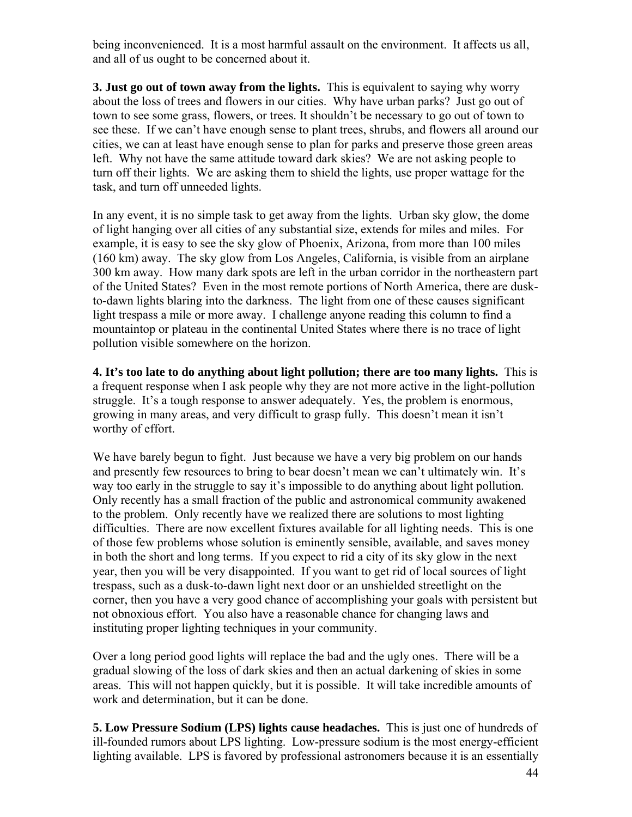being inconvenienced. It is a most harmful assault on the environment. It affects us all, and all of us ought to be concerned about it.

**3. Just go out of town away from the lights.** This is equivalent to saying why worry about the loss of trees and flowers in our cities. Why have urban parks? Just go out of town to see some grass, flowers, or trees. It shouldn't be necessary to go out of town to see these. If we can't have enough sense to plant trees, shrubs, and flowers all around our cities, we can at least have enough sense to plan for parks and preserve those green areas left. Why not have the same attitude toward dark skies? We are not asking people to turn off their lights. We are asking them to shield the lights, use proper wattage for the task, and turn off unneeded lights.

In any event, it is no simple task to get away from the lights. Urban sky glow, the dome of light hanging over all cities of any substantial size, extends for miles and miles. For example, it is easy to see the sky glow of Phoenix, Arizona, from more than 100 miles (160 km) away. The sky glow from Los Angeles, California, is visible from an airplane 300 km away. How many dark spots are left in the urban corridor in the northeastern part of the United States? Even in the most remote portions of North America, there are duskto-dawn lights blaring into the darkness. The light from one of these causes significant light trespass a mile or more away. I challenge anyone reading this column to find a mountaintop or plateau in the continental United States where there is no trace of light pollution visible somewhere on the horizon.

**4. It's too late to do anything about light pollution; there are too many lights.** This is a frequent response when I ask people why they are not more active in the light-pollution struggle. It's a tough response to answer adequately. Yes, the problem is enormous, growing in many areas, and very difficult to grasp fully. This doesn't mean it isn't worthy of effort.

We have barely begun to fight. Just because we have a very big problem on our hands and presently few resources to bring to bear doesn't mean we can't ultimately win. It's way too early in the struggle to say it's impossible to do anything about light pollution. Only recently has a small fraction of the public and astronomical community awakened to the problem. Only recently have we realized there are solutions to most lighting difficulties. There are now excellent fixtures available for all lighting needs. This is one of those few problems whose solution is eminently sensible, available, and saves money in both the short and long terms. If you expect to rid a city of its sky glow in the next year, then you will be very disappointed. If you want to get rid of local sources of light trespass, such as a dusk-to-dawn light next door or an unshielded streetlight on the corner, then you have a very good chance of accomplishing your goals with persistent but not obnoxious effort. You also have a reasonable chance for changing laws and instituting proper lighting techniques in your community.

Over a long period good lights will replace the bad and the ugly ones. There will be a gradual slowing of the loss of dark skies and then an actual darkening of skies in some areas. This will not happen quickly, but it is possible. It will take incredible amounts of work and determination, but it can be done.

**5. Low Pressure Sodium (LPS) lights cause headaches.** This is just one of hundreds of ill-founded rumors about LPS lighting. Low-pressure sodium is the most energy-efficient lighting available. LPS is favored by professional astronomers because it is an essentially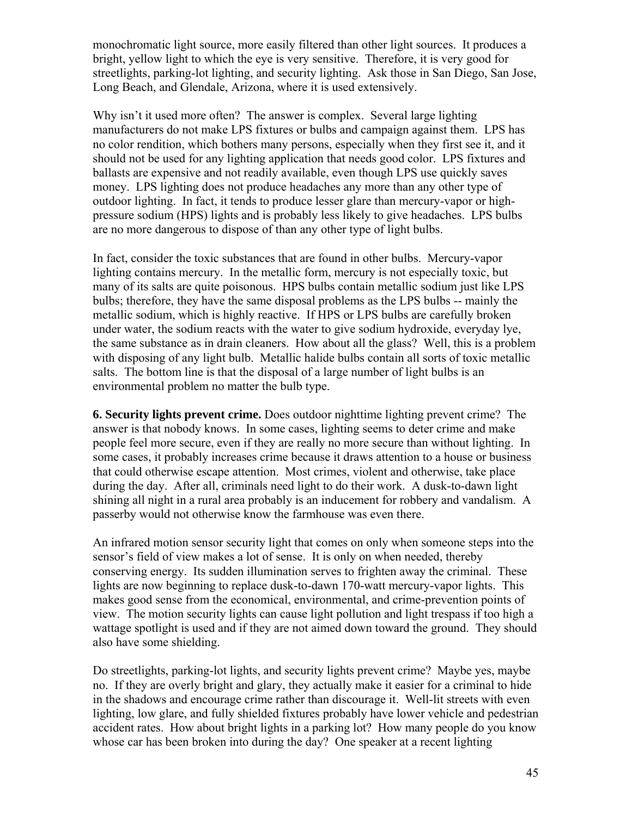monochromatic light source, more easily filtered than other light sources. It produces a bright, yellow light to which the eye is very sensitive. Therefore, it is very good for streetlights, parking-lot lighting, and security lighting. Ask those in San Diego, San Jose, Long Beach, and Glendale, Arizona, where it is used extensively.

Why isn't it used more often? The answer is complex. Several large lighting manufacturers do not make LPS fixtures or bulbs and campaign against them. LPS has no color rendition, which bothers many persons, especially when they first see it, and it should not be used for any lighting application that needs good color. LPS fixtures and ballasts are expensive and not readily available, even though LPS use quickly saves money. LPS lighting does not produce headaches any more than any other type of outdoor lighting. In fact, it tends to produce lesser glare than mercury-vapor or highpressure sodium (HPS) lights and is probably less likely to give headaches. LPS bulbs are no more dangerous to dispose of than any other type of light bulbs.

In fact, consider the toxic substances that are found in other bulbs. Mercury-vapor lighting contains mercury. In the metallic form, mercury is not especially toxic, but many of its salts are quite poisonous. HPS bulbs contain metallic sodium just like LPS bulbs; therefore, they have the same disposal problems as the LPS bulbs -- mainly the metallic sodium, which is highly reactive. If HPS or LPS bulbs are carefully broken under water, the sodium reacts with the water to give sodium hydroxide, everyday lye, the same substance as in drain cleaners. How about all the glass? Well, this is a problem with disposing of any light bulb. Metallic halide bulbs contain all sorts of toxic metallic salts. The bottom line is that the disposal of a large number of light bulbs is an environmental problem no matter the bulb type.

**6. Security lights prevent crime.** Does outdoor nighttime lighting prevent crime? The answer is that nobody knows. In some cases, lighting seems to deter crime and make people feel more secure, even if they are really no more secure than without lighting. In some cases, it probably increases crime because it draws attention to a house or business that could otherwise escape attention. Most crimes, violent and otherwise, take place during the day. After all, criminals need light to do their work. A dusk-to-dawn light shining all night in a rural area probably is an inducement for robbery and vandalism. A passerby would not otherwise know the farmhouse was even there.

An infrared motion sensor security light that comes on only when someone steps into the sensor's field of view makes a lot of sense. It is only on when needed, thereby conserving energy. Its sudden illumination serves to frighten away the criminal. These lights are now beginning to replace dusk-to-dawn 170-watt mercury-vapor lights. This makes good sense from the economical, environmental, and crime-prevention points of view. The motion security lights can cause light pollution and light trespass if too high a wattage spotlight is used and if they are not aimed down toward the ground. They should also have some shielding.

Do streetlights, parking-lot lights, and security lights prevent crime? Maybe yes, maybe no. If they are overly bright and glary, they actually make it easier for a criminal to hide in the shadows and encourage crime rather than discourage it. Well-lit streets with even lighting, low glare, and fully shielded fixtures probably have lower vehicle and pedestrian accident rates. How about bright lights in a parking lot? How many people do you know whose car has been broken into during the day? One speaker at a recent lighting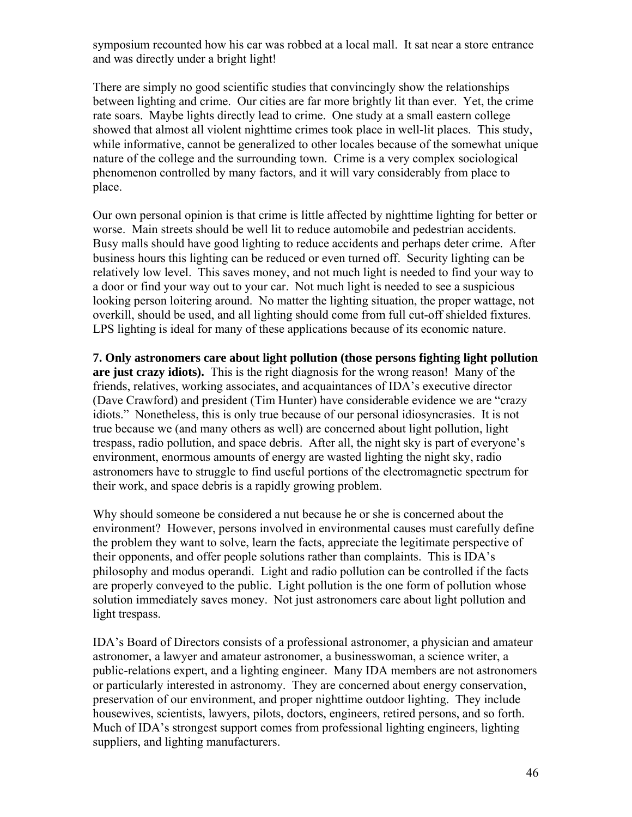symposium recounted how his car was robbed at a local mall. It sat near a store entrance and was directly under a bright light!

There are simply no good scientific studies that convincingly show the relationships between lighting and crime. Our cities are far more brightly lit than ever. Yet, the crime rate soars. Maybe lights directly lead to crime. One study at a small eastern college showed that almost all violent nighttime crimes took place in well-lit places. This study, while informative, cannot be generalized to other locales because of the somewhat unique nature of the college and the surrounding town. Crime is a very complex sociological phenomenon controlled by many factors, and it will vary considerably from place to place.

Our own personal opinion is that crime is little affected by nighttime lighting for better or worse. Main streets should be well lit to reduce automobile and pedestrian accidents. Busy malls should have good lighting to reduce accidents and perhaps deter crime. After business hours this lighting can be reduced or even turned off. Security lighting can be relatively low level. This saves money, and not much light is needed to find your way to a door or find your way out to your car. Not much light is needed to see a suspicious looking person loitering around. No matter the lighting situation, the proper wattage, not overkill, should be used, and all lighting should come from full cut-off shielded fixtures. LPS lighting is ideal for many of these applications because of its economic nature.

**7. Only astronomers care about light pollution (those persons fighting light pollution are just crazy idiots).** This is the right diagnosis for the wrong reason! Many of the friends, relatives, working associates, and acquaintances of IDA's executive director (Dave Crawford) and president (Tim Hunter) have considerable evidence we are "crazy idiots." Nonetheless, this is only true because of our personal idiosyncrasies. It is not true because we (and many others as well) are concerned about light pollution, light trespass, radio pollution, and space debris. After all, the night sky is part of everyone's environment, enormous amounts of energy are wasted lighting the night sky, radio astronomers have to struggle to find useful portions of the electromagnetic spectrum for their work, and space debris is a rapidly growing problem.

Why should someone be considered a nut because he or she is concerned about the environment? However, persons involved in environmental causes must carefully define the problem they want to solve, learn the facts, appreciate the legitimate perspective of their opponents, and offer people solutions rather than complaints. This is IDA's philosophy and modus operandi. Light and radio pollution can be controlled if the facts are properly conveyed to the public. Light pollution is the one form of pollution whose solution immediately saves money. Not just astronomers care about light pollution and light trespass.

IDA's Board of Directors consists of a professional astronomer, a physician and amateur astronomer, a lawyer and amateur astronomer, a businesswoman, a science writer, a public-relations expert, and a lighting engineer. Many IDA members are not astronomers or particularly interested in astronomy. They are concerned about energy conservation, preservation of our environment, and proper nighttime outdoor lighting. They include housewives, scientists, lawyers, pilots, doctors, engineers, retired persons, and so forth. Much of IDA's strongest support comes from professional lighting engineers, lighting suppliers, and lighting manufacturers.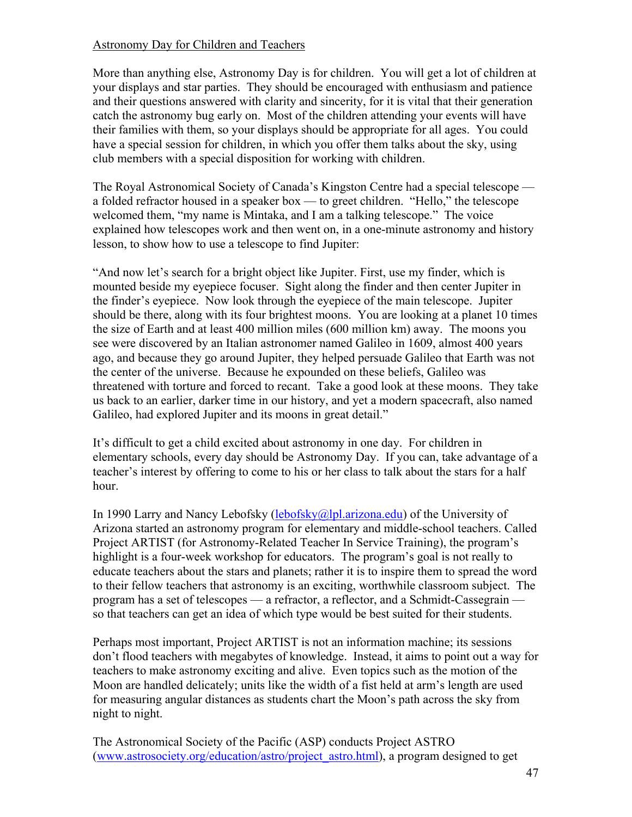### Astronomy Day for Children and Teachers

More than anything else, Astronomy Day is for children. You will get a lot of children at your displays and star parties. They should be encouraged with enthusiasm and patience and their questions answered with clarity and sincerity, for it is vital that their generation catch the astronomy bug early on. Most of the children attending your events will have their families with them, so your displays should be appropriate for all ages. You could have a special session for children, in which you offer them talks about the sky, using club members with a special disposition for working with children.

The Royal Astronomical Society of Canada's Kingston Centre had a special telescope a folded refractor housed in a speaker box — to greet children. "Hello," the telescope welcomed them, "my name is Mintaka, and I am a talking telescope." The voice explained how telescopes work and then went on, in a one-minute astronomy and history lesson, to show how to use a telescope to find Jupiter:

"And now let's search for a bright object like Jupiter. First, use my finder, which is mounted beside my eyepiece focuser. Sight along the finder and then center Jupiter in the finder's eyepiece. Now look through the eyepiece of the main telescope. Jupiter should be there, along with its four brightest moons. You are looking at a planet 10 times the size of Earth and at least 400 million miles (600 million km) away. The moons you see were discovered by an Italian astronomer named Galileo in 1609, almost 400 years ago, and because they go around Jupiter, they helped persuade Galileo that Earth was not the center of the universe. Because he expounded on these beliefs, Galileo was threatened with torture and forced to recant. Take a good look at these moons. They take us back to an earlier, darker time in our history, and yet a modern spacecraft, also named Galileo, had explored Jupiter and its moons in great detail."

It's difficult to get a child excited about astronomy in one day. For children in elementary schools, every day should be Astronomy Day. If you can, take advantage of a teacher's interest by offering to come to his or her class to talk about the stars for a half hour.

In 1990 Larry and Nancy Lebofsky ([lebofsky@lpl.arizona.edu](mailto:lebofsky@lpl.arizona.edu)) of the University of Arizona started an astronomy program for elementary and middle-school teachers. Called Project ARTIST (for Astronomy-Related Teacher In Service Training), the program's highlight is a four-week workshop for educators. The program's goal is not really to educate teachers about the stars and planets; rather it is to inspire them to spread the word to their fellow teachers that astronomy is an exciting, worthwhile classroom subject. The program has a set of telescopes — a refractor, a reflector, and a Schmidt-Cassegrain so that teachers can get an idea of which type would be best suited for their students.

Perhaps most important, Project ARTIST is not an information machine; its sessions don't flood teachers with megabytes of knowledge. Instead, it aims to point out a way for teachers to make astronomy exciting and alive. Even topics such as the motion of the Moon are handled delicately; units like the width of a fist held at arm's length are used for measuring angular distances as students chart the Moon's path across the sky from night to night.

The Astronomical Society of the Pacific (ASP) conducts Project ASTRO ([www.astrosociety.org/education/astro/project\\_astro.html\)](http://www.astrosociety.org/education/astro/project_astro.html), a program designed to get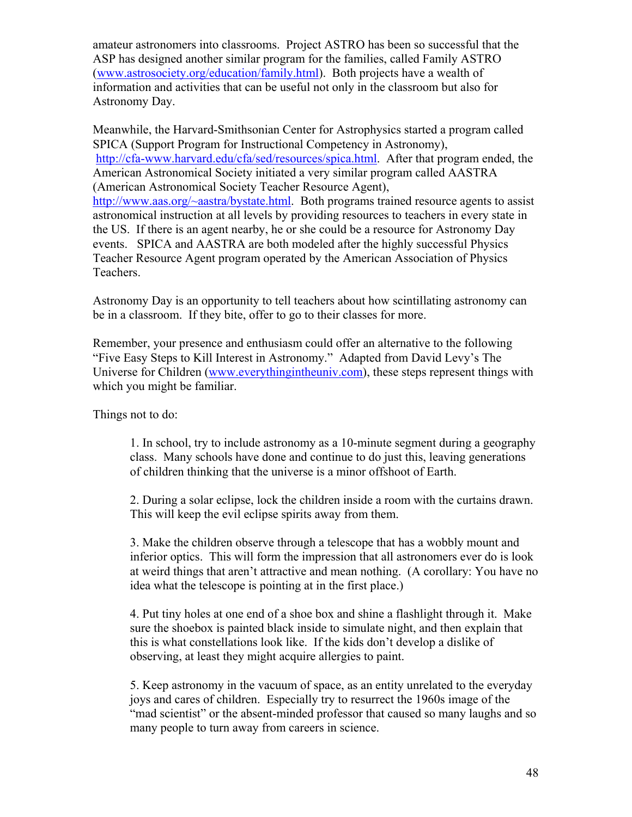amateur astronomers into classrooms. Project ASTRO has been so successful that the ASP has designed another similar program for the families, called Family ASTRO ([www.astrosociety.org/education/family.html\)](http://www.astrosociety.org/education/family.html). Both projects have a wealth of information and activities that can be useful not only in the classroom but also for Astronomy Day.

Meanwhile, the Harvard-Smithsonian Center for Astrophysics started a program called SPICA (Support Program for Instructional Competency in Astronomy), <http://cfa-www.harvard.edu/cfa/sed/resources/spica.html>. After that program ended, the American Astronomical Society initiated a very similar program called AASTRA (American Astronomical Society Teacher Resource Agent), [http://www.aas.org/~aastra/bystate.html](http://www.aas.org/%7Eaastra/bystate.html). Both programs trained resource agents to assist astronomical instruction at all levels by providing resources to teachers in every state in the US. If there is an agent nearby, he or she could be a resource for Astronomy Day events. SPICA and AASTRA are both modeled after the highly successful Physics Teacher Resource Agent program operated by the American Association of Physics Teachers.

Astronomy Day is an opportunity to tell teachers about how scintillating astronomy can be in a classroom. If they bite, offer to go to their classes for more.

Remember, your presence and enthusiasm could offer an alternative to the following "Five Easy Steps to Kill Interest in Astronomy." Adapted from David Levy's The Universe for Children [\(www.everythingintheuniv.com\)](http://www.everythingintheuniv.com/), these steps represent things with which you might be familiar.

Things not to do:

1. In school, try to include astronomy as a 10-minute segment during a geography class. Many schools have done and continue to do just this, leaving generations of children thinking that the universe is a minor offshoot of Earth.

2. During a solar eclipse, lock the children inside a room with the curtains drawn. This will keep the evil eclipse spirits away from them.

3. Make the children observe through a telescope that has a wobbly mount and inferior optics. This will form the impression that all astronomers ever do is look at weird things that aren't attractive and mean nothing. (A corollary: You have no idea what the telescope is pointing at in the first place.)

4. Put tiny holes at one end of a shoe box and shine a flashlight through it. Make sure the shoebox is painted black inside to simulate night, and then explain that this is what constellations look like. If the kids don't develop a dislike of observing, at least they might acquire allergies to paint.

5. Keep astronomy in the vacuum of space, as an entity unrelated to the everyday joys and cares of children. Especially try to resurrect the 1960s image of the "mad scientist" or the absent-minded professor that caused so many laughs and so many people to turn away from careers in science.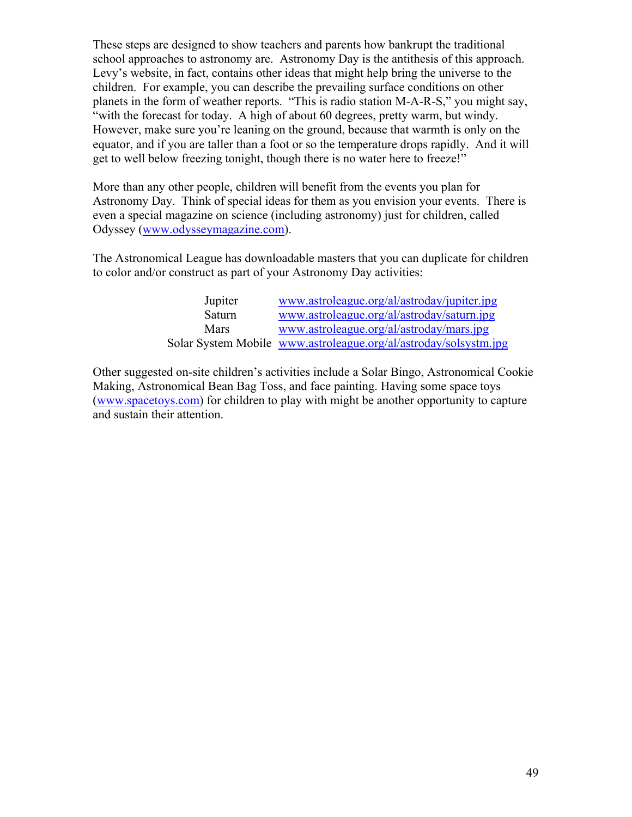These steps are designed to show teachers and parents how bankrupt the traditional school approaches to astronomy are. Astronomy Day is the antithesis of this approach. Levy's website, in fact, contains other ideas that might help bring the universe to the children. For example, you can describe the prevailing surface conditions on other planets in the form of weather reports. "This is radio station M-A-R-S," you might say, "with the forecast for today. A high of about 60 degrees, pretty warm, but windy. However, make sure you're leaning on the ground, because that warmth is only on the equator, and if you are taller than a foot or so the temperature drops rapidly. And it will get to well below freezing tonight, though there is no water here to freeze!"

More than any other people, children will benefit from the events you plan for Astronomy Day. Think of special ideas for them as you envision your events. There is even a special magazine on science (including astronomy) just for children, called Odyssey [\(www.odysseymagazine.com\)](http://www.odysseymagazine.com/).

The Astronomical League has downloadable masters that you can duplicate for children to color and/or construct as part of your Astronomy Day activities:

| Jupiter | www.astroleague.org/al/astroday/jupiter.jpg                      |
|---------|------------------------------------------------------------------|
| Saturn  | www.astroleague.org/al/astroday/saturn.jpg                       |
| Mars    | www.astroleague.org/al/astroday/mars.jpg                         |
|         | Solar System Mobile www.astroleague.org/al/astroday/solsystm.jpg |

Other suggested on-site children's activities include a Solar Bingo, Astronomical Cookie Making, Astronomical Bean Bag Toss, and face painting. Having some space toys ([www.spacetoys.com](http://www.spacetoys.com/)) for children to play with might be another opportunity to capture and sustain their attention.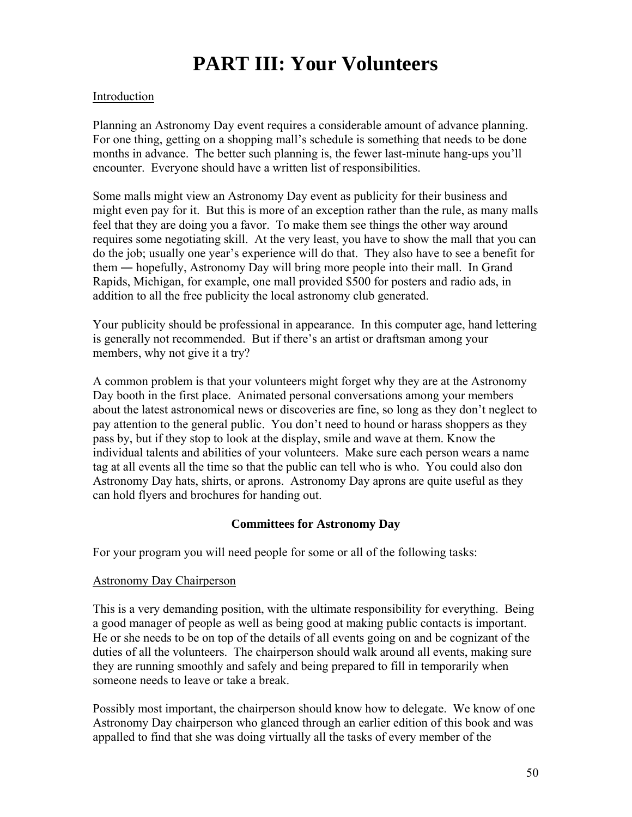## **PART III: Your Volunteers**

### Introduction

Planning an Astronomy Day event requires a considerable amount of advance planning. For one thing, getting on a shopping mall's schedule is something that needs to be done months in advance. The better such planning is, the fewer last-minute hang-ups you'll encounter. Everyone should have a written list of responsibilities.

Some malls might view an Astronomy Day event as publicity for their business and might even pay for it. But this is more of an exception rather than the rule, as many malls feel that they are doing you a favor. To make them see things the other way around requires some negotiating skill. At the very least, you have to show the mall that you can do the job; usually one year's experience will do that. They also have to see a benefit for them ― hopefully, Astronomy Day will bring more people into their mall. In Grand Rapids, Michigan, for example, one mall provided \$500 for posters and radio ads, in addition to all the free publicity the local astronomy club generated.

Your publicity should be professional in appearance. In this computer age, hand lettering is generally not recommended. But if there's an artist or draftsman among your members, why not give it a try?

A common problem is that your volunteers might forget why they are at the Astronomy Day booth in the first place. Animated personal conversations among your members about the latest astronomical news or discoveries are fine, so long as they don't neglect to pay attention to the general public. You don't need to hound or harass shoppers as they pass by, but if they stop to look at the display, smile and wave at them. Know the individual talents and abilities of your volunteers. Make sure each person wears a name tag at all events all the time so that the public can tell who is who. You could also don Astronomy Day hats, shirts, or aprons. Astronomy Day aprons are quite useful as they can hold flyers and brochures for handing out.

### **Committees for Astronomy Day**

For your program you will need people for some or all of the following tasks:

### Astronomy Day Chairperson

This is a very demanding position, with the ultimate responsibility for everything. Being a good manager of people as well as being good at making public contacts is important. He or she needs to be on top of the details of all events going on and be cognizant of the duties of all the volunteers. The chairperson should walk around all events, making sure they are running smoothly and safely and being prepared to fill in temporarily when someone needs to leave or take a break.

Possibly most important, the chairperson should know how to delegate. We know of one Astronomy Day chairperson who glanced through an earlier edition of this book and was appalled to find that she was doing virtually all the tasks of every member of the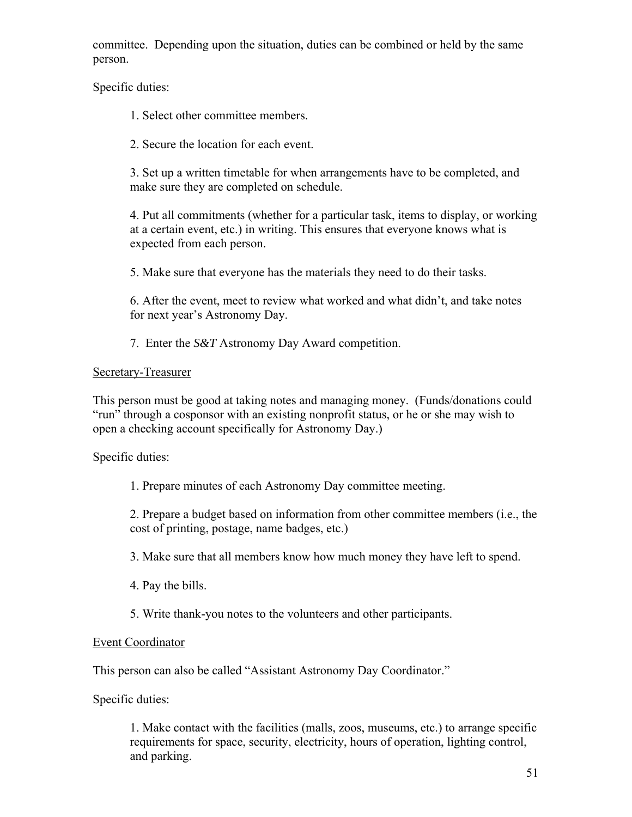committee. Depending upon the situation, duties can be combined or held by the same person.

Specific duties:

1. Select other committee members.

2. Secure the location for each event.

3. Set up a written timetable for when arrangements have to be completed, and make sure they are completed on schedule.

4. Put all commitments (whether for a particular task, items to display, or working at a certain event, etc.) in writing. This ensures that everyone knows what is expected from each person.

5. Make sure that everyone has the materials they need to do their tasks.

6. After the event, meet to review what worked and what didn't, and take notes for next year's Astronomy Day.

7. Enter the *S&T* Astronomy Day Award competition.

### Secretary-Treasurer

This person must be good at taking notes and managing money. (Funds/donations could "run" through a cosponsor with an existing nonprofit status, or he or she may wish to open a checking account specifically for Astronomy Day.)

Specific duties:

1. Prepare minutes of each Astronomy Day committee meeting.

2. Prepare a budget based on information from other committee members (i.e., the cost of printing, postage, name badges, etc.)

3. Make sure that all members know how much money they have left to spend.

- 4. Pay the bills.
- 5. Write thank-you notes to the volunteers and other participants.

### Event Coordinator

This person can also be called "Assistant Astronomy Day Coordinator."

Specific duties:

1. Make contact with the facilities (malls, zoos, museums, etc.) to arrange specific requirements for space, security, electricity, hours of operation, lighting control, and parking.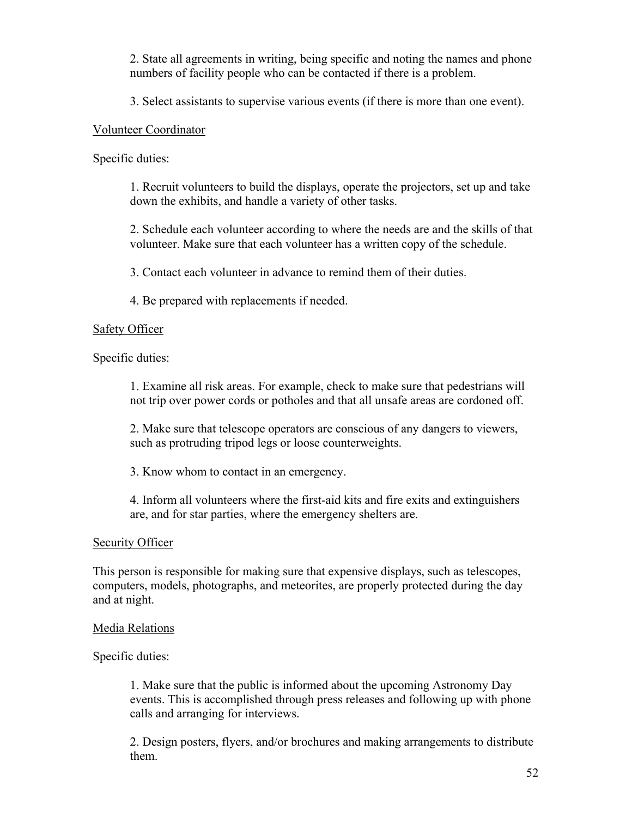2. State all agreements in writing, being specific and noting the names and phone numbers of facility people who can be contacted if there is a problem.

3. Select assistants to supervise various events (if there is more than one event).

### Volunteer Coordinator

Specific duties:

1. Recruit volunteers to build the displays, operate the projectors, set up and take down the exhibits, and handle a variety of other tasks.

2. Schedule each volunteer according to where the needs are and the skills of that volunteer. Make sure that each volunteer has a written copy of the schedule.

3. Contact each volunteer in advance to remind them of their duties.

4. Be prepared with replacements if needed.

### Safety Officer

Specific duties:

1. Examine all risk areas. For example, check to make sure that pedestrians will not trip over power cords or potholes and that all unsafe areas are cordoned off.

2. Make sure that telescope operators are conscious of any dangers to viewers, such as protruding tripod legs or loose counterweights.

3. Know whom to contact in an emergency.

4. Inform all volunteers where the first-aid kits and fire exits and extinguishers are, and for star parties, where the emergency shelters are.

### Security Officer

This person is responsible for making sure that expensive displays, such as telescopes, computers, models, photographs, and meteorites, are properly protected during the day and at night.

### Media Relations

Specific duties:

1. Make sure that the public is informed about the upcoming Astronomy Day events. This is accomplished through press releases and following up with phone calls and arranging for interviews.

2. Design posters, flyers, and/or brochures and making arrangements to distribute them.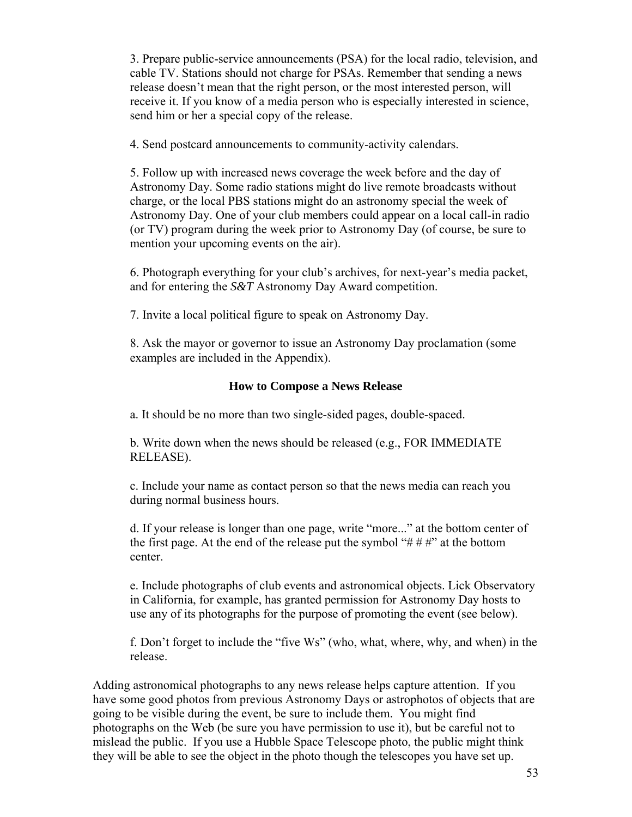3. Prepare public-service announcements (PSA) for the local radio, television, and cable TV. Stations should not charge for PSAs. Remember that sending a news release doesn't mean that the right person, or the most interested person, will receive it. If you know of a media person who is especially interested in science, send him or her a special copy of the release.

4. Send postcard announcements to community-activity calendars.

5. Follow up with increased news coverage the week before and the day of Astronomy Day. Some radio stations might do live remote broadcasts without charge, or the local PBS stations might do an astronomy special the week of Astronomy Day. One of your club members could appear on a local call-in radio (or TV) program during the week prior to Astronomy Day (of course, be sure to mention your upcoming events on the air).

6. Photograph everything for your club's archives, for next-year's media packet, and for entering the *S&T* Astronomy Day Award competition.

7. Invite a local political figure to speak on Astronomy Day.

8. Ask the mayor or governor to issue an Astronomy Day proclamation (some examples are included in the Appendix).

### **How to Compose a News Release**

a. It should be no more than two single-sided pages, double-spaced.

b. Write down when the news should be released (e.g., FOR IMMEDIATE RELEASE).

c. Include your name as contact person so that the news media can reach you during normal business hours.

d. If your release is longer than one page, write "more..." at the bottom center of the first page. At the end of the release put the symbol " $# # #"$ " at the bottom center.

e. Include photographs of club events and astronomical objects. Lick Observatory in California, for example, has granted permission for Astronomy Day hosts to use any of its photographs for the purpose of promoting the event (see below).

f. Don't forget to include the "five Ws" (who, what, where, why, and when) in the release.

Adding astronomical photographs to any news release helps capture attention. If you have some good photos from previous Astronomy Days or astrophotos of objects that are going to be visible during the event, be sure to include them. You might find photographs on the Web (be sure you have permission to use it), but be careful not to mislead the public. If you use a Hubble Space Telescope photo, the public might think they will be able to see the object in the photo though the telescopes you have set up.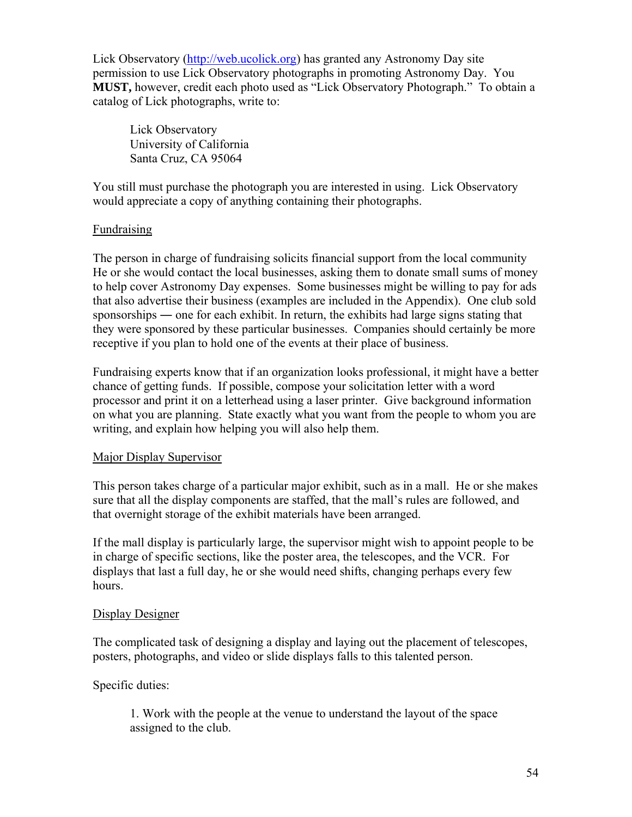Lick Observatory [\(http://web.ucolick.org](http://web.ucolick.org/)) has granted any Astronomy Day site permission to use Lick Observatory photographs in promoting Astronomy Day. You **MUST,** however, credit each photo used as "Lick Observatory Photograph." To obtain a catalog of Lick photographs, write to:

Lick Observatory University of California Santa Cruz, CA 95064

You still must purchase the photograph you are interested in using. Lick Observatory would appreciate a copy of anything containing their photographs.

### Fundraising

The person in charge of fundraising solicits financial support from the local community He or she would contact the local businesses, asking them to donate small sums of money to help cover Astronomy Day expenses. Some businesses might be willing to pay for ads that also advertise their business (examples are included in the Appendix). One club sold sponsorships ― one for each exhibit. In return, the exhibits had large signs stating that they were sponsored by these particular businesses. Companies should certainly be more receptive if you plan to hold one of the events at their place of business.

Fundraising experts know that if an organization looks professional, it might have a better chance of getting funds. If possible, compose your solicitation letter with a word processor and print it on a letterhead using a laser printer. Give background information on what you are planning. State exactly what you want from the people to whom you are writing, and explain how helping you will also help them.

### Major Display Supervisor

This person takes charge of a particular major exhibit, such as in a mall. He or she makes sure that all the display components are staffed, that the mall's rules are followed, and that overnight storage of the exhibit materials have been arranged.

If the mall display is particularly large, the supervisor might wish to appoint people to be in charge of specific sections, like the poster area, the telescopes, and the VCR. For displays that last a full day, he or she would need shifts, changing perhaps every few hours.

### Display Designer

The complicated task of designing a display and laying out the placement of telescopes, posters, photographs, and video or slide displays falls to this talented person.

Specific duties:

1. Work with the people at the venue to understand the layout of the space assigned to the club.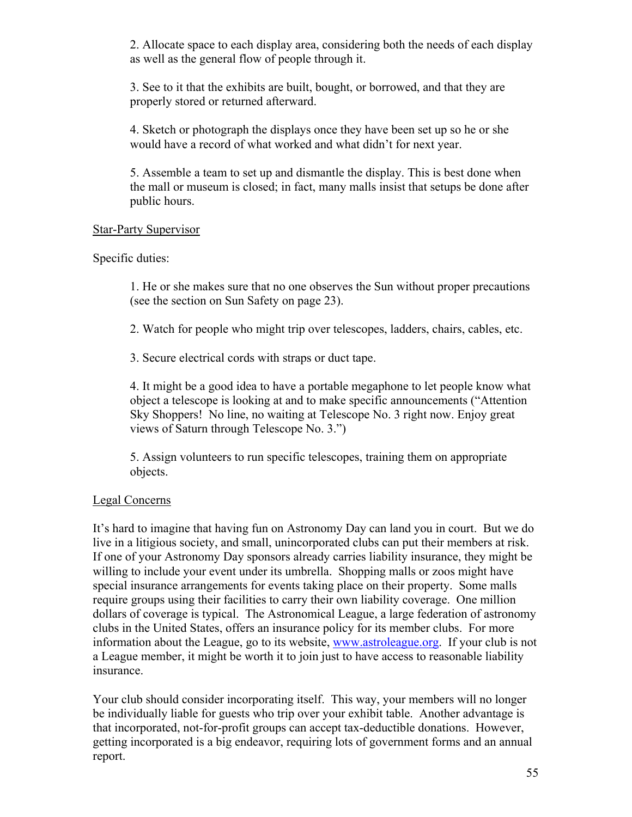2. Allocate space to each display area, considering both the needs of each display as well as the general flow of people through it.

3. See to it that the exhibits are built, bought, or borrowed, and that they are properly stored or returned afterward.

4. Sketch or photograph the displays once they have been set up so he or she would have a record of what worked and what didn't for next year.

5. Assemble a team to set up and dismantle the display. This is best done when the mall or museum is closed; in fact, many malls insist that setups be done after public hours.

### Star-Party Supervisor

Specific duties:

1. He or she makes sure that no one observes the Sun without proper precautions (see the section on Sun Safety on page 23).

2. Watch for people who might trip over telescopes, ladders, chairs, cables, etc.

3. Secure electrical cords with straps or duct tape.

4. It might be a good idea to have a portable megaphone to let people know what object a telescope is looking at and to make specific announcements ("Attention Sky Shoppers! No line, no waiting at Telescope No. 3 right now. Enjoy great views of Saturn through Telescope No. 3.")

5. Assign volunteers to run specific telescopes, training them on appropriate objects.

### Legal Concerns

It's hard to imagine that having fun on Astronomy Day can land you in court. But we do live in a litigious society, and small, unincorporated clubs can put their members at risk. If one of your Astronomy Day sponsors already carries liability insurance, they might be willing to include your event under its umbrella. Shopping malls or zoos might have special insurance arrangements for events taking place on their property. Some malls require groups using their facilities to carry their own liability coverage. One million dollars of coverage is typical. The Astronomical League, a large federation of astronomy clubs in the United States, offers an insurance policy for its member clubs. For more information about the League, go to its website, [www.astroleague.org](http://www.astroleague.org/). If your club is not a League member, it might be worth it to join just to have access to reasonable liability insurance.

Your club should consider incorporating itself. This way, your members will no longer be individually liable for guests who trip over your exhibit table. Another advantage is that incorporated, not-for-profit groups can accept tax-deductible donations. However, getting incorporated is a big endeavor, requiring lots of government forms and an annual report.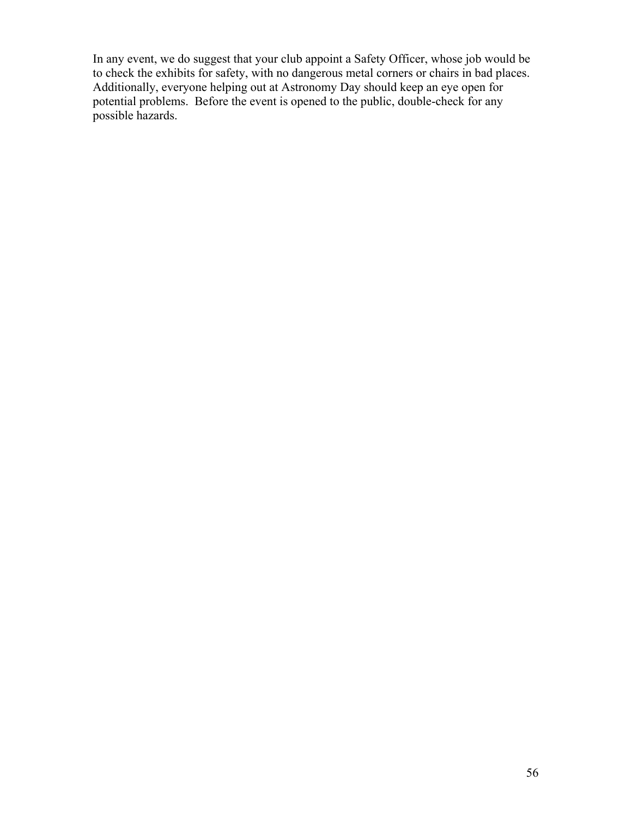In any event, we do suggest that your club appoint a Safety Officer, whose job would be to check the exhibits for safety, with no dangerous metal corners or chairs in bad places. Additionally, everyone helping out at Astronomy Day should keep an eye open for potential problems. Before the event is opened to the public, double-check for any possible hazards.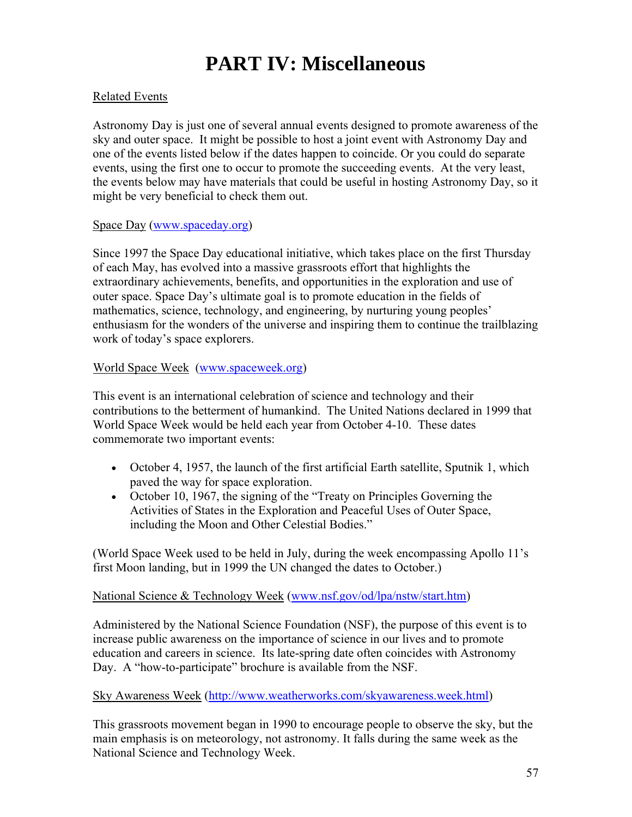## **PART IV: Miscellaneous**

### Related Events

Astronomy Day is just one of several annual events designed to promote awareness of the sky and outer space. It might be possible to host a joint event with Astronomy Day and one of the events listed below if the dates happen to coincide. Or you could do separate events, using the first one to occur to promote the succeeding events. At the very least, the events below may have materials that could be useful in hosting Astronomy Day, so it might be very beneficial to check them out.

### Space Day ([www.spaceday.org\)](http://www.spaceday.org/)

Since 1997 the Space Day educational initiative, which takes place on the first Thursday of each May, has evolved into a massive grassroots effort that highlights the extraordinary achievements, benefits, and opportunities in the exploration and use of outer space. Space Day's ultimate goal is to promote education in the fields of mathematics, science, technology, and engineering, by nurturing young peoples' enthusiasm for the wonders of the universe and inspiring them to continue the trailblazing work of today's space explorers.

### World Space Week [\(www.spaceweek.org](http://www.spaceweek.org/))

This event is an international celebration of science and technology and their contributions to the betterment of humankind. The United Nations declared in 1999 that World Space Week would be held each year from October 4-10. These dates commemorate two important events:

- October 4, 1957, the launch of the first artificial Earth satellite, Sputnik 1, which paved the way for space exploration.
- October 10, 1967, the signing of the "Treaty on Principles Governing the Activities of States in the Exploration and Peaceful Uses of Outer Space, including the Moon and Other Celestial Bodies."

(World Space Week used to be held in July, during the week encompassing Apollo 11's first Moon landing, but in 1999 the UN changed the dates to October.)

### National Science & Technology Week [\(www.nsf.gov/od/lpa/nstw/start.htm\)](http://www.nsf.gov/od/lpa/nstw/start.htm)

Administered by the National Science Foundation (NSF), the purpose of this event is to increase public awareness on the importance of science in our lives and to promote education and careers in science. Its late-spring date often coincides with Astronomy Day. A "how-to-participate" brochure is available from the NSF.

### Sky Awareness Week [\(http://www.weatherworks.com/skyawareness.week.html\)](http://www.weatherworks.com/skyawareness.week.html)

This grassroots movement began in 1990 to encourage people to observe the sky, but the main emphasis is on meteorology, not astronomy. It falls during the same week as the National Science and Technology Week.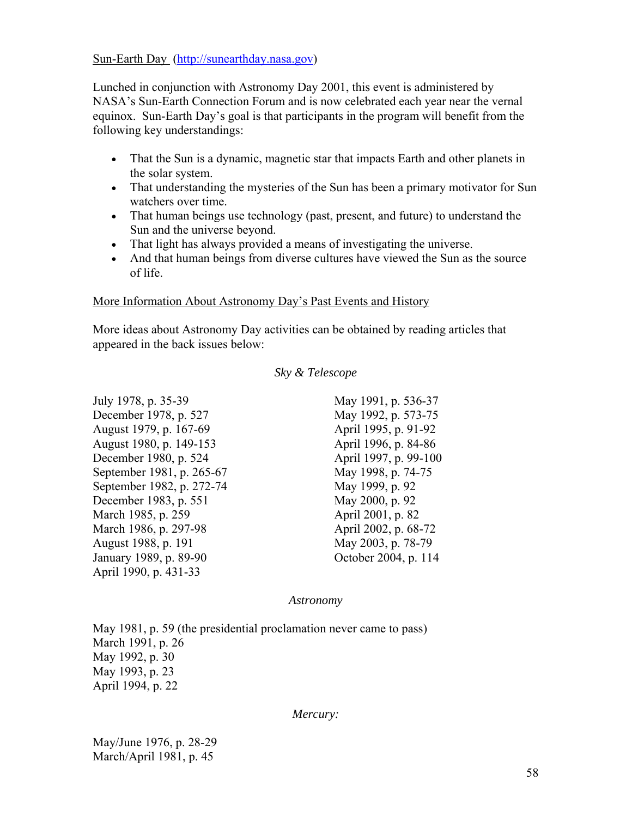Sun-Earth Day ([http://sunearthday.nasa.gov\)](http://sunearthday.nasa.gov/)

Lunched in conjunction with Astronomy Day 2001, this event is administered by NASA's Sun-Earth Connection Forum and is now celebrated each year near the vernal equinox. Sun-Earth Day's goal is that participants in the program will benefit from the following key understandings:

- That the Sun is a dynamic, magnetic star that impacts Earth and other planets in the solar system.
- That understanding the mysteries of the Sun has been a primary motivator for Sun watchers over time.
- That human beings use technology (past, present, and future) to understand the Sun and the universe beyond.
- That light has always provided a means of investigating the universe.
- And that human beings from diverse cultures have viewed the Sun as the source of life.

### More Information About Astronomy Day's Past Events and History

More ideas about Astronomy Day activities can be obtained by reading articles that appeared in the back issues below:

### *Sky & Telescope*

| July 1978, p. 35-39       | May 1991, p. 536-37   |
|---------------------------|-----------------------|
| December 1978, p. 527     | May 1992, p. 573-75   |
| August 1979, p. 167-69    | April 1995, p. 91-92  |
| August 1980, p. 149-153   | April 1996, p. 84-86  |
| December 1980, p. 524     | April 1997, p. 99-100 |
| September 1981, p. 265-67 | May 1998, p. 74-75    |
| September 1982, p. 272-74 | May 1999, p. 92       |
| December 1983, p. 551     | May 2000, p. 92       |
| March 1985, p. 259        | April 2001, p. 82     |
| March 1986, p. 297-98     | April 2002, p. 68-72  |
| August 1988, p. 191       | May 2003, p. 78-79    |
| January 1989, p. 89-90    | October 2004, p. 114  |
| April 1990, p. 431-33     |                       |
|                           |                       |

#### *Astronomy*

May 1981, p. 59 (the presidential proclamation never came to pass) March 1991, p. 26 May 1992, p. 30 May 1993, p. 23 April 1994, p. 22

#### *Mercury:*

May/June 1976, p. 28-29 March/April 1981, p. 45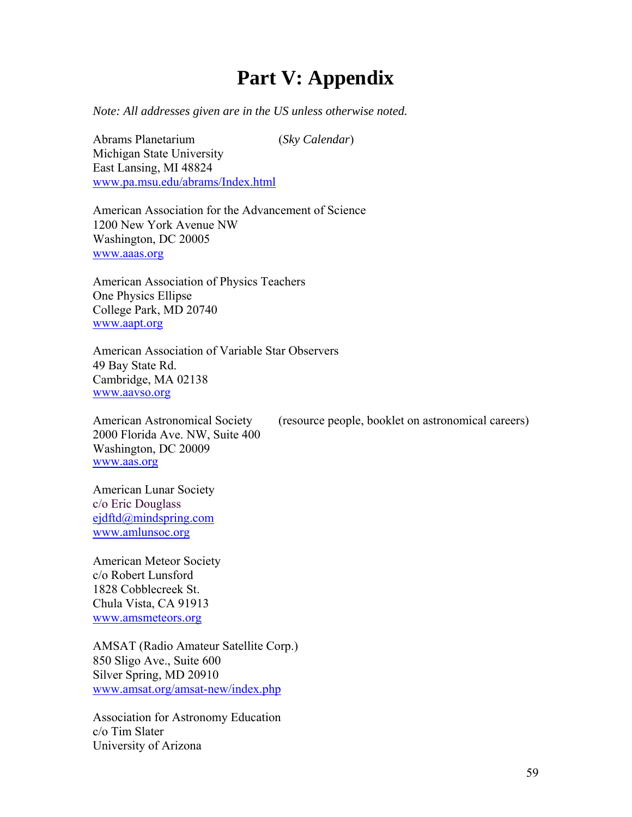### **Part V: Appendix**

*Note: All addresses given are in the US unless otherwise noted.* 

Abrams Planetarium (*Sky Calendar*) Michigan State University East Lansing, MI 48824 [www.pa.msu.edu/abrams/Index.html](http://www.pa.msu.edu/abrams/Index.html)

American Association for the Advancement of Science 1200 New York Avenue NW Washington, DC 20005 [www.aaas.org](http://www.aaas.org/)

American Association of Physics Teachers One Physics Ellipse College Park, MD 20740 [www.aapt.org](http://www.aapt.org/)

American Association of Variable Star Observers 49 Bay State Rd. Cambridge, MA 02138 [www.aavso.org](http://www.aavso.org/)

American Astronomical Society (resource people, booklet on astronomical careers) 2000 Florida Ave. NW, Suite 400 Washington, DC 20009 [www.aas.org](http://www.aas.org/)

American Lunar Society c/o Eric Douglass [ejdftd@mindspring.com](mailto:ejdftd@mindspring.com) [www.amlunsoc.org](http://www.amlunsoc.org/)

American Meteor Society c/o Robert Lunsford 1828 Cobblecreek St. Chula Vista, CA 91913 [www.amsmeteors.org](http://www.amsmeteors.org/)

AMSAT (Radio Amateur Satellite Corp.) 850 Sligo Ave., Suite 600 Silver Spring, MD 20910 [www.amsat.org/amsat-new/index.php](http://www.amsat.org/amsat-new/index.php)

Association for Astronomy Education c/o Tim Slater University of Arizona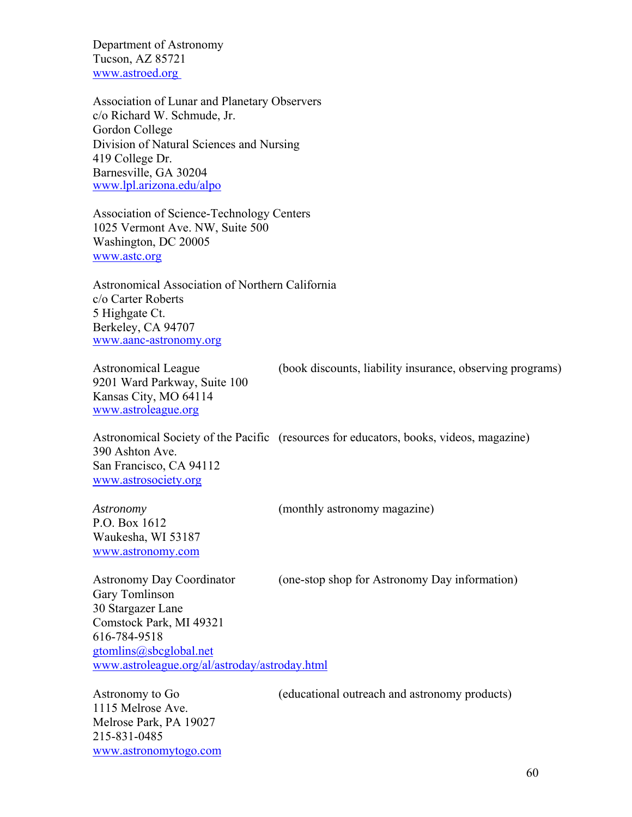Department of Astronomy Tucson, AZ 85721 [www.astroed.org](http://www.astroed.org/) 

Association of Lunar and Planetary Observers c/o Richard W. Schmude, Jr. Gordon College Division of Natural Sciences and Nursing 419 College Dr. Barnesville, GA 30204 [www.lpl.arizona.edu/alpo](http://www.lpl.arizona.edu/alpo)

Association of Science-Technology Centers 1025 Vermont Ave. NW, Suite 500 Washington, DC 20005 [www.astc.org](http://www.astc.org/)

Astronomical Association of Northern California c/o Carter Roberts 5 Highgate Ct. Berkeley, CA 94707 [www.aanc-astronomy.org](http://www.aanc-astronomy.org/)

9201 Ward Parkway, Suite 100 Kansas City, MO 64114 [www.astroleague.org](http://www.astroleague.org/)

Astronomical League (book discounts, liability insurance, observing programs)

Astronomical Society of the Pacific (resources for educators, books, videos, magazine) 390 Ashton Ave. San Francisco, CA 94112 [www.astrosociety.org](http://www.astrosociety.org/)

P.O. Box 1612 Waukesha, WI 53187 [www.astronomy.com](http://www.astronomy.com/)

*Astronomy* (monthly astronomy magazine)

Astronomy Day Coordinator (one-stop shop for Astronomy Day information) Gary Tomlinson 30 Stargazer Lane Comstock Park, MI 49321 616-784-9518 [gtomlins@sbcglobal.net](mailto:gtomlins@sbcgloabal.net) [www.astroleague.org/al/astroday/astroday.html](http://www.astroleague.org/al/astroday/astroday.html)

1115 Melrose Ave. Melrose Park, PA 19027 215-831-0485 [www.astronomytogo.com](http://www.astronomytogo.com/)

Astronomy to Go (educational outreach and astronomy products)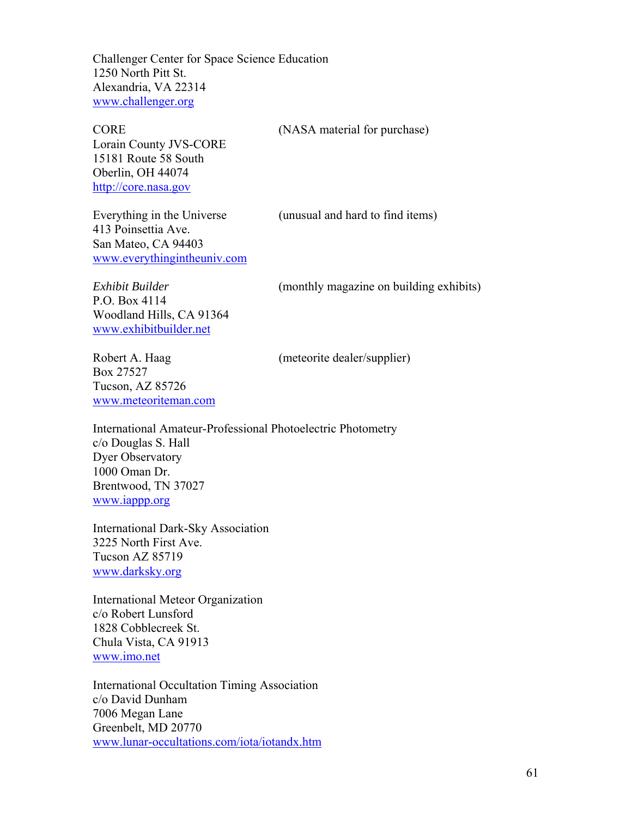Challenger Center for Space Science Education 1250 North Pitt St. Alexandria, VA 22314 [www.challenger.org](http://www.challenger.org/)

| <b>CORE</b>                   | (NASA material for purchase)            |
|-------------------------------|-----------------------------------------|
| <b>Lorain County JVS-CORE</b> |                                         |
| 15181 Route 58 South          |                                         |
| Oberlin, OH 44074             |                                         |
| http://core.nasa.gov          |                                         |
| Everything in the Universe    | (unusual and hard to find items)        |
| 413 Poinsettia Ave.           |                                         |
| San Mateo, CA 94403           |                                         |
| www.everythingintheuniv.com   |                                         |
| Exhibit Builder               | (monthly magazine on building exhibits) |
| P.O. Box 4114                 |                                         |
| Woodland Hills, CA 91364      |                                         |
| www.exhibitbuilder.net        |                                         |

Box 27527 Tucson, AZ 85726 [www.meteoriteman.com](http://www.meteoriteman.com/)

Robert A. Haag (meteorite dealer/supplier)

International Amateur-Professional Photoelectric Photometry c/o Douglas S. Hall Dyer Observatory 1000 Oman Dr. Brentwood, TN 37027 [www.iappp.org](http://www.iappp.org/)

International Dark-Sky Association 3225 North First Ave. Tucson AZ 85719 [www.darksky.org](http://www.darksky.org/)

International Meteor Organization c/o Robert Lunsford 1828 Cobblecreek St. Chula Vista, CA 91913 [www.imo.net](http://www.imo.net/)

International Occultation Timing Association c/o David Dunham 7006 Megan Lane Greenbelt, MD 20770 [www.lunar-occultations.com/iota/iotandx.htm](http://www.lunar-occultations.com/iota/iotandx.htm)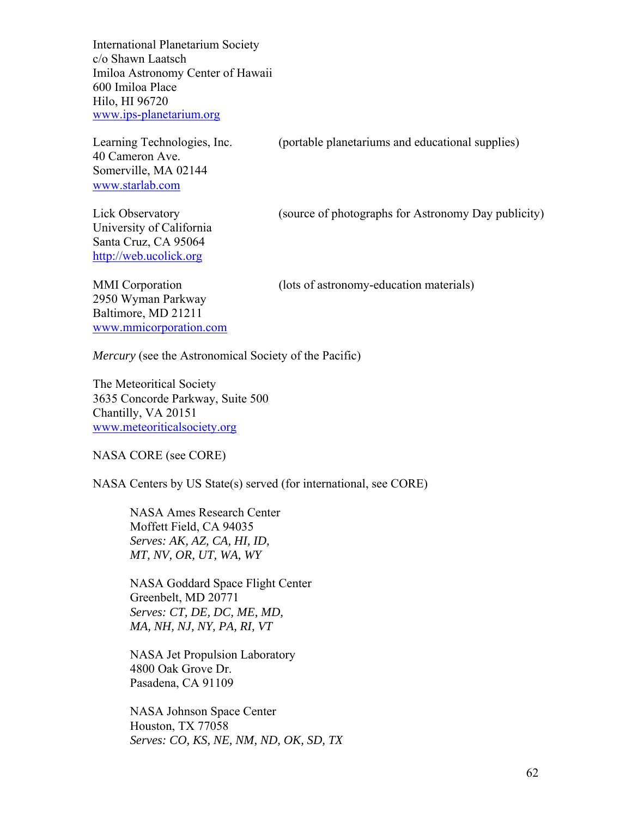International Planetarium Society c/o Shawn Laatsch Imiloa Astronomy Center of Hawaii 600 Imiloa Place Hilo, HI 96720 [www.ips-planetarium.org](http://www.ips-planetarium.org/)

Learning Technologies, Inc. (portable planetariums and educational supplies) 40 Cameron Ave. Somerville, MA 02144 [www.starlab.com](http://www.starlab.com/)

University of California Santa Cruz, CA 95064 [http://web.ucolick.org](http://web.ucolick.org/)

Lick Observatory (source of photographs for Astronomy Day publicity)

MMI Corporation (lots of astronomy-education materials)

2950 Wyman Parkway Baltimore, MD 21211 [www.mmicorporation.com](http://www.mmicorporation.com/)

*Mercury* (see the Astronomical Society of the Pacific)

The Meteoritical Society 3635 Concorde Parkway, Suite 500 Chantilly, VA 20151 [www.meteoriticalsociety.org](http://www.meteoriticalsociety.org/)

NASA CORE (see CORE)

NASA Centers by US State(s) served (for international, see CORE)

NASA Ames Research Center Moffett Field, CA 94035 *Serves: AK, AZ, CA, HI, ID, MT, NV, OR, UT, WA, WY*

NASA Goddard Space Flight Center Greenbelt, MD 20771 *Serves: CT, DE, DC, ME, MD, MA, NH, NJ, NY, PA, RI, VT*

NASA Jet Propulsion Laboratory 4800 Oak Grove Dr. Pasadena, CA 91109

NASA Johnson Space Center Houston, TX 77058 *Serves: CO, KS, NE, NM, ND, OK, SD, TX*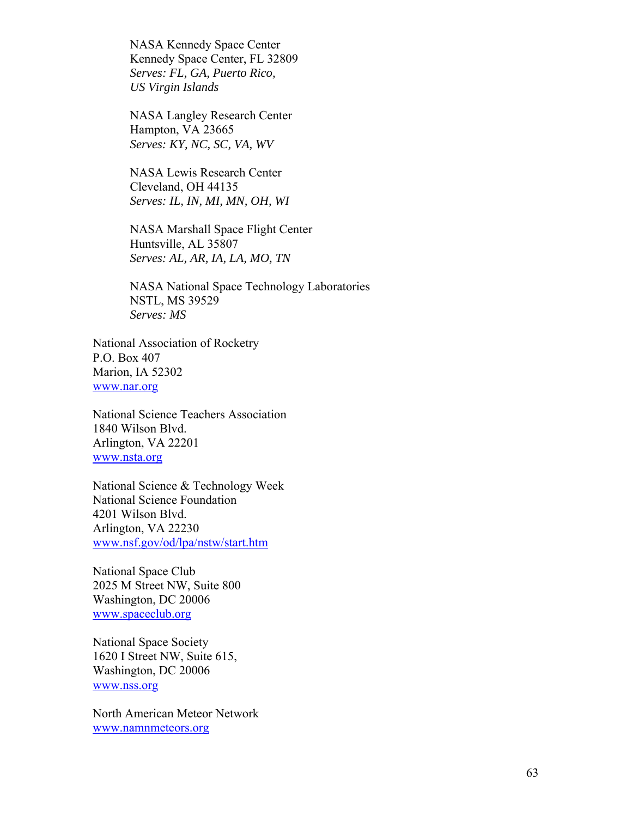NASA Kennedy Space Center Kennedy Space Center, FL 32809 *Serves: FL, GA, Puerto Rico, US Virgin Islands*

NASA Langley Research Center Hampton, VA 23665 *Serves: KY, NC, SC, VA, WV* 

NASA Lewis Research Center Cleveland, OH 44135 *Serves: IL, IN, MI, MN, OH, WI* 

NASA Marshall Space Flight Center Huntsville, AL 35807 *Serves: AL, AR, IA, LA, MO, TN* 

NASA National Space Technology Laboratories NSTL, MS 39529 *Serves: MS* 

National Association of Rocketry P.O. Box 407 Marion, IA 52302 [www.nar.org](http://www.nar.org/)

National Science Teachers Association 1840 Wilson Blvd. Arlington, VA 22201 [www.nsta.org](http://www.nsta.org/)

National Science & Technology Week National Science Foundation 4201 Wilson Blvd. Arlington, VA 22230 [www.nsf.gov/od/lpa/nstw/start.htm](http://www.nsf.gov/od/lpa/nstw/start.htm)

National Space Club 2025 M Street NW, Suite 800 Washington, DC 20006 [www.spaceclub.org](http://www.spaceclub.org/)

National Space Society 1620 I Street NW, Suite 615, Washington, DC 20006 [www.nss.org](http://www.nss.org/)

North American Meteor Network [www.namnmeteors.org](http://www.namnmeteors.org/)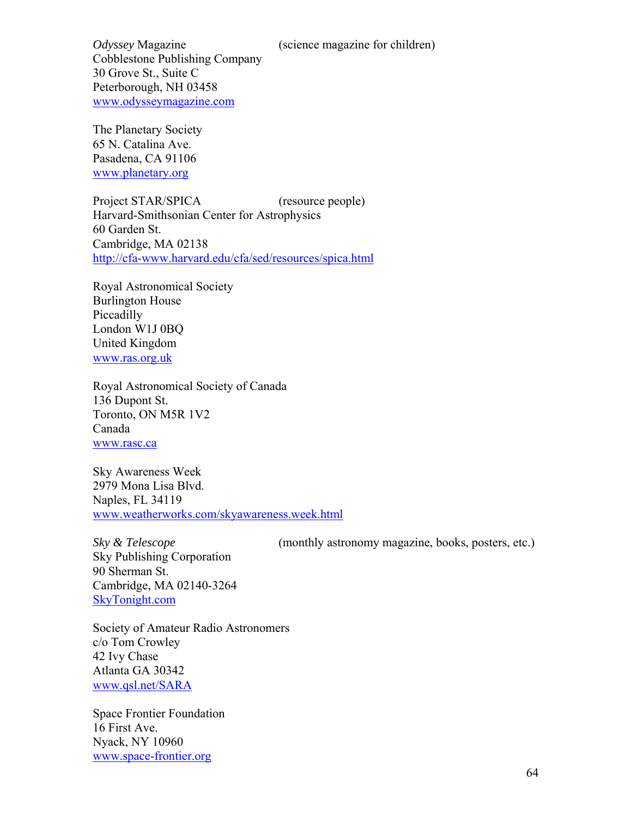Cobblestone Publishing Company 30 Grove St., Suite C Peterborough, NH 03458 [www.odysseymagazine.com](http://www.odysseymagazine.com/)

The Planetary Society 65 N. Catalina Ave. Pasadena, CA 91106 [www.planetary.org](http://www.planetary.org/)

Project STAR/SPICA (resource people) Harvard-Smithsonian Center for Astrophysics 60 Garden St. Cambridge, MA 02138 <http://cfa-www.harvard.edu/cfa/sed/resources/spica.html>

Royal Astronomical Society Burlington House Piccadilly London W1J 0BQ United Kingdom [www.ras.org.uk](http://www.ras.org.uk/)

Royal Astronomical Society of Canada 136 Dupont St. Toronto, ON M5R 1V2 Canada [www.rasc.ca](http://www.rasc.ca/)

Sky Awareness Week 2979 Mona Lisa Blvd. Naples, FL 34119 [www.weatherworks.com/skyawareness.week.html](http://www.weatherworks.com/skyawareness.week.html)

*Sky & Telescope* (monthly astronomy magazine, books, posters, etc.) Sky Publishing Corporation 90 Sherman St. Cambridge, MA 02140-3264 [SkyTonight.com](http://skyandtelescope.com/)

Society of Amateur Radio Astronomers c/o Tom Crowley 42 Ivy Chase Atlanta GA 30342 [www.qsl.net/SARA](http://www.qsl.net/SARA)

Space Frontier Foundation 16 First Ave. Nyack, NY 10960 [www.space-frontier.org](http://www.space-frontier.org/)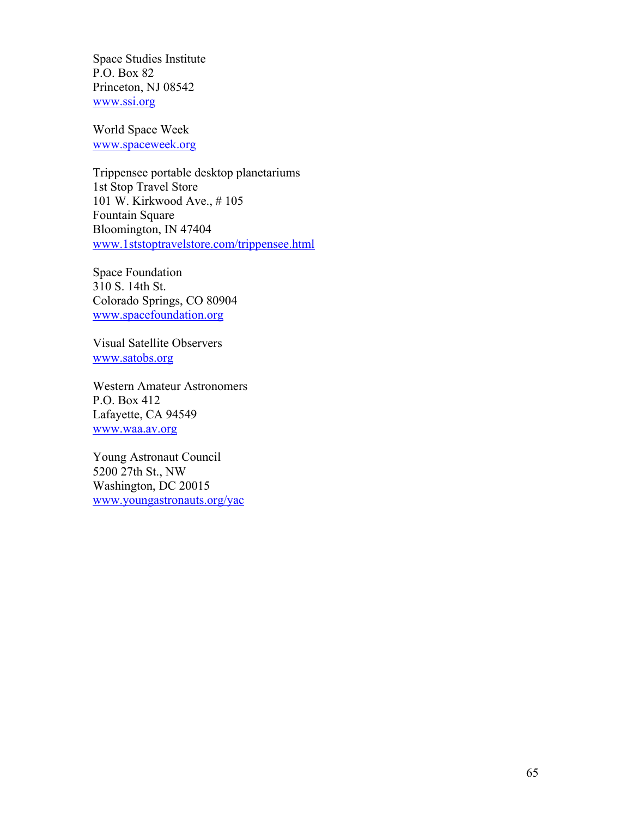Space Studies Institute P.O. Box 82 Princeton, NJ 08542 [www.ssi.org](http://www.ssi.org/)

World Space Week [www.spaceweek.org](http://www.spaceweek.org/)

Trippensee portable desktop planetariums 1st Stop Travel Store 101 W. Kirkwood Ave., # 105 Fountain Square Bloomington, IN 47404 [www.1ststoptravelstore.com/trippensee.html](http://www.1ststoptravelstore.com/trippensee.html)

Space Foundation 310 S. 14th St. Colorado Springs, CO 80904 [www.spacefoundation.org](http://www.spacefoundation.org/)

Visual Satellite Observers [www.satobs.org](http://www.satobs.org/)

Western Amateur Astronomers P.O. Box 412 Lafayette, CA 94549 [www.waa.av.org](http://www.waa.av.org/)

Young Astronaut Council 5200 27th St., NW Washington, DC 20015 [www.youngastronauts.org/yac](http://www.youngastronauts.org/yac/)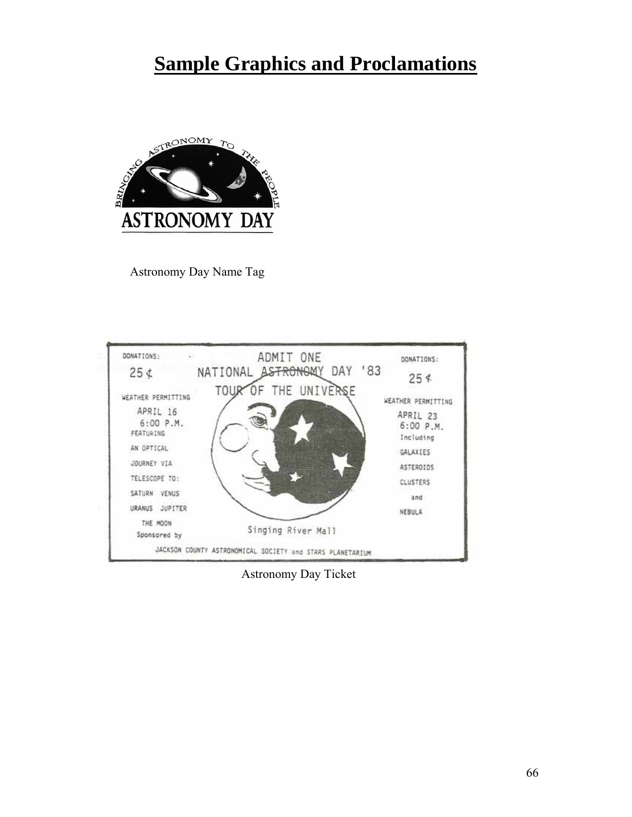# **Sample Graphics and Proclamations**



Astronomy Day Name Tag



Astronomy Day Ticket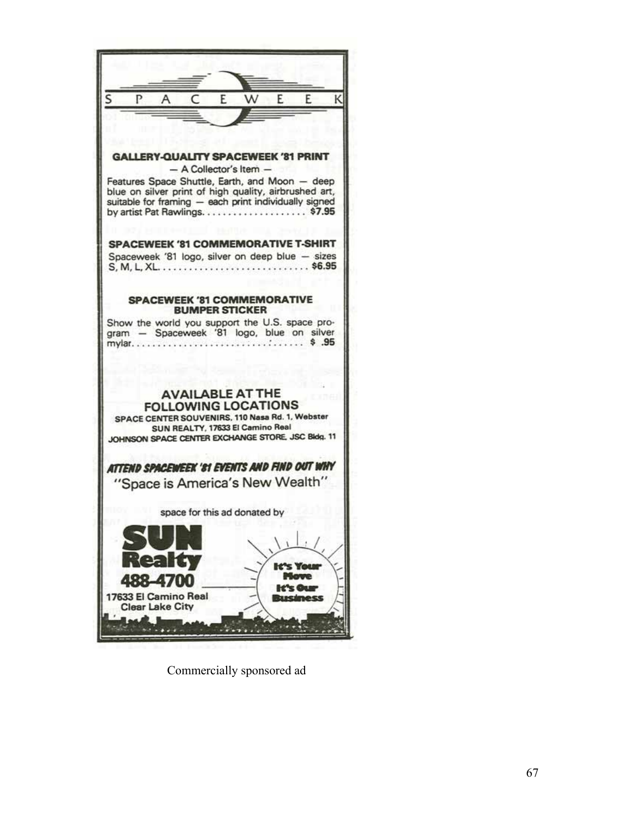

Commercially sponsored ad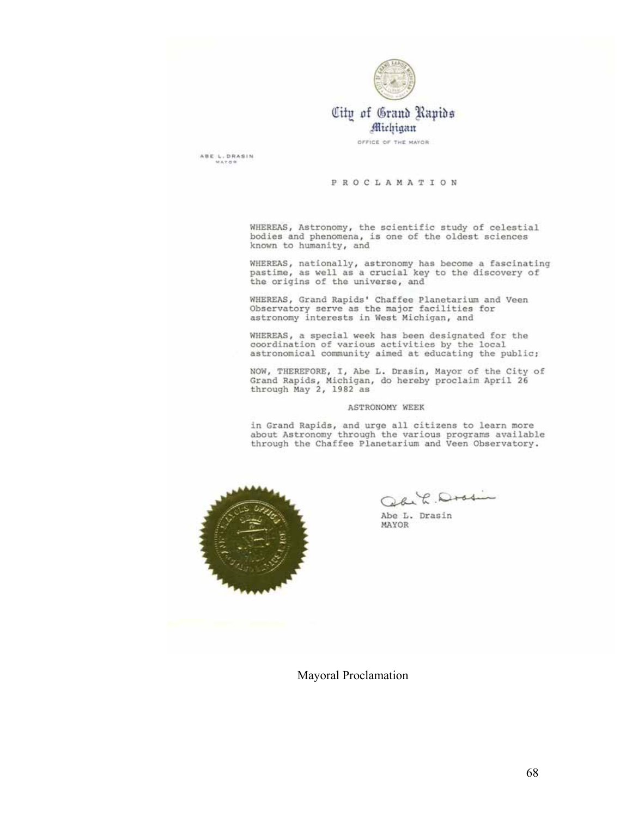

### City of Grand Rapids Michigan

OFFICE OF THE MAYOR

ABE L. DRASIN

#### PROCLAMATION

WHEREAS, Astronomy, the scientific study of celestial bodies and phenomena, is one of the oldest sciences known to humanity, and

WHEREAS, nationally, astronomy has become a fascinating<br>pastime, as well as a crucial key to the discovery of<br>the origins of the universe, and

WHEREAS, Grand Rapids' Chaffee Planetarium and Veen Observatory serve as the major facilities for astronomy interests in West Michigan, and

WHEREAS, a special week has been designated for the coordination of various activities by the local<br>astronomical community aimed at educating the public;

NOW, THEREFORE, I, Abe L. Drasin, Mayor of the City of<br>Grand Rapids, Michigan, do hereby proclaim April 26 through May 2, 1982 as

#### ASTRONOMY WEEK

in Grand Rapids, and urge all citizens to learn more<br>about Astronomy through the various programs available through the Chaffee Planetarium and Veen Observatory.



Oak Drafin

Abe L. Drasin MAYOR

Mayoral Proclamation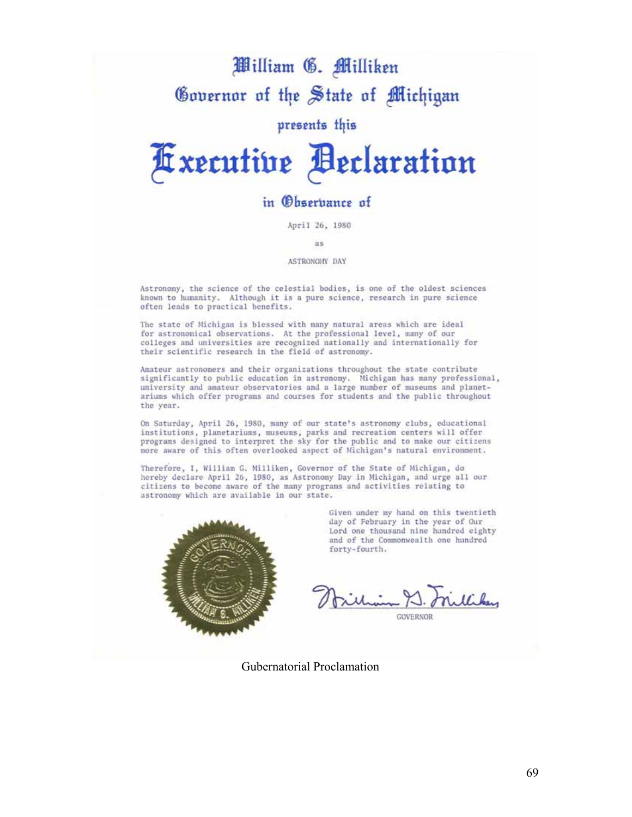# William G. Milliken Governor of the State of Michigan

### presents this

# **Executive Beclaration**

### in Ohserhance of

April 26, 1980

 $n s$ 

#### ASTRONOMY DAY

Astronomy, the science of the celestial bodies, is one of the oldest sciences known to humanity. Although it is a pure science, research in pure science often leads to practical benefits.

The state of Michigan is blessed with many natural areas which are ideal for astronomical observations. At the professional level, many of our colleges and universities are recognized nationally and internationally for their scientific research in the field of astronomy.

Amateur astronomers and their organizations throughout the state contribute significantly to public education in astronomy. Michigan has many professional, university and amateur observatories and a large number of museums and planetariums which offer programs and courses for students and the public throughout the year.

On Saturday, April 26, 1980, many of our state's astronomy clubs, educational institutions, planetariums, museums, parks and recreation centers will offer programs designed to interpret the sky for the public and to make our citizens more aware of this often overlooked aspect of Michigan's natural environment.

Therefore, I, William G. Milliken, Governor of the State of Michigan, do hereby declare April 26, 1980, as Astronomy Day in Michigan, and urge all our citizens to become aware of the many programs and activities relating to astronomy which are available in our state.



Given under my hand on this twentieth day of February in the year of Our Lord one thousand nine hundred eighty and of the Commonwealth one hundred forty-fourth.

Initheles trilli GOVERNOR

Gubernatorial Proclamation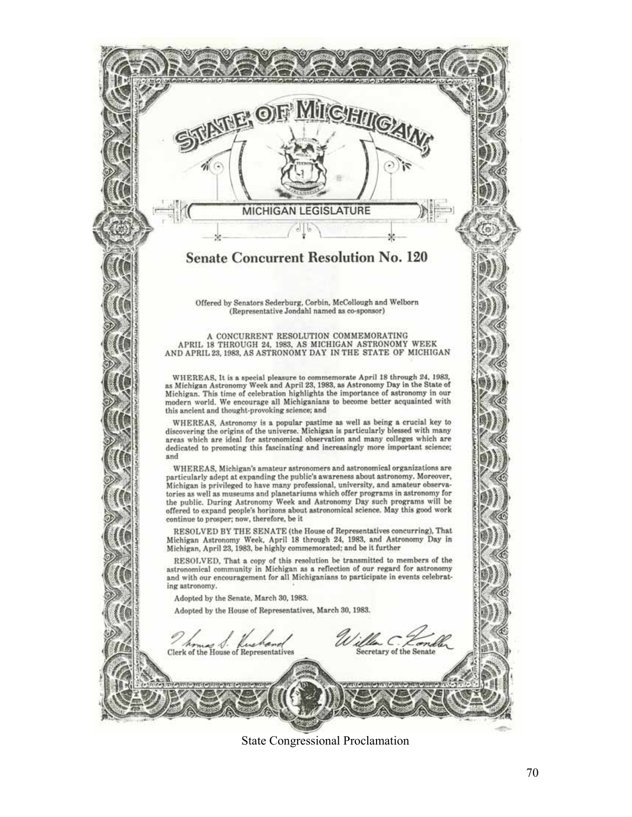**AVER OF MILCHILICAN** MICHIGAN LEGISLATURE **Senate Concurrent Resolution No. 120** Offered by Senators Sederburg, Corbin, McCollough and Welborn (Representative Jondahl named as co-sponsor) A CONCURRENT RESOLUTION COMMEMORATING<br>APRIL 18 THROUGH 24, 1983, AS MICHIGAN ASTRONOMY WEEK AND APRIL 23, 1983, AS ASTRONOMY DAY IN THE STATE OF MICHIGAN WHEREAS, It is a special pleasure to commemorate April 18 through 24, 1983, as Michigan Astronomy Week and April 23, 1983, as Astronomy Day in the State of Michigan. This time of celebration highlights the importance of astronomy in our modern world. We encourage all Michiganians to become better acquainted with this ancient and thought-provoking science; and WHEREAS, Astronomy is a popular pastime as well as being a crucial key to

discovering the origins of the universe. Michigan is particularly blessed with many<br>areas which are ideal for astronomical observation and many colleges which are dedicated to promoting this fascinating and increasingly more important science; and

WHEREAS, Michigan's amateur astronomers and astronomical organizations are particularly adept at expanding the public's awareness about astronomy. Moreover, Michigan is privileged to have many professional, university, and amateur observa-<br>tories as well as museums and planetariums which offer programs in astronomy for the public. During Astronomy Week and Astronomy Day such programs will be offered to expand people's horizons about astronomical science. May this good work continue to prosper; now, therefore, be it

RESOLVED BY THE SENATE (the House of Representatives concurring), That RESOLVED BY THE SENATE (the nouse of nepresentatives concurring), That<br>Michigan Astronomy Week, April 18 through 24, 1983, and Astronomy Day in<br>Michigan, April 23, 1983, be highly commemorated; and be it further

RESOLVED, That a copy of this resolution be transmitted to members of the astronomical community in Michigan as a reflection of our regard for astronomy and with our encouragement for all Michiganians to participate in events celebrating astronomy.

Adopted by the Senate, March 30, 1983.

Adopted by the House of Representatives, March 30, 1983.

komas<br>Jork of the L . S. Kushan Clerk of the House of Representatives

State Congressional Proclamation

illen C. Clear C. Lond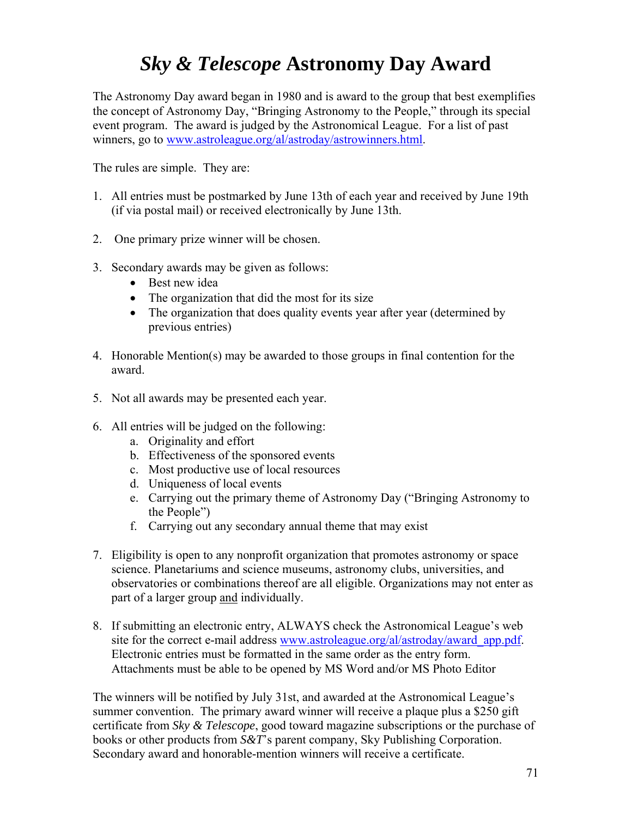### *Sky & Telescope* **Astronomy Day Award**

The Astronomy Day award began in 1980 and is award to the group that best exemplifies the concept of Astronomy Day, "Bringing Astronomy to the People," through its special event program. The award is judged by the Astronomical League. For a list of past winners, go to [www.astroleague.org/al/astroday/astrowinners.html.](http://www.astroleague.org/al/astroday/astrowinners.html)

The rules are simple. They are:

- 1. All entries must be postmarked by June 13th of each year and received by June 19th (if via postal mail) or received electronically by June 13th.
- 2. One primary prize winner will be chosen.
- 3. Secondary awards may be given as follows:
	- Best new idea
	- The organization that did the most for its size
	- The organization that does quality events year after year (determined by previous entries)
- 4. Honorable Mention(s) may be awarded to those groups in final contention for the award.
- 5. Not all awards may be presented each year.
- 6. All entries will be judged on the following:
	- a. Originality and effort
	- b. Effectiveness of the sponsored events
	- c. Most productive use of local resources
	- d. Uniqueness of local events
	- e. Carrying out the primary theme of Astronomy Day ("Bringing Astronomy to the People")
	- f. Carrying out any secondary annual theme that may exist
- 7. Eligibility is open to any nonprofit organization that promotes astronomy or space science. Planetariums and science museums, astronomy clubs, universities, and observatories or combinations thereof are all eligible. Organizations may not enter as part of a larger group and individually.
- 8. If submitting an electronic entry, ALWAYS check the Astronomical League's web site for the correct e-mail address [www.astroleague.org/al/astroday/award\\_app.pdf.](http://www.astroleague.org/al/astroday/award_app.pdf) Electronic entries must be formatted in the same order as the entry form. Attachments must be able to be opened by MS Word and/or MS Photo Editor

The winners will be notified by July 31st, and awarded at the Astronomical League's summer convention. The primary award winner will receive a plaque plus a \$250 gift certificate from *Sky & Telescope*, good toward magazine subscriptions or the purchase of books or other products from *S&T*'s parent company, Sky Publishing Corporation. Secondary award and honorable-mention winners will receive a certificate.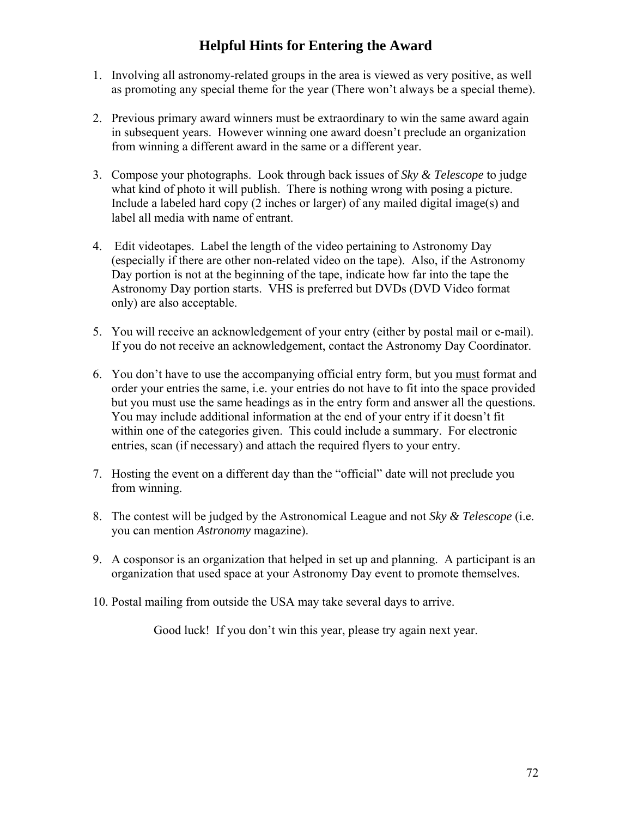### **Helpful Hints for Entering the Award**

- 1. Involving all astronomy-related groups in the area is viewed as very positive, as well as promoting any special theme for the year (There won't always be a special theme).
- 2. Previous primary award winners must be extraordinary to win the same award again in subsequent years. However winning one award doesn't preclude an organization from winning a different award in the same or a different year.
- 3. Compose your photographs. Look through back issues of *Sky & Telescope* to judge what kind of photo it will publish. There is nothing wrong with posing a picture. Include a labeled hard copy (2 inches or larger) of any mailed digital image(s) and label all media with name of entrant.
- 4. Edit videotapes. Label the length of the video pertaining to Astronomy Day (especially if there are other non-related video on the tape). Also, if the Astronomy Day portion is not at the beginning of the tape, indicate how far into the tape the Astronomy Day portion starts. VHS is preferred but DVDs (DVD Video format only) are also acceptable.
- 5. You will receive an acknowledgement of your entry (either by postal mail or e-mail). If you do not receive an acknowledgement, contact the Astronomy Day Coordinator.
- 6. You don't have to use the accompanying official entry form, but you must format and order your entries the same, i.e. your entries do not have to fit into the space provided but you must use the same headings as in the entry form and answer all the questions. You may include additional information at the end of your entry if it doesn't fit within one of the categories given. This could include a summary. For electronic entries, scan (if necessary) and attach the required flyers to your entry.
- 7. Hosting the event on a different day than the "official" date will not preclude you from winning.
- 8. The contest will be judged by the Astronomical League and not *Sky & Telescope* (i.e. you can mention *Astronomy* magazine).
- 9. A cosponsor is an organization that helped in set up and planning. A participant is an organization that used space at your Astronomy Day event to promote themselves.
- 10. Postal mailing from outside the USA may take several days to arrive.

Good luck! If you don't win this year, please try again next year.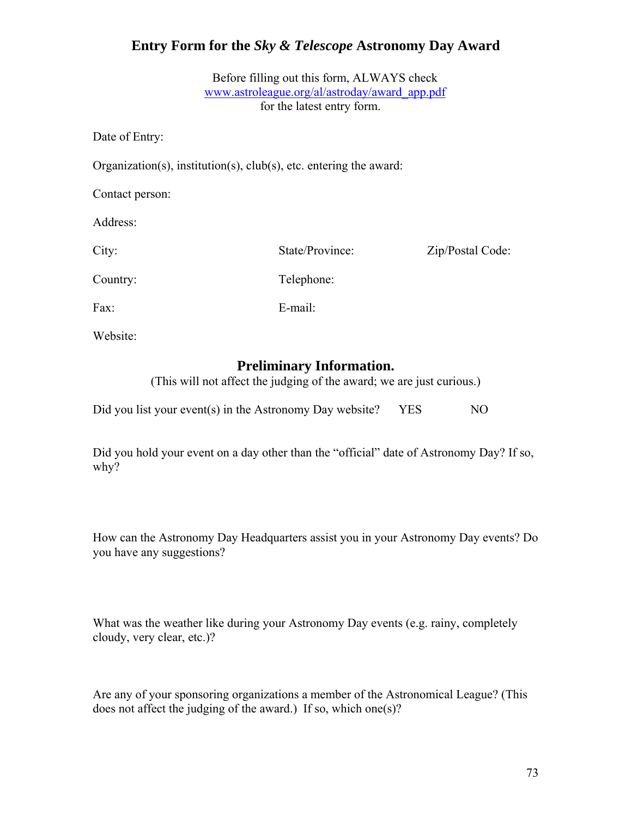## **Entry Form for the** *Sky & Telescope* **Astronomy Day Award**

Before filling out this form, ALWAYS check [www.astroleague.org/al/astroday/award\\_app.pdf](http://www.astroleague.org/al/astroday/award_app.pdf)  for the latest entry form.

Date of Entry:

Organization(s), institution(s), club(s), etc. entering the award:

Contact person:

Address:

| City:    | State/Province: | Zip/Postal Code: |
|----------|-----------------|------------------|
| Country: | Telephone:      |                  |
| Fax:     | E-mail:         |                  |
| Website: |                 |                  |

### **Preliminary Information.**

(This will not affect the judging of the award; we are just curious.)

| Did you list your event(s) in the Astronomy Day website? | <b>YES</b> | NO. |
|----------------------------------------------------------|------------|-----|
|----------------------------------------------------------|------------|-----|

Did you hold your event on a day other than the "official" date of Astronomy Day? If so, why?

How can the Astronomy Day Headquarters assist you in your Astronomy Day events? Do you have any suggestions?

What was the weather like during your Astronomy Day events (e.g. rainy, completely cloudy, very clear, etc.)?

Are any of your sponsoring organizations a member of the Astronomical League? (This does not affect the judging of the award.) If so, which one(s)?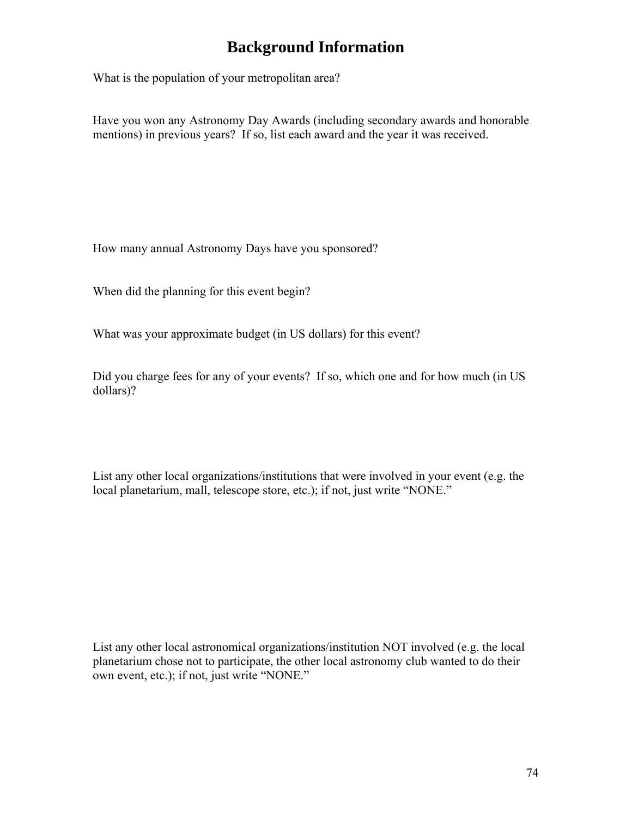# **Background Information**

What is the population of your metropolitan area?

Have you won any Astronomy Day Awards (including secondary awards and honorable mentions) in previous years? If so, list each award and the year it was received.

How many annual Astronomy Days have you sponsored?

When did the planning for this event begin?

What was your approximate budget (in US dollars) for this event?

Did you charge fees for any of your events? If so, which one and for how much (in US dollars)?

List any other local organizations/institutions that were involved in your event (e.g. the local planetarium, mall, telescope store, etc.); if not, just write "NONE."

List any other local astronomical organizations/institution NOT involved (e.g. the local planetarium chose not to participate, the other local astronomy club wanted to do their own event, etc.); if not, just write "NONE."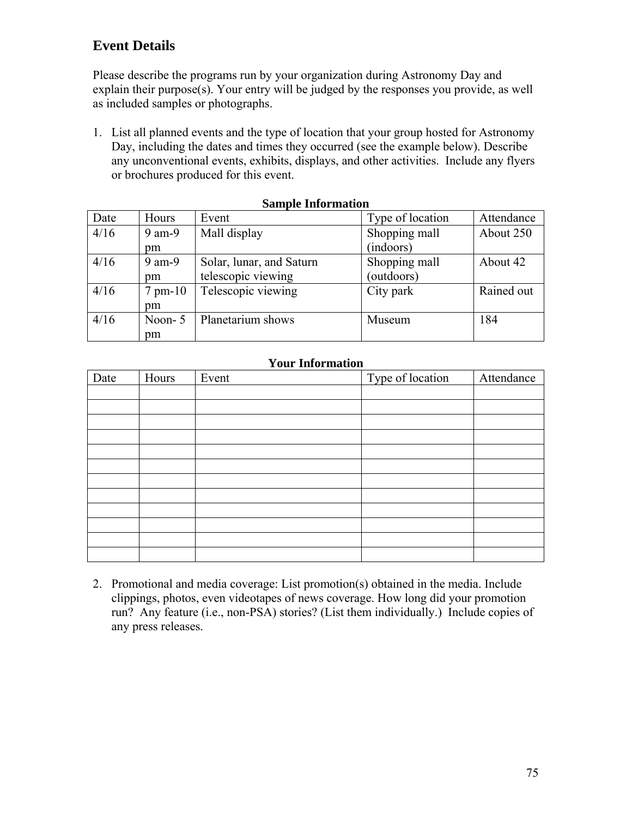# **Event Details**

Please describe the programs run by your organization during Astronomy Day and explain their purpose(s). Your entry will be judged by the responses you provide, as well as included samples or photographs.

1. List all planned events and the type of location that your group hosted for Astronomy Day, including the dates and times they occurred (see the example below). Describe any unconventional events, exhibits, displays, and other activities. Include any flyers or brochures produced for this event.

| Date | Hours             | Event                    | Type of location | Attendance |
|------|-------------------|--------------------------|------------------|------------|
| 4/16 | $9 \text{ am}-9$  | Mall display             | Shopping mall    | About 250  |
|      | pm                |                          | (indoors)        |            |
| 4/16 | $9 \text{ am}-9$  | Solar, lunar, and Saturn | Shopping mall    | About 42   |
|      | pm                | telescopic viewing       | (outdoors)       |            |
| 4/16 | $7 \text{ pm}-10$ | Telescopic viewing       | City park        | Rained out |
|      | pm                |                          |                  |            |
| 4/16 | Noon- $5$         | Planetarium shows        | Museum           | 184        |
|      | pm                |                          |                  |            |

### **Sample Information**

### **Your Information**

| Date | Hours | Event | Type of location | Attendance |
|------|-------|-------|------------------|------------|
|      |       |       |                  |            |
|      |       |       |                  |            |
|      |       |       |                  |            |
|      |       |       |                  |            |
|      |       |       |                  |            |
|      |       |       |                  |            |
|      |       |       |                  |            |
|      |       |       |                  |            |
|      |       |       |                  |            |
|      |       |       |                  |            |
|      |       |       |                  |            |
|      |       |       |                  |            |

2. Promotional and media coverage: List promotion(s) obtained in the media. Include clippings, photos, even videotapes of news coverage. How long did your promotion run? Any feature (i.e., non-PSA) stories? (List them individually.) Include copies of any press releases.